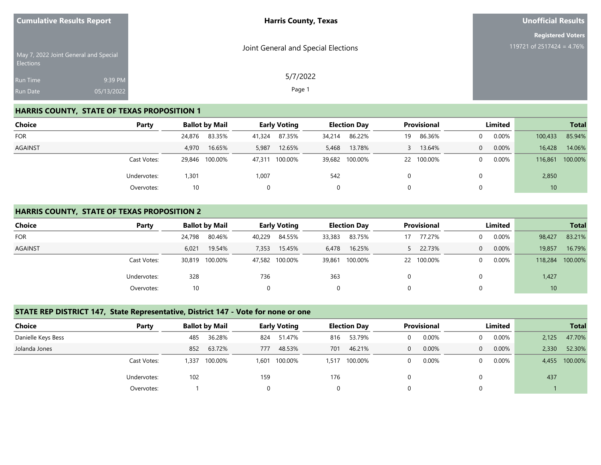| <b>Cumulative Results Report</b> |                                       | <b>Harris County, Texas</b>         | <b>Unofficial Results</b> |
|----------------------------------|---------------------------------------|-------------------------------------|---------------------------|
|                                  |                                       |                                     | <b>Registered Voters</b>  |
| <b>Elections</b>                 | May 7, 2022 Joint General and Special | Joint General and Special Elections | 119721 of 2517424 = 4.76% |
| <b>Run Time</b>                  | 9:39 PM                               | 5/7/2022                            |                           |
| <b>Run Date</b>                  | 05/13/2022                            | Page 1                              |                           |

## **HARRIS COUNTY, STATE OF TEXAS PROPOSITION 1**

| <b>Choice</b> | Party       |        | <b>Ballot by Mail</b> |        | <b>Early Voting</b> | <b>Election Day</b> |                | <b>Provisional</b> |            | Limited  |          |         | <b>Total</b> |
|---------------|-------------|--------|-----------------------|--------|---------------------|---------------------|----------------|--------------------|------------|----------|----------|---------|--------------|
| <b>FOR</b>    |             | 24,876 | 83.35%                | 41,324 | 87.35%              | 34,214              | 86.22%         | 19                 | 86.36%     | $\Omega$ | 0.00%    | 100,433 | 85.94%       |
| AGAINST       |             | 4.970  | 16.65%                | 5,987  | 12.65%              | 5,468               | 13.78%         |                    | 13.64%     | $\Omega$ | 0.00%    | 16,428  | 14.06%       |
|               | Cast Votes: | 29,846 | 100.00%               |        | 47,311 100.00%      |                     | 39,682 100.00% |                    | 22 100.00% | $\Omega$ | $0.00\%$ | 116,861 | 100.00%      |
|               | Undervotes: | 1,301  |                       | 1,007  |                     | 542                 |                |                    |            | 0        |          | 2,850   |              |
|               | Overvotes:  | 10     |                       |        |                     | 0                   |                |                    |            | 0        |          |         |              |

#### **HARRIS COUNTY, STATE OF TEXAS PROPOSITION 2**

| Choice         | Party       |        | <b>Ballot by Mail</b> |        | <b>Early Voting</b> |        | <b>Election Day</b> | <b>Provisional</b> |         | Limited  |          |         | <b>Total</b> |
|----------------|-------------|--------|-----------------------|--------|---------------------|--------|---------------------|--------------------|---------|----------|----------|---------|--------------|
| <b>FOR</b>     |             | 24,798 | 80.46%                | 40,229 | 84.55%              | 33,383 | 83.75%              | 17                 | 77.27%  | 0        | 0.00%    | 98,427  | 83.21%       |
| <b>AGAINST</b> |             | 6,021  | 19.54%                | 7,353  | 15.45%              | 6,478  | 16.25%              |                    | 22.73%  | $\Omega$ | 0.00%    | 19,857  | 16.79%       |
|                | Cast Votes: | 30,819 | 100.00%               |        | 47,582 100.00%      |        | 39,861 100.00%      | 22                 | 100.00% | $\Omega$ | $0.00\%$ | 118,284 | 100.00%      |
|                | Undervotes: | 328    |                       | 736    |                     | 363    |                     |                    |         | 0        |          | 1,427   |              |
|                | Overvotes:  | 10     |                       |        |                     | 0      |                     |                    |         | 0        |          | 10      |              |

#### **STATE REP DISTRICT 147, State Representative, District 147 - Vote for none or one**

| <b>Choice</b>      | Party       | <b>Ballot by Mail</b> |         |       | <b>Early Voting</b> |       | <b>Election Day</b> |              | <b>Provisional</b> | Limited  |       |       | <b>Total</b>  |
|--------------------|-------------|-----------------------|---------|-------|---------------------|-------|---------------------|--------------|--------------------|----------|-------|-------|---------------|
| Danielle Keys Bess |             | 485                   | 36.28%  | 824   | 51.47%              | 816   | 53.79%              | $\Omega$     | 0.00%              |          | 0.00% | 2,125 | 47.70%        |
| Jolanda Jones      |             | 852                   | 63.72%  | 777   | 48.53%              | 701   | 46.21%              | $\mathbf{0}$ | 0.00%              | $\theta$ | 0.00% | 2,330 | 52.30%        |
|                    | Cast Votes: | .337                  | 100.00% | 1,601 | 100.00%             | 1,517 | 100.00%             | $\Omega$     | 0.00%              |          | 0.00% |       | 4,455 100.00% |
|                    | Undervotes: | 102                   |         | 159   |                     | 176   |                     |              |                    |          |       | 437   |               |
|                    | Overvotes:  |                       |         |       |                     | 0     |                     | $\Omega$     |                    |          |       |       |               |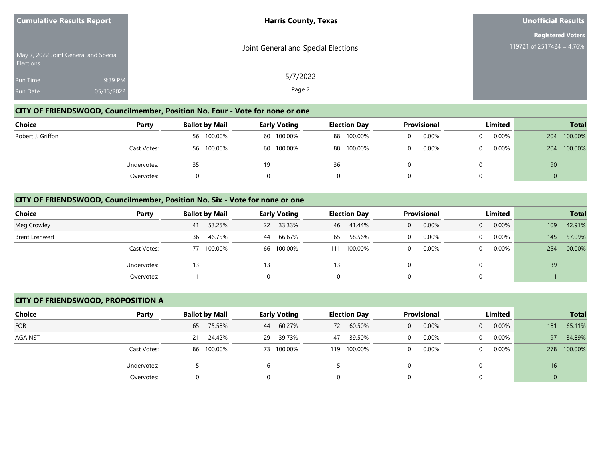| <b>Cumulative Results Report</b> |                                       | <b>Harris County, Texas</b>         | Unofficial Results           |
|----------------------------------|---------------------------------------|-------------------------------------|------------------------------|
|                                  |                                       |                                     | <b>Registered Voters</b>     |
| <b>Elections</b>                 | May 7, 2022 Joint General and Special | Joint General and Special Elections | 119721 of 2517424 = $4.76\%$ |
| <b>Run Time</b>                  | 9:39 PM                               | 5/7/2022                            |                              |
| <b>Run Date</b>                  | 05/13/2022                            | Page 2                              |                              |

### **CITY OF FRIENDSWOOD, Councilmember, Position No. Four - Vote for none or one**

| <b>Choice</b>     | Party       | <b>Ballot by Mail</b><br><b>Early Voting</b> |            | <b>Election Day</b> |            | <b>Provisional</b> |            | Limited |       |  | <b>Total</b> |     |         |
|-------------------|-------------|----------------------------------------------|------------|---------------------|------------|--------------------|------------|---------|-------|--|--------------|-----|---------|
| Robert J. Griffon |             |                                              | 56 100.00% |                     | 60 100.00% |                    | 88 100.00% |         | 0.00% |  | 0.00%        | 204 | 100.00% |
|                   | Cast Votes: |                                              | 56 100.00% |                     | 60 100.00% |                    | 88 100.00% |         | 0.00% |  | $0.00\%$     | 204 | 100.00% |
|                   | Undervotes: | 35                                           |            | 19                  |            | 36                 |            |         |       |  |              | 90  |         |
|                   | Overvotes:  |                                              |            |                     |            |                    |            |         |       |  |              | 0   |         |

#### **CITY OF FRIENDSWOOD, Councilmember, Position No. Six - Vote for none or one**

| <b>Choice</b><br>Party | <b>Ballot by Mail</b> | <b>Early Voting</b> | <b>Election Day</b> | <b>Provisional</b> | Limited                    | <b>Total</b>   |
|------------------------|-----------------------|---------------------|---------------------|--------------------|----------------------------|----------------|
| Meg Crowley            | 53.25%<br>41          | 22 33.33%           | 41.44%<br>46        | 0.00%<br>0         | $0.00\%$<br>$\overline{0}$ | 42.91%<br>109  |
| <b>Brent Erenwert</b>  | 46.75%<br>36          | 66.67%<br>44        | 58.56%<br>65        | 0.00%              | $0.00\%$<br>$\Omega$       | 57.09%<br>145  |
| Cast Votes:            | 77 100.00%            | 66 100.00%          | 100.00%<br>111      | 0.00%              | $0.00\%$<br>$\Omega$       | 100.00%<br>254 |
| Undervotes:            | 13                    | 13                  | 13                  |                    | 0                          | 39             |
| Overvotes:             |                       |                     | 0                   |                    | $\Omega$                   |                |

#### **CITY OF FRIENDSWOOD, PROPOSITION A**

| <b>Choice</b>  | Party       | <b>Ballot by Mail</b> |            |    | <b>Early Voting</b> |     | <b>Election Day</b> | <b>Provisional</b> |       | Limited      |          |     | <b>Total</b> |
|----------------|-------------|-----------------------|------------|----|---------------------|-----|---------------------|--------------------|-------|--------------|----------|-----|--------------|
| <b>FOR</b>     |             | 65                    | 75.58%     | 44 | 60.27%              | 72  | 60.50%              | $\mathbf{0}$       | 0.00% | $\mathbf{0}$ | 0.00%    | 181 | 65.11%       |
| <b>AGAINST</b> |             | 21                    | 24.42%     | 29 | 39.73%              | 47  | 39.50%              |                    | 0.00% | $\Omega$     | $0.00\%$ | 97  | 34.89%       |
|                | Cast Votes: |                       | 86 100.00% |    | 73 100.00%          | 119 | 100.00%             |                    | 0.00% | $\Omega$     | $0.00\%$ | 278 | 100.00%      |
|                | Undervotes: |                       |            |    |                     |     |                     |                    |       | $\Omega$     |          | 16  |              |
|                | Overvotes:  | 0                     |            |    |                     |     |                     |                    |       | $\Omega$     |          |     |              |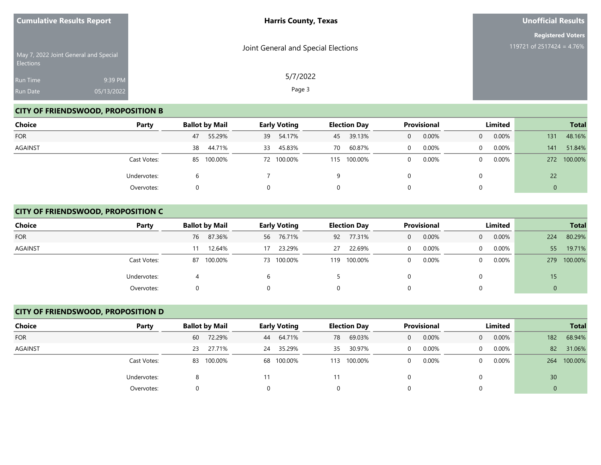| <b>Cumulative Results Report</b>                          |            | <b>Harris County, Texas</b>         | Unofficial Results        |
|-----------------------------------------------------------|------------|-------------------------------------|---------------------------|
|                                                           |            |                                     | <b>Registered Voters</b>  |
| May 7, 2022 Joint General and Special<br><b>Elections</b> |            | Joint General and Special Elections | 119721 of 2517424 = 4.76% |
| Run Time                                                  | 9:39 PM    | 5/7/2022                            |                           |
| Run Date                                                  | 05/13/2022 | Page 3                              |                           |

# **CITY OF FRIENDSWOOD, PROPOSITION B**

| Choice     | Party       | <b>Ballot by Mail</b> | <b>Early Voting</b> | <b>Election Day</b> | <b>Provisional</b> | Limited                  | <b>Total</b>   |
|------------|-------------|-----------------------|---------------------|---------------------|--------------------|--------------------------|----------------|
| <b>FOR</b> |             | 55.29%<br>47          | 54.17%<br>39        | 39.13%<br>45        | 0.00%<br>0         | 0.00%<br>$\mathbf{0}$    | 48.16%<br>131  |
| AGAINST    |             | 44.71%<br>38          | 45.83%<br>33        | 60.87%<br>70        | 0.00%<br>$\Omega$  | $0.00\%$<br>$\mathbf{0}$ | 51.84%<br>141  |
|            | Cast Votes: | 85 100.00%            | 72 100.00%          | 100.00%<br>115      | 0.00%<br>0         | $0.00\%$<br>$\Omega$     | 100.00%<br>272 |
|            | Undervotes: | h                     |                     | 9                   |                    | $\Omega$                 | 22             |
|            | Overvotes:  |                       |                     | 0                   |                    | $\Omega$                 | Ü              |

# **CITY OF FRIENDSWOOD, PROPOSITION C**

| <b>Choice</b> | Party       | <b>Ballot by Mail</b> | <b>Early Voting</b> | <b>Election Day</b> | <b>Provisional</b> | Limited                    | <b>Total</b>   |
|---------------|-------------|-----------------------|---------------------|---------------------|--------------------|----------------------------|----------------|
| <b>FOR</b>    |             | 87.36%<br>76          | 56 76.71%           | 77.31%<br>92        | 0.00%<br>0         | $0.00\%$<br>$\overline{0}$ | 80.29%<br>224  |
| AGAINST       |             | 12.64%<br>11          | 23.29%<br>17        | 22.69%<br>27        | 0.00%<br>$\Omega$  | 0.00%<br>$\Omega$          | 19.71%<br>55   |
|               | Cast Votes: | 87 100.00%            | 73 100.00%          | 100.00%<br>119      | 0.00%<br>0         | $0.00\%$<br>$\overline{0}$ | 100.00%<br>279 |
|               | Undervotes: |                       |                     |                     |                    | 0                          | 15             |
|               | Overvotes:  |                       |                     | 0                   |                    | 0                          |                |

## **CITY OF FRIENDSWOOD, PROPOSITION D**

| Choice         | Party       | <b>Ballot by Mail</b> |            |    | <b>Early Voting</b> |    | <b>Election Day</b> | <b>Provisional</b> |       | Limited        |          |     | <b>Total</b> |
|----------------|-------------|-----------------------|------------|----|---------------------|----|---------------------|--------------------|-------|----------------|----------|-----|--------------|
| <b>FOR</b>     |             | 60                    | 72.29%     |    | 44 64.71%           | 78 | 69.03%              | $\Omega$           | 0.00% | $\overline{0}$ | $0.00\%$ | 182 | 68.94%       |
| <b>AGAINST</b> |             | 23                    | 27.71%     |    | 24 35.29%           | 35 | 30.97%              | $\Omega$           | 0.00% | $\Omega$       | $0.00\%$ | 82  | 31.06%       |
|                | Cast Votes: |                       | 83 100.00% |    | 68 100.00%          |    | 113 100.00%         | $\Omega$           | 0.00% | $\Omega$       | 0.00%    | 264 | 100.00%      |
|                | Undervotes: |                       |            | 11 |                     |    |                     |                    |       |                |          | 30  |              |
|                | Overvotes:  |                       |            |    |                     |    |                     |                    |       |                |          |     |              |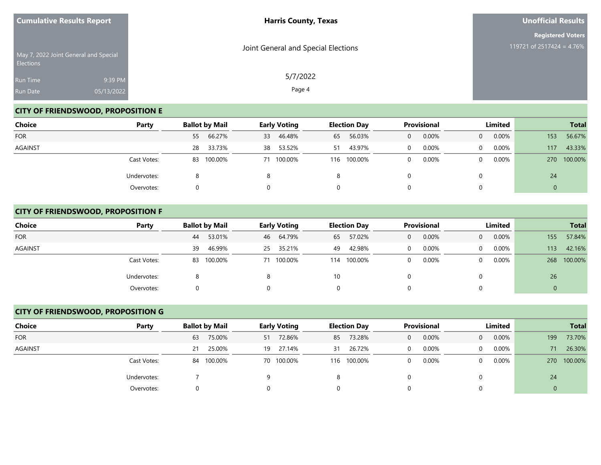| <b>Cumulative Results Report</b>                   |            | <b>Harris County, Texas</b>         | Unofficial Results        |  |
|----------------------------------------------------|------------|-------------------------------------|---------------------------|--|
|                                                    |            |                                     | <b>Registered Voters</b>  |  |
| May 7, 2022 Joint General and Special<br>Elections |            | Joint General and Special Elections | 119721 of 2517424 = 4.76% |  |
| Run Time                                           | 9:39 PM    | 5/7/2022                            |                           |  |
| <b>Run Date</b>                                    | 05/13/2022 | Page 4                              |                           |  |

# **CITY OF FRIENDSWOOD, PROPOSITION E**

| Choice         | Party       | <b>Ballot by Mail</b> | <b>Early Voting</b> | <b>Election Day</b> | <b>Provisional</b> | Limited              | <b>Total</b>          |
|----------------|-------------|-----------------------|---------------------|---------------------|--------------------|----------------------|-----------------------|
| <b>FOR</b>     |             | 66.27%<br>55          | 46.48%<br>33        | 56.03%<br>65        | 0.00%<br>0         | 0.00%<br>$\Omega$    | 56.67%<br>153         |
| <b>AGAINST</b> |             | 33.73%<br>28          | 53.52%<br>38        | 43.97%<br>51        | 0.00%              | $0.00\%$<br>0        | 43.33%<br>117         |
|                | Cast Votes: | 83 100.00%            | 71 100.00%          | 100.00%<br>116      | 0.00%              | $0.00\%$<br>$\Omega$ | 100.00%<br><b>270</b> |
|                | Undervotes: |                       |                     | 8                   |                    | 0                    | 24                    |
|                | Overvotes:  |                       |                     | 0                   |                    | 0                    | $\mathbf 0$           |

#### **CITY OF FRIENDSWOOD, PROPOSITION F**

| <b>Choice</b> | Party       | <b>Ballot by Mail</b> | <b>Early Voting</b> | <b>Election Day</b> | Provisional       | Limited                    | <b>Total</b>   |
|---------------|-------------|-----------------------|---------------------|---------------------|-------------------|----------------------------|----------------|
| <b>FOR</b>    |             | 53.01%<br>44          | 46 64.79%           | 57.02%<br>65        | $0.00\%$<br>0     | $0.00\%$<br>$\overline{0}$ | 57.84%<br>155  |
| AGAINST       |             | 46.99%<br>39          | 25 35.21%           | 42.98%<br>49        | 0.00%<br>$\Omega$ | 0.00%<br>$\Omega$          | 42.16%<br>113  |
|               | Cast Votes: | 83 100.00%            | 71 100.00%          | 100.00%<br>114      | 0.00%<br>0        | $0.00\%$<br>$\overline{0}$ | 100.00%<br>268 |
|               | Undervotes: |                       |                     | 10                  |                   |                            | 26             |
|               | Overvotes:  |                       |                     |                     |                   |                            | 0              |

## **CITY OF FRIENDSWOOD, PROPOSITION G**

| Choice         | Party       |    | <b>Ballot by Mail</b> | <b>Early Voting</b> |    | <b>Election Day</b> |          | <b>Provisional</b> |                | Limited  |             | <b>Total</b> |
|----------------|-------------|----|-----------------------|---------------------|----|---------------------|----------|--------------------|----------------|----------|-------------|--------------|
| <b>FOR</b>     |             | 63 | 75.00%                | 51 72.86%           |    | 85 73.28%           | $\Omega$ | 0.00%              | $\overline{0}$ | $0.00\%$ | 199         | 73.70%       |
| <b>AGAINST</b> |             | 21 | 25.00%                | 19 27.14%           | 31 | 26.72%              |          | 0.00%              | $\cup$         | 0.00%    | 71          | 26.30%       |
|                | Cast Votes: | 84 | 100.00%               | 70 100.00%          |    | 116 100.00%         | $\Omega$ | 0.00%              | $\Omega$       | 0.00%    | <b>270</b>  | 100.00%      |
|                | Undervotes: |    |                       |                     |    |                     |          |                    |                |          | 24          |              |
|                | Overvotes:  |    |                       |                     |    |                     |          |                    |                |          | $\mathbf 0$ |              |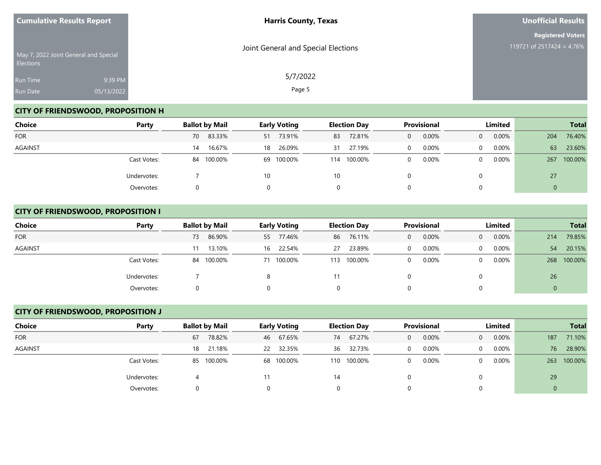| <b>Cumulative Results Report</b> |                                       | <b>Harris County, Texas</b>         | Unofficial Results        |  |
|----------------------------------|---------------------------------------|-------------------------------------|---------------------------|--|
|                                  |                                       |                                     | <b>Registered Voters</b>  |  |
| Elections                        | May 7, 2022 Joint General and Special | Joint General and Special Elections | 119721 of 2517424 = 4.76% |  |
| Run Time                         | 9:39 PM                               | 5/7/2022                            |                           |  |
| Run Date                         | 05/13/2022                            | Page 5                              |                           |  |

# **CITY OF FRIENDSWOOD, PROPOSITION H**

| Choice         | Party       | <b>Ballot by Mail</b> | <b>Early Voting</b> | <b>Election Day</b> | Provisional       | Limited                    | <b>Total</b>   |
|----------------|-------------|-----------------------|---------------------|---------------------|-------------------|----------------------------|----------------|
| <b>FOR</b>     |             | 83.33%<br>70          | 51 73.91%           | 72.81%<br>83        | 0.00%<br>$\Omega$ | $0.00\%$<br>$\overline{0}$ | 76.40%<br>204  |
| <b>AGAINST</b> |             | 16.67%<br>14          | 26.09%<br>18        | 27.19%<br>31        | 0.00%<br>0        | 0.00%<br>0                 | 23.60%<br>63   |
|                | Cast Votes: | 84 100.00%            | 69 100.00%          | 100.00%<br>114      | 0.00%<br>0        | $0.00\%$<br>0              | 100.00%<br>267 |
|                | Undervotes: |                       | 10                  | 10                  |                   |                            | 27             |
|                | Overvotes:  |                       |                     | 0                   |                   |                            | 0              |

## **CITY OF FRIENDSWOOD, PROPOSITION I**

| <b>Choice</b>  | Party       | <b>Ballot by Mail</b> | <b>Early Voting</b> | <b>Election Day</b> | <b>Provisional</b> | Limited                    | <b>Total</b>   |
|----------------|-------------|-----------------------|---------------------|---------------------|--------------------|----------------------------|----------------|
| <b>FOR</b>     |             | 86.90%<br>73          | 55 77.46%           | 76.11%<br>86        | 0.00%<br>0         | $0.00\%$<br>$\overline{0}$ | 79.85%<br>214  |
| <b>AGAINST</b> |             | 13.10%<br>11          | 22.54%<br>16        | 23.89%<br>27        | 0.00%<br>0         | $0.00\%$<br>$\overline{0}$ | 20.15%<br>54   |
|                | Cast Votes: | 84 100.00%            | 71 100.00%          | 100.00%<br>113      | 0.00%<br>0         | $0.00\%$<br>$\Omega$       | 100.00%<br>268 |
|                | Undervotes: |                       |                     | 11                  |                    |                            | 26             |
|                | Overvotes:  |                       |                     | 0                   |                    |                            | 0              |

## **CITY OF FRIENDSWOOD, PROPOSITION J**

| Choice         | Party       | <b>Ballot by Mail</b> | <b>Early Voting</b> | <b>Election Day</b> | <b>Provisional</b> | Limited                 | <b>Total</b>   |
|----------------|-------------|-----------------------|---------------------|---------------------|--------------------|-------------------------|----------------|
| <b>FOR</b>     |             | 78.82%<br>67          | 67.65%<br>46        | 67.27%<br>74        | 0.00%<br>$\Omega$  | 0.00%<br>$\overline{0}$ | 71.10%<br>187  |
| <b>AGAINST</b> |             | 21.18%<br>18          | 22 32.35%           | 36 32.73%           | 0.00%              | 0.00%<br>$\Omega$       | 28.90%<br>76   |
|                | Cast Votes: | 100.00%<br>85         | 68 100.00%          | 100.00%<br>110      | 0.00%<br>$\Omega$  | 0.00%<br>0              | 100.00%<br>263 |
|                | Undervotes: | 4                     | 11                  | 14                  |                    |                         | 29             |
|                | Overvotes:  | 0                     |                     |                     |                    |                         | $\mathbf 0$    |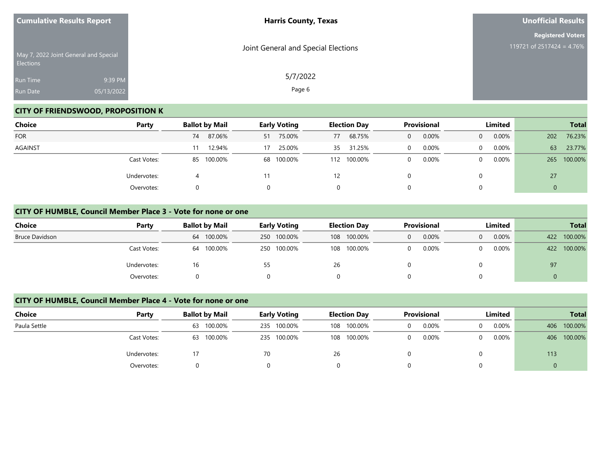| <b>Cumulative Results Report</b>                   |            | <b>Harris County, Texas</b>         | Unofficial Results        |  |
|----------------------------------------------------|------------|-------------------------------------|---------------------------|--|
|                                                    |            |                                     | <b>Registered Voters</b>  |  |
| May 7, 2022 Joint General and Special<br>Elections |            | Joint General and Special Elections | 119721 of 2517424 = 4.76% |  |
| Run Time                                           | 9:39 PM    | 5/7/2022                            |                           |  |
| <b>Run Date</b>                                    | 05/13/2022 | Page 6                              |                           |  |

# **CITY OF FRIENDSWOOD, PROPOSITION K**

| Choice     | Party       | <b>Ballot by Mail</b> | <b>Early Voting</b> | <b>Election Day</b> | Provisional           | Limited              | <b>Total</b>   |
|------------|-------------|-----------------------|---------------------|---------------------|-----------------------|----------------------|----------------|
| <b>FOR</b> |             | 87.06%<br>74          | 75.00%<br>51        | 68.75%<br>77        | 0.00%<br>$\mathbf{0}$ | 0.00%<br>$\Omega$    | 76.23%<br>202  |
| AGAINST    |             | 12.94%                | 25.00%<br>17        | 31.25%<br>35        | $0.00\%$<br>0         | $0.00\%$<br>$\Omega$ | 63<br>23.77%   |
|            | Cast Votes: | 85 100.00%            | 68 100.00%          | 100.00%<br>112      | 0.00%<br>0            | $0.00\%$<br>$\Omega$ | 100.00%<br>265 |
|            | Undervotes: |                       | 11                  | 12                  |                       |                      | 27             |
|            | Overvotes:  | 0                     | 0                   | 0                   |                       |                      | 0              |

#### **CITY OF HUMBLE, Council Member Place 3 - Vote for none or one**

| Choice                | Party       | <b>Ballot by Mail</b> | <b>Early Voting</b> | <b>Election Day</b> | <b>Provisional</b> | <b>Limited</b>       | <b>Total</b>   |
|-----------------------|-------------|-----------------------|---------------------|---------------------|--------------------|----------------------|----------------|
| <b>Bruce Davidson</b> |             | 64 100.00%            | 250 100.00%         | 108 100.00%         | 0.00%<br>0         | $0.00\%$<br>$\Omega$ | 100.00%<br>422 |
|                       | Cast Votes: | 100.00%<br>64         | 250 100.00%         | 108 100.00%         | 0.00%              | 0.00%                | 100.00%<br>422 |
|                       | Undervotes: | 16                    |                     | 26                  |                    |                      | 97             |
|                       | Overvotes:  |                       |                     | 0                   |                    |                      | ν              |

#### **CITY OF HUMBLE, Council Member Place 4 - Vote for none or one**

| <b>Choice</b> | Party       | <b>Ballot by Mail</b> | <b>Early Voting</b> | <b>Election Day</b> | <b>Provisional</b> | <b>Limited</b> | <b>Total</b>   |
|---------------|-------------|-----------------------|---------------------|---------------------|--------------------|----------------|----------------|
| Paula Settle  |             | 100.00%<br>63         | 235 100.00%         | 100.00%<br>108      | 0.00%              | 0.00%<br>0     | 100.00%<br>406 |
|               | Cast Votes: | 100.00%<br>63         | 235 100.00%         | 108 100.00%         | 0.00%              | $0.00\%$<br>0  | 100.00%<br>406 |
|               | Undervotes: |                       | 70                  | 26                  |                    |                | 113            |
|               | Overvotes:  |                       |                     |                     |                    |                | U              |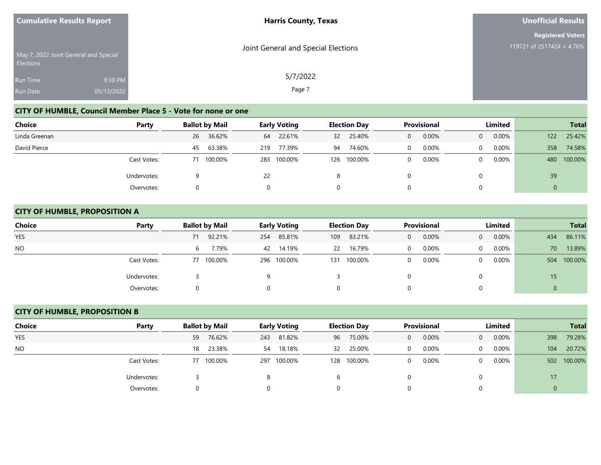| <b>Cumulative Results Report</b> |                                       | <b>Harris County, Texas</b>         | Unofficial Results        |
|----------------------------------|---------------------------------------|-------------------------------------|---------------------------|
|                                  |                                       |                                     | <b>Registered Voters</b>  |
| <b>Elections</b>                 | May 7, 2022 Joint General and Special | Joint General and Special Elections | 119721 of 2517424 = 4.76% |
| <b>Run Time</b>                  | 9:39 PM                               | 5/7/2022                            |                           |
| <b>Run Date</b>                  | 05/13/2022                            | Page 7                              |                           |

# **CITY OF HUMBLE, Council Member Place 5 - Vote for none or one**

| Choice        | Party       | <b>Ballot by Mail</b> |         | <b>Early Voting</b> |             | <b>Election Day</b> |         | <b>Provisional</b> |       | Limited  |          |     | <b>Total</b> |
|---------------|-------------|-----------------------|---------|---------------------|-------------|---------------------|---------|--------------------|-------|----------|----------|-----|--------------|
| Linda Greenan |             | 26                    | 36.62%  | 64                  | 22.61%      | 32 <sup>2</sup>     | 25.40%  | 0                  | 0.00% | $\Omega$ | $0.00\%$ | 122 | 25.42%       |
| David Pierce  |             | 45                    | 63.38%  | 219                 | 77.39%      | 94                  | 74.60%  |                    | 0.00% | 0        | $0.00\%$ | 358 | 74.58%       |
|               | Cast Votes: |                       | 100.00% |                     | 283 100.00% | 126                 | 100.00% |                    | 0.00% | 0        | $0.00\%$ | 480 | 100.00%      |
|               | Undervotes: |                       |         | 22                  |             | 8                   |         |                    |       |          |          | 39  |              |
|               | Overvotes:  |                       |         |                     |             |                     |         |                    |       |          |          |     |              |

## **CITY OF HUMBLE, PROPOSITION A**

| <b>Choice</b> | Party       |    | <b>Ballot by Mail</b> |     | <b>Early Voting</b> |     | <b>Election Day</b> |          | <b>Provisional</b> |                | Limited  | <b>Total</b> |         |
|---------------|-------------|----|-----------------------|-----|---------------------|-----|---------------------|----------|--------------------|----------------|----------|--------------|---------|
| <b>YES</b>    |             | 71 | 92.21%                | 254 | 85.81%              | 109 | 83.21%              | 0        | 0.00%              | $\overline{0}$ | $0.00\%$ | 434          | 86.11%  |
| <b>NO</b>     |             | 6  | 7.79%                 | 42  | 14.19%              | 22  | 16.79%              | $\Omega$ | 0.00%              | $\overline{0}$ | $0.00\%$ | 70           | 13.89%  |
|               | Cast Votes: |    | 77 100.00%            |     | 296 100.00%         | 131 | 100.00%             |          | 0.00%              | $\Omega$       | $0.00\%$ | 504          | 100.00% |
|               | Undervotes: |    |                       |     |                     |     |                     |          |                    | 0              |          | 15           |         |
|               | Overvotes:  |    |                       |     |                     |     | 0                   |          |                    |                | 0        |              |         |

## **CITY OF HUMBLE, PROPOSITION B**

| Choice         | Party       |    | <b>Ballot by Mail</b> |     | <b>Early Voting</b> |    | <b>Election Day</b> |          | <b>Provisional</b> |                | Limited  |     | <b>Total</b> |
|----------------|-------------|----|-----------------------|-----|---------------------|----|---------------------|----------|--------------------|----------------|----------|-----|--------------|
| <b>YES</b>     |             | 59 | 76.62%                | 243 | 81.82%              |    | 96 75.00%           | $\Omega$ | 0.00%              | $\overline{0}$ | $0.00\%$ | 398 | 79.28%       |
| N <sub>O</sub> |             | 18 | 23.38%                | 54  | 18.18%              | 32 | 25.00%              | $\Omega$ | 0.00%              | $\Omega$       | $0.00\%$ | 104 | 20.72%       |
|                | Cast Votes: | 77 | 100.00%               |     | 297 100.00%         |    | 128 100.00%         | $\Omega$ | 0.00%              | $\Omega$       | 0.00%    | 502 | 100.00%      |
|                | Undervotes: |    |                       |     |                     |    |                     |          |                    |                |          | 17  |              |
|                | Overvotes:  |    |                       |     |                     |    |                     |          |                    |                |          |     |              |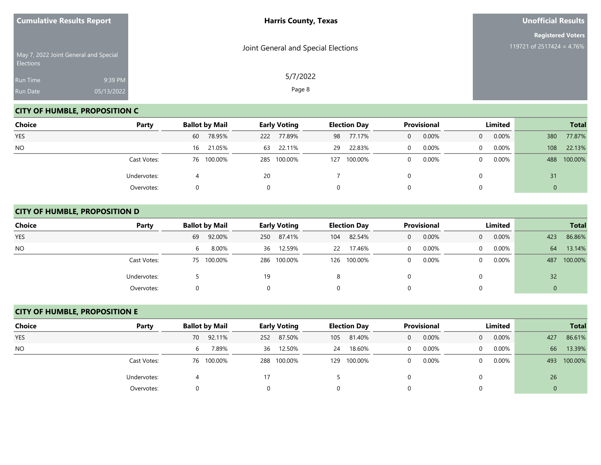| <b>Cumulative Results Report</b> |                                       | <b>Harris County, Texas</b>         | <b>Unofficial Results</b>                             |
|----------------------------------|---------------------------------------|-------------------------------------|-------------------------------------------------------|
| Elections                        | May 7, 2022 Joint General and Special | Joint General and Special Elections | <b>Registered Voters</b><br>119721 of 2517424 = 4.76% |
| Run Time<br>Run Date             | 9:39 PM<br>05/13/2022                 | 5/7/2022<br>Page 8                  |                                                       |

# **CITY OF HUMBLE, PROPOSITION C**

| Choice     | Party       | <b>Ballot by Mail</b> | <b>Early Voting</b> | <b>Election Day</b> | Provisional | Limited              | <b>Total</b>   |
|------------|-------------|-----------------------|---------------------|---------------------|-------------|----------------------|----------------|
| <b>YES</b> |             | 78.95%<br>60          | 77.89%<br>222       | 77.17%<br>98        | 0.00%<br>0  | $0.00\%$<br>$\Omega$ | 77.87%<br>380  |
| <b>NO</b>  |             | 16 21.05%             | 22.11%<br>63        | 22.83%<br>29        | 0.00%       | $0.00\%$<br>$\Omega$ | 22.13%<br>108  |
|            | Cast Votes: | 76 100.00%            | 285 100.00%         | 100.00%<br>127      | 0.00%       | 0.00%<br>$\Omega$    | 100.00%<br>488 |
|            | Undervotes: |                       | 20                  |                     |             | 0                    | 31             |
|            | Overvotes:  |                       |                     | 0                   |             | 0                    | 0              |

## **CITY OF HUMBLE, PROPOSITION D**

| <b>Choice</b> | Party       | <b>Ballot by Mail</b> | <b>Early Voting</b> | <b>Election Day</b> | <b>Provisional</b>    | Limited                  | <b>Total</b>     |
|---------------|-------------|-----------------------|---------------------|---------------------|-----------------------|--------------------------|------------------|
| <b>YES</b>    |             | 92.00%<br>69          | 87.41%<br>250       | 82.54%<br>104       | 0.00%<br>$\mathbf{0}$ | 0.00%<br>$\overline{0}$  | 86.86%<br>423    |
| <b>NO</b>     |             | 8.00%<br>6            | 36 12.59%           | 17.46%<br><b>22</b> | 0.00%<br>$\Omega$     | 0.00%<br>$\Omega$        | 13.14%<br>64     |
|               | Cast Votes: | 75 100.00%            | 286 100.00%         | 126 100.00%         | 0.00%<br>$\mathbf 0$  | $0.00\%$<br>$\mathbf{0}$ | 100.00%<br>487   |
|               | Undervotes: |                       | 19                  |                     |                       | 0                        | 32               |
|               | Overvotes:  |                       |                     | 0                   | 0                     | 0                        | $\boldsymbol{0}$ |

## **CITY OF HUMBLE, PROPOSITION E**

| Choice         | Party       | <b>Ballot by Mail</b> | <b>Early Voting</b> |                | Provisional<br><b>Election Day</b> | Limited                    | <b>Total</b>   |
|----------------|-------------|-----------------------|---------------------|----------------|------------------------------------|----------------------------|----------------|
| <b>YES</b>     |             | 92.11%<br>70          | 87.50%<br>252       | 81.40%<br>105  | 0.00%<br>$\Omega$                  | $0.00\%$<br>$\overline{0}$ | 86.61%<br>427  |
| N <sub>O</sub> |             | 7.89%<br>6.           | 36 12.50%           | 18.60%<br>24   | 0.00%<br>$\Omega$                  | $0.00\%$<br>$\Omega$       | 13.39%<br>66   |
|                | Cast Votes: | 76 100.00%            | 288 100.00%         | 100.00%<br>129 | 0.00%<br>$\Omega$                  | $0.00\%$<br>0              | 100.00%<br>493 |
|                | Undervotes: |                       | 17                  |                |                                    |                            | 26             |
|                | Overvotes:  |                       |                     |                |                                    |                            |                |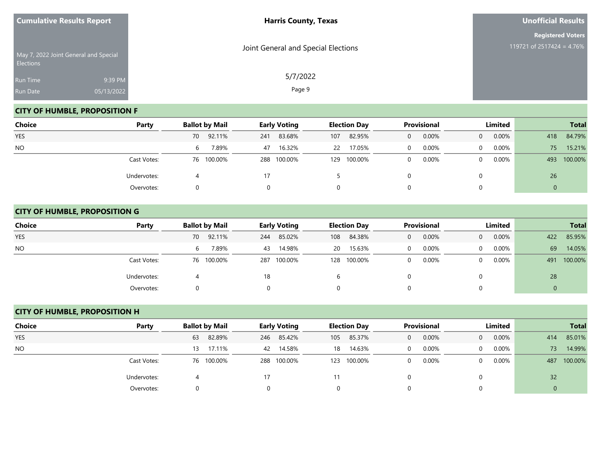| <b>Cumulative Results Report</b>                          |            | <b>Harris County, Texas</b>         | <b>Unofficial Results</b>                             |  |  |
|-----------------------------------------------------------|------------|-------------------------------------|-------------------------------------------------------|--|--|
|                                                           |            | Joint General and Special Elections | <b>Registered Voters</b><br>119721 of 2517424 = 4.76% |  |  |
| May 7, 2022 Joint General and Special<br><b>Elections</b> |            |                                     |                                                       |  |  |
| Run Time                                                  | 9:39 PM    | 5/7/2022                            |                                                       |  |  |
| Run Date                                                  | 05/13/2022 | Page 9                              |                                                       |  |  |

# **CITY OF HUMBLE, PROPOSITION F**

| Choice     | Party       | <b>Ballot by Mail</b> | <b>Early Voting</b> | <b>Election Day</b> | <b>Provisional</b> | Limited              | <b>Total</b>   |
|------------|-------------|-----------------------|---------------------|---------------------|--------------------|----------------------|----------------|
| <b>YES</b> |             | 70 92.11%             | 83.68%<br>241       | 82.95%<br>107       | 0.00%<br>0         | 0.00%<br>$\Omega$    | 84.79%<br>418  |
| <b>NO</b>  |             | 7.89%<br>6            | 16.32%<br>47        | 17.05%<br>22        | 0.00%              | $0.00\%$<br>$\Omega$ | 15.21%<br>75   |
|            | Cast Votes: | 76 100.00%            | 288 100.00%         | 100.00%<br>129      | 0.00%              | 0.00%<br>$\Omega$    | 100.00%<br>493 |
|            | Undervotes: |                       | 17                  |                     |                    | 0                    | 26             |
|            | Overvotes:  |                       |                     | 0                   |                    | 0                    | 0              |

## **CITY OF HUMBLE, PROPOSITION G**

| <b>Choice</b> | Party       | <b>Ballot by Mail</b> | <b>Early Voting</b> | <b>Election Day</b> | <b>Provisional</b>    | Limited              | <b>Total</b>   |
|---------------|-------------|-----------------------|---------------------|---------------------|-----------------------|----------------------|----------------|
| <b>YES</b>    |             | 70 92.11%             | 85.02%<br>244       | 84.38%<br>108       | 0.00%<br>$\mathbf{0}$ | 0.00%<br>$\Omega$    | 85.95%<br>422  |
| <b>NO</b>     |             | 7.89%<br>6            | 14.98%<br>43        | 15.63%<br>20        | $0.00\%$<br>0         | $0.00\%$<br>$\Omega$ | 69<br>14.05%   |
|               | Cast Votes: | 76 100.00%            | 100.00%<br>287      | 100.00%<br>128      | 0.00%<br>0            | 0.00%<br>$\Omega$    | 100.00%<br>491 |
|               | Undervotes: |                       | 18                  | b                   |                       |                      | 28             |
|               | Overvotes:  |                       |                     | 0                   |                       |                      | $\mathbf{0}$   |

## **CITY OF HUMBLE, PROPOSITION H**

| Choice         | Party       |    | <b>Ballot by Mail</b> |     | <b>Early Voting</b> |     | <b>Election Day</b> |          | Provisional |                | Limited  |     | <b>Total</b> |
|----------------|-------------|----|-----------------------|-----|---------------------|-----|---------------------|----------|-------------|----------------|----------|-----|--------------|
| <b>YES</b>     |             | 63 | 82.89%                | 246 | 85.42%              | 105 | 85.37%              | $\Omega$ | 0.00%       | $\overline{0}$ | $0.00\%$ | 414 | 85.01%       |
| N <sub>O</sub> |             | 13 | 17.11%                |     | 42 14.58%           | 18  | 14.63%              | $\Omega$ | 0.00%       | $\Omega$       | $0.00\%$ | 73  | 14.99%       |
|                | Cast Votes: |    | 76 100.00%            |     | 288 100.00%         | 123 | 100.00%             | $\Omega$ | 0.00%       | 0              | $0.00\%$ | 487 | 100.00%      |
|                | Undervotes: |    |                       | 17  |                     |     |                     |          |             |                |          | 32  |              |
|                | Overvotes:  |    |                       |     |                     |     |                     |          |             |                |          |     |              |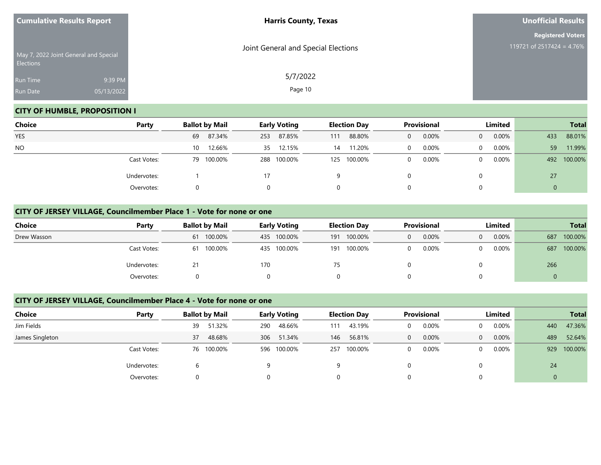| <b>Cumulative Results Report</b> |                                       | <b>Harris County, Texas</b>         | <b>Unofficial Results</b>                             |  |  |
|----------------------------------|---------------------------------------|-------------------------------------|-------------------------------------------------------|--|--|
|                                  | May 7, 2022 Joint General and Special | Joint General and Special Elections | <b>Registered Voters</b><br>119721 of 2517424 = 4.76% |  |  |
| <b>Elections</b>                 |                                       | 5/7/2022                            |                                                       |  |  |
| Run Time                         | 9:39 PM                               |                                     |                                                       |  |  |
| Run Date                         | 05/13/2022                            | Page 10                             |                                                       |  |  |

## **CITY OF HUMBLE, PROPOSITION I**

| Choice     | Party       | <b>Ballot by Mail</b> | <b>Early Voting</b> | <b>Election Day</b> | Provisional       | Limited              | <b>Total</b>   |  |
|------------|-------------|-----------------------|---------------------|---------------------|-------------------|----------------------|----------------|--|
| <b>YES</b> |             | 87.34%<br>69          | 87.85%<br>253       | 88.80%<br>111       | 0.00%<br>$\Omega$ | 0.00%<br>$\Omega$    | 88.01%<br>433  |  |
| <b>NO</b>  |             | 12.66%<br>10          | 35 12.15%           | 11.20%<br>14        | 0.00%<br>$\Omega$ | $0.00\%$<br>$\Omega$ | 11.99%<br>59   |  |
|            | Cast Votes: | 79 100.00%            | 288 100.00%         | 125 100.00%         | 0.00%<br>$\Omega$ | 0.00%<br>0           | 100.00%<br>492 |  |
|            | Undervotes: |                       | 17                  | 9                   |                   |                      | 27             |  |
|            | Overvotes:  |                       | 0                   | 0                   | 0                 |                      | 0              |  |

#### **CITY OF JERSEY VILLAGE, Councilmember Place 1 - Vote for none or one**

| Choice      | Party       | <b>Ballot by Mail</b> | <b>Early Voting</b> | <b>Election Day</b> | <b>Provisional</b> | <b>Limited</b>    | <b>Total</b>   |
|-------------|-------------|-----------------------|---------------------|---------------------|--------------------|-------------------|----------------|
| Drew Wasson |             | 100.00%<br>61         | 435 100.00%         | 100.00%<br>191      | 0.00%<br>0         | 0.00%<br>$\Omega$ | 100.00%<br>687 |
|             | Cast Votes: | 100.00%<br>61         | 435 100.00%         | 100.00%<br>191      | 0.00%<br>0         | $0.00\%$          | 100.00%<br>687 |
|             | Undervotes: |                       | 170                 | 75                  |                    |                   | 266            |
|             | Overvotes:  |                       |                     | 0                   |                    |                   | 0              |

#### **CITY OF JERSEY VILLAGE, Councilmember Place 4 - Vote for none or one**

| Choice          | Party       | <b>Ballot by Mail</b> | <b>Early Voting</b> | <b>Election Day</b> | <b>Provisional</b> | Limited           | <b>Total</b>   |  |
|-----------------|-------------|-----------------------|---------------------|---------------------|--------------------|-------------------|----------------|--|
| Jim Fields      |             | 51.32%<br>39          | 48.66%<br>290       | 43.19%<br>111       | $0.00\%$<br>0      | 0.00%             | 47.36%<br>440  |  |
| James Singleton |             | 48.68%<br>37          | 306 51.34%          | 56.81%<br>146       | 0.00%<br>0         | 0.00%<br>$\Omega$ | 52.64%<br>489  |  |
|                 | Cast Votes: | 76 100.00%            | 596 100.00%         | 100.00%<br>257      | 0.00%<br>0         | $0.00\%$<br>0     | 100.00%<br>929 |  |
|                 | Undervotes: |                       | Q                   | q                   |                    |                   | 24             |  |
|                 | Overvotes:  |                       | $\Omega$            | 0                   |                    |                   | 0              |  |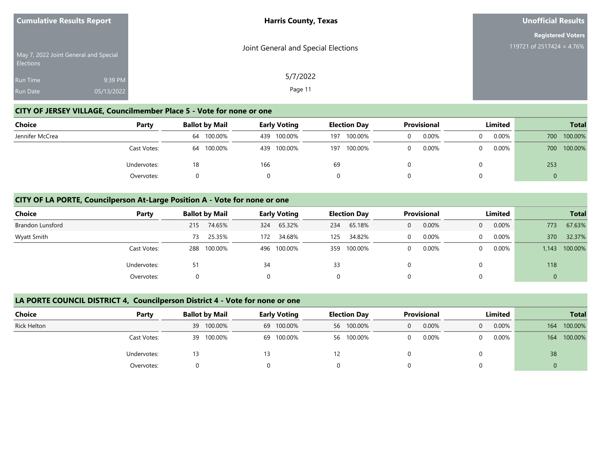| <b>Cumulative Results Report</b>   |                                       | <b>Harris County, Texas</b>         | <b>Unofficial Results</b>                             |  |  |
|------------------------------------|---------------------------------------|-------------------------------------|-------------------------------------------------------|--|--|
| <b>Elections</b>                   | May 7, 2022 Joint General and Special | Joint General and Special Elections | <b>Registered Voters</b><br>119721 of 2517424 = 4.76% |  |  |
| <b>Run Time</b><br><b>Run Date</b> | 9:39 PM<br>05/13/2022                 | 5/7/2022<br>Page 11                 |                                                       |  |  |

## **CITY OF JERSEY VILLAGE, Councilmember Place 5 - Vote for none or one**

| Choice          | Party       | <b>Ballot by Mail</b> | <b>Early Voting</b> | <b>Election Day</b> | Provisional | Limited  | <b>Total</b> |
|-----------------|-------------|-----------------------|---------------------|---------------------|-------------|----------|--------------|
| Jennifer McCrea |             | 100.00%<br>64         | 100.00%<br>439      | 100.00%<br>197      | 0.00%       | $0.00\%$ | 700 100.00%  |
|                 | Cast Votes: | 100.00%<br>64         | 100.00%<br>439      | 100.00%<br>197      | 0.00%       | 0.00%    | 700 100.00%  |
|                 | Undervotes: | 18                    | 166                 | 69                  |             |          | 253          |
|                 | Overvotes:  |                       |                     |                     |             |          | $\mathbf 0$  |

#### **CITY OF LA PORTE, Councilperson At-Large Position A - Vote for none or one**

| <b>Choice</b>           | Party       | <b>Ballot by Mail</b> | <b>Early Voting</b> | <b>Election Day</b> | <b>Provisional</b> | Limited              | <b>Total</b>     |  |
|-------------------------|-------------|-----------------------|---------------------|---------------------|--------------------|----------------------|------------------|--|
| <b>Brandon Lunsford</b> |             | 74.65%<br>215         | 65.32%<br>324       | 65.18%<br>234       | 0.00%<br>0         | $0.00\%$<br>$\Omega$ | 67.63%<br>773    |  |
| Wyatt Smith             |             | 25.35%<br>73          | 34.68%<br>172       | 34.82%<br>125       | 0.00%              | 0.00%<br>$\Omega$    | 32.37%<br>370    |  |
|                         | Cast Votes: | 100.00%<br>288        | 496 100.00%         | 100.00%<br>359      | 0.00%              | $0.00\%$<br>$\Omega$ | 100.00%<br>1,143 |  |
|                         | Undervotes: | 51                    | 34                  | 33                  |                    | $\Omega$             | 118              |  |
|                         | Overvotes:  |                       | 0                   |                     |                    |                      |                  |  |

#### **LA PORTE COUNCIL DISTRICT 4, Councilperson District 4 - Vote for none or one**

| <b>Choice</b>      | Party       | <b>Ballot by Mail</b> | <b>Early Voting</b> | <b>Election Day</b> | Provisional       | Limited  | <b>Total</b>   |
|--------------------|-------------|-----------------------|---------------------|---------------------|-------------------|----------|----------------|
| <b>Rick Helton</b> |             | 39 100.00%            | 69 100.00%          | 56 100.00%          | 0.00%<br>$\Omega$ | 0.00%    | 100.00%<br>164 |
|                    | Cast Votes: | 100.00%<br>39         | 69 100.00%          | 56 100.00%          | 0.00%<br>$\Omega$ | $0.00\%$ | 100.00%<br>164 |
|                    | Undervotes: | 13                    | 13                  | 12.                 |                   |          | 38             |
|                    | Overvotes:  |                       |                     |                     |                   |          |                |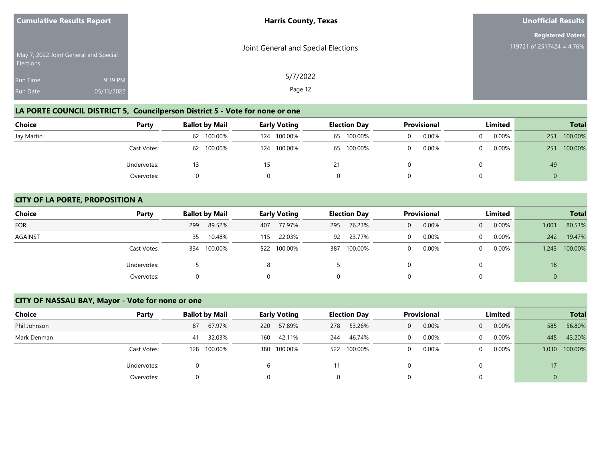| <b>Cumulative Results Report</b>                          |            | <b>Harris County, Texas</b>         | <b>Unofficial Results</b>                             |  |  |
|-----------------------------------------------------------|------------|-------------------------------------|-------------------------------------------------------|--|--|
|                                                           |            |                                     | <b>Registered Voters</b><br>119721 of 2517424 = 4.76% |  |  |
| May 7, 2022 Joint General and Special<br><b>Elections</b> |            | Joint General and Special Elections |                                                       |  |  |
| Run Time                                                  | 9:39 PM    | 5/7/2022                            |                                                       |  |  |
| <b>Run Date</b>                                           | 05/13/2022 | Page 12                             |                                                       |  |  |

# **LA PORTE COUNCIL DISTRICT 5, Councilperson District 5 - Vote for none or one**

| Choice     | Party       | <b>Ballot by Mail</b> | <b>Early Voting</b> | <b>Election Day</b> | <b>Provisional</b> | Limited  | <b>Total</b>   |  |
|------------|-------------|-----------------------|---------------------|---------------------|--------------------|----------|----------------|--|
| Jay Martin |             | 62 100.00%            | 100.00%<br>124      | 65 100.00%          | 0.00%              | $0.00\%$ | 100.00%<br>251 |  |
|            | Cast Votes: | 62 100.00%            | 124 100.00%         | 65 100.00%          | 0.00%              | $0.00\%$ | 100.00%<br>251 |  |
|            | Undervotes: |                       |                     |                     |                    |          | 49             |  |
|            | Overvotes:  |                       |                     |                     |                    |          |                |  |

#### **CITY OF LA PORTE, PROPOSITION A**

| <b>Choice</b>  | Party       | <b>Ballot by Mail</b> | <b>Early Voting</b> | <b>Election Day</b> | <b>Provisional</b> | Limited              | <b>Total</b>     |  |
|----------------|-------------|-----------------------|---------------------|---------------------|--------------------|----------------------|------------------|--|
| <b>FOR</b>     |             | 299<br>89.52%         | 77.97%<br>407       | 76.23%<br>295       | 0.00%<br>0         | 0.00%<br>$\Omega$    | 80.53%<br>1,001  |  |
| <b>AGAINST</b> |             | 10.48%<br>35          | 22.03%<br>115       | 23.77%<br>92        | 0.00%              | $0.00\%$<br>$\Omega$ | 19.47%<br>242    |  |
|                | Cast Votes: | 100.00%<br>334        | 522 100.00%         | 100.00%<br>387      | 0.00%              | 0.00%<br>$\Omega$    | 100.00%<br>1,243 |  |
|                | Undervotes: |                       |                     |                     |                    | 0                    | 18               |  |
|                | Overvotes:  |                       |                     | 0                   |                    | 0                    |                  |  |

## **CITY OF NASSAU BAY, Mayor - Vote for none or one**

| <b>Choice</b> | Party       | <b>Ballot by Mail</b> |         | <b>Early Voting</b> |             | <b>Election Day</b> |         | <b>Provisional</b> |       | <b>Limited</b> |          | <b>Total</b> |         |
|---------------|-------------|-----------------------|---------|---------------------|-------------|---------------------|---------|--------------------|-------|----------------|----------|--------------|---------|
| Phil Johnson  |             | 87                    | 67.97%  | 220                 | 57.89%      | 278                 | 53.26%  | 0                  | 0.00% | $\Omega$       | 0.00%    | 585          | 56.80%  |
| Mark Denman   |             | 41                    | 32.03%  | 160                 | 42.11%      | 244                 | 46.74%  | $\Omega$           | 0.00% | $\Omega$       | $0.00\%$ | 445          | 43.20%  |
|               | Cast Votes: | 128                   | 100.00% |                     | 380 100.00% | 522                 | 100.00% | $\Omega$           | 0.00% | $\Omega$       | 0.00%    | 1,030        | 100.00% |
|               | Undervotes: |                       |         |                     |             |                     |         |                    |       | 0              |          | 17           |         |
|               | Overvotes:  |                       |         |                     |             | 0                   |         | 0                  |       | 0              |          | $\mathbf 0$  |         |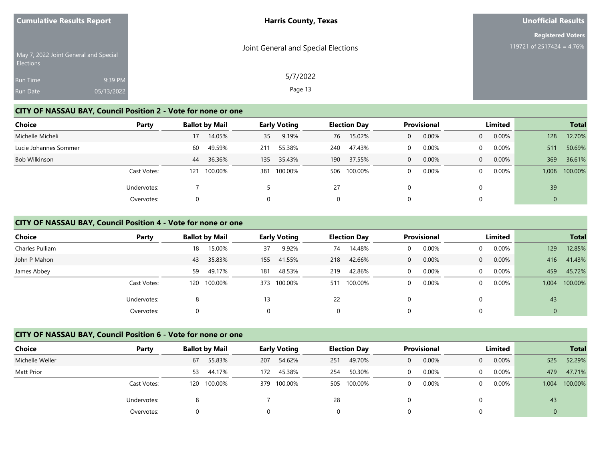| <b>Cumulative Results Report</b> |                                       | <b>Harris County, Texas</b>         | <b>Unofficial Results</b>                             |
|----------------------------------|---------------------------------------|-------------------------------------|-------------------------------------------------------|
| Elections                        | May 7, 2022 Joint General and Special | Joint General and Special Elections | <b>Registered Voters</b><br>119721 of 2517424 = 4.76% |
| Run Time<br>Run Date             | 9:39 PM<br>05/13/2022                 | 5/7/2022<br>Page 13                 |                                                       |

#### **CITY OF NASSAU BAY, Council Position 2 - Vote for none or one**

| <b>Choice</b>         | Party       |     | <b>Ballot by Mail</b> |     | <b>Early Voting</b> |     | <b>Election Day</b> |   | <b>Provisional</b> |                | Limited  |              | <b>Total</b> |
|-----------------------|-------------|-----|-----------------------|-----|---------------------|-----|---------------------|---|--------------------|----------------|----------|--------------|--------------|
| Michelle Micheli      |             | 17  | 14.05%                | 35  | 9.19%               | 76  | 15.02%              | 0 | 0.00%              | $\overline{0}$ | $0.00\%$ | 128          | 12.70%       |
| Lucie Johannes Sommer |             | 60  | 49.59%                | 211 | 55.38%              | 240 | 47.43%              |   | 0.00%              | $\Omega$       | $0.00\%$ | 511          | 50.69%       |
| Bob Wilkinson         |             | 44  | 36.36%                | 135 | 35.43%              | 190 | 37.55%              | 0 | 0.00%              | $\Omega$       | $0.00\%$ | 369          | 36.61%       |
|                       | Cast Votes: | 121 | 100.00%               | 381 | 100.00%             |     | 506 100.00%         | 0 | 0.00%              | $\Omega$       | 0.00%    | 1,008        | 100.00%      |
|                       | Undervotes: |     |                       |     |                     | 27  |                     | 0 |                    | 0              |          | 39           |              |
|                       | Overvotes:  | 0   |                       | 0   |                     | 0   |                     | 0 |                    | 0              |          | $\mathbf{0}$ |              |

#### **CITY OF NASSAU BAY, Council Position 4 - Vote for none or one**

| <b>Choice</b>   | Party       | <b>Ballot by Mail</b> |         |     | <b>Early Voting</b> |     | <b>Election Day</b> |          | Provisional |          | Limited |       | <b>Total</b> |
|-----------------|-------------|-----------------------|---------|-----|---------------------|-----|---------------------|----------|-------------|----------|---------|-------|--------------|
| Charles Pulliam |             | 18                    | 15.00%  | 37  | 9.92%               | 74  | 14.48%              | $\Omega$ | 0.00%       |          | 0.00%   | 129   | 12.85%       |
| John P Mahon    |             | 43                    | 35.83%  | 155 | 41.55%              | 218 | 42.66%              | $\Omega$ | 0.00%       | $\Omega$ | 0.00%   | 416   | 41.43%       |
| James Abbey     |             | 59                    | 49.17%  | 181 | 48.53%              | 219 | 42.86%              | $\Omega$ | 0.00%       | $\Omega$ | 0.00%   | 459   | 45.72%       |
|                 | Cast Votes: | 120                   | 100.00% |     | 373 100.00%         | 511 | 100.00%             | $\Omega$ | 0.00%       | $\Omega$ | 0.00%   | 1.004 | 100.00%      |
|                 | Undervotes: | ۰                     |         | 13  |                     | 22  |                     |          |             |          |         | 43    |              |
|                 | Overvotes:  |                       |         | 0   |                     | 0   |                     |          |             |          |         | 0     |              |

#### **CITY OF NASSAU BAY, Council Position 6 - Vote for none or one**

| Choice          | Party       | <b>Ballot by Mail</b> | <b>Early Voting</b> | <b>Election Day</b> | <b>Provisional</b> | Limited                    | <b>Total</b>     |
|-----------------|-------------|-----------------------|---------------------|---------------------|--------------------|----------------------------|------------------|
| Michelle Weller |             | 55.83%<br>67          | 54.62%<br>207       | 49.70%<br>251       | 0.00%<br>0         | $0.00\%$<br>$\overline{0}$ | 52.29%<br>525    |
| Matt Prior      |             | 44.17%<br>53          | 45.38%<br>172       | 50.30%<br>254       | 0.00%<br>0         | $0.00\%$<br>0              | 47.71%<br>479    |
|                 | Cast Votes: | 120 100.00%           | 100.00%<br>379      | 100.00%<br>505      | 0.00%<br>0         | $0.00\%$<br>$\Omega$       | 100.00%<br>1,004 |
|                 | Undervotes: |                       |                     | 28                  |                    |                            | 43               |
|                 | Overvotes:  |                       |                     |                     |                    |                            |                  |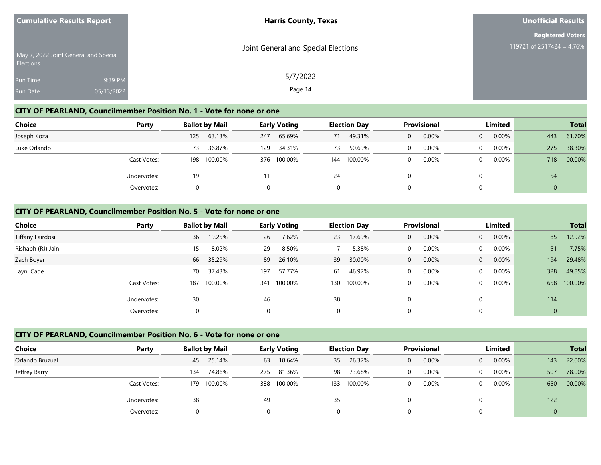| <b>Cumulative Results Report</b>                   | <b>Harris County, Texas</b>         | <b>Unofficial Results</b> |
|----------------------------------------------------|-------------------------------------|---------------------------|
|                                                    |                                     | <b>Registered Voters</b>  |
| May 7, 2022 Joint General and Special<br>Elections | Joint General and Special Elections | 119721 of 2517424 = 4.76% |
| 9:39 PM<br>Run Time                                | 5/7/2022                            |                           |
| Run Date<br>05/13/2022                             | Page 14                             |                           |

#### **CITY OF PEARLAND, Councilmember Position No. 1 - Vote for none or one**

| <b>Choice</b> | Party       | <b>Ballot by Mail</b> | <b>Early Voting</b> | <b>Election Day</b> | <b>Provisional</b> | Limited                    | <b>Total</b>   |
|---------------|-------------|-----------------------|---------------------|---------------------|--------------------|----------------------------|----------------|
| Joseph Koza   |             | 63.13%<br>125         | 65.69%<br>247       | 49.31%<br>71        | 0.00%<br>$\Omega$  | $0.00\%$<br>$\overline{0}$ | 61.70%<br>443  |
| Luke Orlando  |             | 36.87%<br>73          | 34.31%<br>129       | 50.69%<br>73        | 0.00%<br>$\Omega$  | $0.00\%$<br>$\Omega$       | 38.30%<br>275  |
|               | Cast Votes: | 100.00%<br>198        | 376 100.00%         | 100.00%<br>144      | 0.00%<br>0         | $0.00\%$<br>$\Omega$       | 718 100.00%    |
|               | Undervotes: | 19                    |                     | 24                  |                    |                            | 54             |
|               | Overvotes:  |                       |                     |                     |                    |                            | $\overline{0}$ |

#### **CITY OF PEARLAND, Councilmember Position No. 5 - Vote for none or one**

| Choice            | Party       |     | <b>Ballot by Mail</b> |     | <b>Early Voting</b> |          | <b>Election Day</b> |              | Provisional |                | Limited  |              | <b>Total</b> |
|-------------------|-------------|-----|-----------------------|-----|---------------------|----------|---------------------|--------------|-------------|----------------|----------|--------------|--------------|
| Tiffany Fairdosi  |             | 36  | 19.25%                | 26  | 7.62%               | 23       | 17.69%              | 0            | 0.00%       | $\overline{0}$ | 0.00%    | 85           | 12.92%       |
| Rishabh (RJ) Jain |             | 15  | 8.02%                 | 29  | 8.50%               |          | 5.38%               | 0            | 0.00%       | $\Omega$       | 0.00%    | 51           | 7.75%        |
| Zach Boyer        |             | 66  | 35.29%                | 89  | 26.10%              | 39       | 30.00%              | $\mathbf{0}$ | 0.00%       | $\Omega$       | 0.00%    | 194          | 29.48%       |
| Layni Cade        |             | 70  | 37.43%                | 197 | 57.77%              | 61       | 46.92%              | 0            | 0.00%       | $\Omega$       | 0.00%    | 328          | 49.85%       |
|                   | Cast Votes: | 187 | 100.00%               | 341 | 100.00%             | 130      | 100.00%             | 0            | 0.00%       | $\Omega$       | $0.00\%$ | 658          | 100.00%      |
|                   | Undervotes: | 30  |                       | 46  |                     | 38       |                     | 0            |             |                |          | 114          |              |
|                   | Overvotes:  |     |                       | 0   |                     | $\Omega$ |                     | 0            |             |                |          | $\mathbf{0}$ |              |

#### **CITY OF PEARLAND, Councilmember Position No. 6 - Vote for none or one**

| Choice          | Party       | <b>Ballot by Mail</b> |         |     | <b>Early Voting</b> |     | <b>Election Day</b> |          | <b>Provisional</b> |                | Limited  |     | <b>Total</b> |
|-----------------|-------------|-----------------------|---------|-----|---------------------|-----|---------------------|----------|--------------------|----------------|----------|-----|--------------|
| Orlando Bruzual |             | 45                    | 25.14%  | 63  | 18.64%              | 35  | 26.32%              | $\Omega$ | 0.00%              | $\overline{0}$ | $0.00\%$ | 143 | 22.00%       |
| Jeffrey Barry   |             | 134                   | 74.86%  | 275 | 81.36%              | 98  | 73.68%              | 0        | 0.00%              | $\Omega$       | $0.00\%$ | 507 | 78.00%       |
|                 | Cast Votes: | 179                   | 100.00% | 338 | 100.00%             | 133 | 100.00%             |          | 0.00%              | $\Omega$       | $0.00\%$ |     | 650 100.00%  |
|                 | Undervotes: | 38                    |         | 49  |                     | 35  |                     |          |                    |                |          | 122 |              |
|                 | Overvotes:  |                       |         |     |                     | 0   |                     |          |                    |                |          | 0   |              |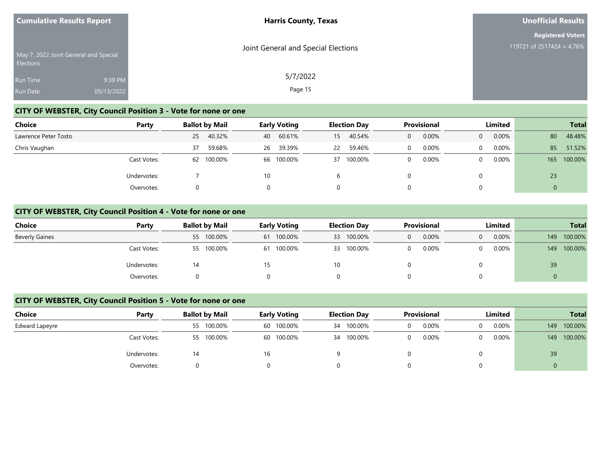| <b>Cumulative Results Report</b> |                                       | <b>Harris County, Texas</b>         | <b>Unofficial Results</b> |
|----------------------------------|---------------------------------------|-------------------------------------|---------------------------|
|                                  |                                       |                                     | <b>Registered Voters</b>  |
| <b>Elections</b>                 | May 7, 2022 Joint General and Special | Joint General and Special Elections | 119721 of 2517424 = 4.76% |
| <b>Run Time</b>                  | 9:39 PM                               | 5/7/2022                            |                           |
| Run Date                         | 05/13/2022                            | Page 15                             |                           |

## **CITY OF WEBSTER, City Council Position 3 - Vote for none or one**

| Choice               | Party       |    | <b>Ballot by Mail</b> |    | <b>Early Voting</b> |    | <b>Election Day</b> |                | <b>Provisional</b> |          | Limited  |     | <b>Total</b> |
|----------------------|-------------|----|-----------------------|----|---------------------|----|---------------------|----------------|--------------------|----------|----------|-----|--------------|
| Lawrence Peter Tosto |             | 25 | 40.32%                | 40 | 60.61%              | 15 | 40.54%              | $\overline{0}$ | 0.00%              | $\Omega$ | 0.00%    | 80  | 48.48%       |
| Chris Vaughan        |             | 37 | 59.68%                | 26 | 39.39%              | 22 | 59.46%              | 0              | 0.00%              | 0        | $0.00\%$ | 85  | 51.52%       |
|                      | Cast Votes: |    | 62 100.00%            |    | 66 100.00%          | 37 | 100.00%             | 0              | 0.00%              | $\Omega$ | $0.00\%$ | 165 | 100.00%      |
|                      | Undervotes: |    |                       | 10 |                     | b  |                     |                |                    |          |          | 23  |              |
|                      | Overvotes:  |    |                       | 0  |                     | 0  |                     |                |                    |          |          |     |              |

#### **CITY OF WEBSTER, City Council Position 4 - Vote for none or one**

| <b>Choice</b>         | Party       | <b>Ballot by Mail</b> | <b>Early Voting</b> | <b>Election Day</b> | <b>Provisional</b> | Limited              | <b>Total</b>   |  |
|-----------------------|-------------|-----------------------|---------------------|---------------------|--------------------|----------------------|----------------|--|
| <b>Beverly Gaines</b> |             | 55 100.00%            | 61 100.00%          | 33 100.00%          | 0.00%<br>0         | $0.00\%$<br>$\Omega$ | 100.00%<br>149 |  |
|                       | Cast Votes: | 55 100.00%            | 61 100.00%          | 33 100.00%          | 0.00%              | $0.00\%$<br>$\Omega$ | 100.00%<br>149 |  |
|                       | Undervotes: | 14                    | 15                  | 10                  |                    |                      | 39             |  |
|                       | Overvotes:  |                       |                     | 0                   |                    | 0                    |                |  |

#### **CITY OF WEBSTER, City Council Position 5 - Vote for none or one**

| <b>Choice</b>  | Party       | <b>Ballot by Mail</b> | <b>Early Voting</b> | <b>Election Day</b> | <b>Provisional</b> | Limited       | <b>Total</b>   |
|----------------|-------------|-----------------------|---------------------|---------------------|--------------------|---------------|----------------|
| Edward Lapeyre |             | 55 100.00%            | 60 100.00%          | 34 100.00%          | 0.00%              | 0.00%<br>0    | 100.00%<br>149 |
|                | Cast Votes: | 55 100.00%            | 60 100.00%          | 34 100.00%          | 0.00%              | $0.00\%$<br>0 | 100.00%<br>149 |
|                | Undervotes: | 14                    | 16                  |                     |                    |               | 39             |
|                | Overvotes:  |                       |                     |                     |                    |               | U              |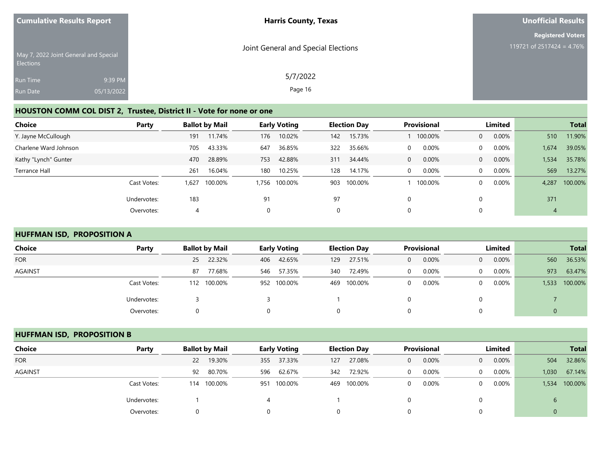| <b>Unofficial Results</b> |
|---------------------------|
| <b>Registered Voters</b>  |
| 119721 of 2517424 = 4.76% |
|                           |
|                           |
|                           |

## **HOUSTON COMM COL DIST 2, Trustee, District II - Vote for none or one**

| Choice                | Party       |      | <b>Ballot by Mail</b> |                | <b>Early Voting</b> |     | <b>Provisional</b><br><b>Election Day</b> |   |         | Limited        |          |       | <b>Total</b> |
|-----------------------|-------------|------|-----------------------|----------------|---------------------|-----|-------------------------------------------|---|---------|----------------|----------|-------|--------------|
| Y. Jayne McCullough   |             | 191  | 11.74%                | 176            | 10.02%              | 142 | 15.73%                                    |   | 100.00% | $\overline{0}$ | 0.00%    | 510   | 11.90%       |
| Charlene Ward Johnson |             | 705  | 43.33%                | 647            | 36.85%              | 322 | 35.66%                                    | 0 | 0.00%   | $\Omega$       | 0.00%    | 1,674 | 39.05%       |
| Kathy "Lynch" Gunter  |             | 470  | 28.89%                | 753            | 42.88%              | 311 | 34.44%                                    | 0 | 0.00%   | $\overline{0}$ | $0.00\%$ | 1,534 | 35.78%       |
| Terrance Hall         |             | 261  | 16.04%                | 180            | 10.25%              | 128 | 14.17%                                    | 0 | 0.00%   | $\Omega$       | $0.00\%$ | 569   | 13.27%       |
|                       | Cast Votes: | .627 | 100.00%               |                | 1,756 100.00%       | 903 | 100.00%                                   |   | 100.00% | $\Omega$       | 0.00%    | 4,287 | 100.00%      |
|                       | Undervotes: | 183  |                       | 91             |                     | 97  |                                           |   |         |                |          | 371   |              |
|                       | Overvotes:  |      |                       | $\overline{0}$ |                     | 0   |                                           | 0 |         |                |          | 4     |              |

## **HUFFMAN ISD, PROPOSITION A**

| <b>Choice</b> | Party       | <b>Ballot by Mail</b> | <b>Early Voting</b> | <b>Election Day</b> | <b>Provisional</b> | Limited                    | <b>Total</b>     |
|---------------|-------------|-----------------------|---------------------|---------------------|--------------------|----------------------------|------------------|
| <b>FOR</b>    |             | 25 22.32%             | 42.65%<br>406       | 27.51%<br>129       | 0.00%<br>0         | $0.00\%$<br>$\overline{0}$ | 36.53%<br>560    |
| AGAINST       |             | 77.68%<br>87          | 57.35%<br>546       | 72.49%<br>340       | 0.00%              | $0.00\%$<br>$\Omega$       | 63.47%<br>973    |
|               | Cast Votes: | 112 100.00%           | 952 100.00%         | 100.00%<br>469      | 0.00%              | $0.00\%$<br>$\overline{0}$ | 100.00%<br>1,533 |
|               | Undervotes: |                       |                     |                     |                    | $\Omega$                   |                  |
|               | Overvotes:  |                       |                     | $\Omega$            |                    | 0                          |                  |

#### **HUFFMAN ISD, PROPOSITION B**

| Choice         | Party       | <b>Ballot by Mail</b> |             | <b>Early Voting</b> |         |     | <b>Election Day</b> | <b>Provisional</b> |       | Limited  |          |       | <b>Total</b> |
|----------------|-------------|-----------------------|-------------|---------------------|---------|-----|---------------------|--------------------|-------|----------|----------|-------|--------------|
| <b>FOR</b>     |             | 22                    | 19.30%      | 355                 | 37.33%  | 127 | 27.08%              | 0                  | 0.00% | $\Omega$ | $0.00\%$ | 504   | 32.86%       |
| <b>AGAINST</b> |             | 92                    | 80.70%      | 596                 | 62.67%  | 342 | 72.92%              | 0                  | 0.00% | 0        | $0.00\%$ | 1,030 | 67.14%       |
|                | Cast Votes: |                       | 114 100.00% | 951                 | 100.00% | 469 | 100.00%             |                    | 0.00% | 0        | $0.00\%$ | 1,534 | 100.00%      |
|                | Undervotes: |                       |             |                     |         |     |                     |                    |       |          |          | ь     |              |
|                | Overvotes:  |                       |             |                     |         |     |                     |                    |       |          |          |       |              |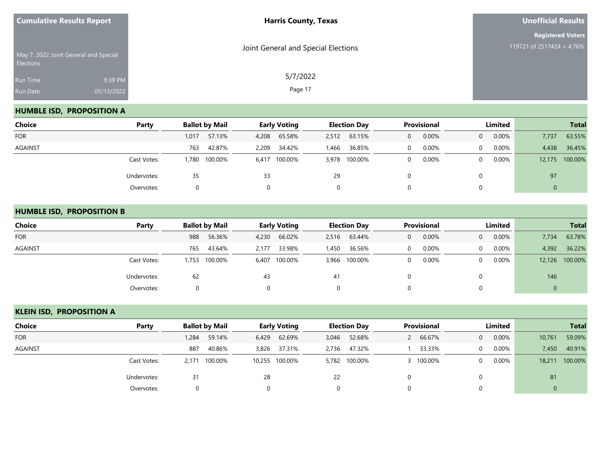| <b>Cumulative Results Report</b>                          |                       | <b>Harris County, Texas</b>         | <b>Unofficial Results</b>                             |  |  |
|-----------------------------------------------------------|-----------------------|-------------------------------------|-------------------------------------------------------|--|--|
| May 7, 2022 Joint General and Special<br><b>Elections</b> |                       | Joint General and Special Elections | <b>Registered Voters</b><br>119721 of 2517424 = 4.76% |  |  |
| <b>Run Time</b><br>Run Date                               | 9:39 PM<br>05/13/2022 | 5/7/2022<br>Page 17                 |                                                       |  |  |

## **HUMBLE ISD, PROPOSITION A**

| Choice         | Party       |       | <b>Ballot by Mail</b> | <b>Early Voting</b> |               |       |               | <b>Provisional</b><br>Limited<br><b>Election Day</b> |       |          |       |        |         | <b>Total</b> |  |
|----------------|-------------|-------|-----------------------|---------------------|---------------|-------|---------------|------------------------------------------------------|-------|----------|-------|--------|---------|--------------|--|
| <b>FOR</b>     |             | 1,017 | 57.13%                | 4,208               | 65.58%        | 2,512 | 63.15%        | 0                                                    | 0.00% | $\Omega$ | 0.00% | 7,737  | 63.55%  |              |  |
| <b>AGAINST</b> |             | 763   | 42.87%                | 2,209               | 34.42%        | 1,466 | 36.85%        |                                                      | 0.00% | 0        | 0.00% | 4,438  | 36.45%  |              |  |
|                | Cast Votes: |       | 1,780 100.00%         |                     | 6,417 100.00% |       | 3,978 100.00% |                                                      | 0.00% | $\Omega$ | 0.00% | 12,175 | 100.00% |              |  |
|                | Undervotes: | 35    |                       | 33                  |               | 29    |               |                                                      |       | 0        |       | 97     |         |              |  |
|                | Overvotes:  |       |                       |                     |               | 0     |               |                                                      |       | 0        |       | 0      |         |              |  |

#### **HUMBLE ISD, PROPOSITION B**

| <b>Choice</b>  | Party       | <b>Ballot by Mail</b> | <b>Early Voting</b> | <b>Election Day</b> | <b>Provisional</b>    | Limited                    | <b>Total</b>     |
|----------------|-------------|-----------------------|---------------------|---------------------|-----------------------|----------------------------|------------------|
| <b>FOR</b>     |             | 56.36%<br>988         | 66.02%<br>4,230     | 63.44%<br>2,516     | 0.00%<br>$\mathbf{0}$ | 0.00%<br>$\overline{0}$    | 63.78%<br>7,734  |
| <b>AGAINST</b> |             | 43.64%<br>765         | 33.98%<br>2.177     | 36.56%<br>1,450     | 0.00%<br>$\Omega$     | $0.00\%$<br>$\Omega$       | 4,392<br>36.22%  |
|                | Cast Votes: | 100.00%<br>,753       | 6,407 100.00%       | 3,966 100.00%       | 0.00%<br>0            | $0.00\%$<br>$\overline{0}$ | 12,126 100.00%   |
|                | Undervotes: | 62                    | 43                  | 41                  |                       | 0                          | 146              |
|                | Overvotes:  |                       |                     | 0                   |                       | 0                          | $\boldsymbol{0}$ |

## **KLEIN ISD, PROPOSITION A**

| Choice         | Party       |          | <b>Ballot by Mail</b> | <b>Early Voting</b> |                |    | <b>Election Day</b> | <b>Provisional</b> |           | Limited        |          |                | <b>Total</b>   |
|----------------|-------------|----------|-----------------------|---------------------|----------------|----|---------------------|--------------------|-----------|----------------|----------|----------------|----------------|
| <b>FOR</b>     |             | 1,284    | 59.14%                | 6,429               | 62.69%         |    | 3,046 52.68%        |                    | 66.67%    | $\overline{0}$ | $0.00\%$ | 10,761         | 59.09%         |
| <b>AGAINST</b> |             | 887      | 40.86%                |                     | 3,826 37.31%   |    | 2,736 47.32%        |                    | 33.33%    | $\Omega$       | $0.00\%$ | 7,450          | 40.91%         |
|                | Cast Votes: | 2.171    | 100.00%               |                     | 10,255 100.00% |    | 5,782 100.00%       |                    | 3 100.00% | $\Omega$       | 0.00%    |                | 18,211 100.00% |
|                | Undervotes: | 31       |                       | 28                  |                | 22 |                     |                    |           |                |          | 81             |                |
|                | Overvotes:  | $\Omega$ |                       | 0                   |                |    |                     |                    |           | 0              |          | $\overline{0}$ |                |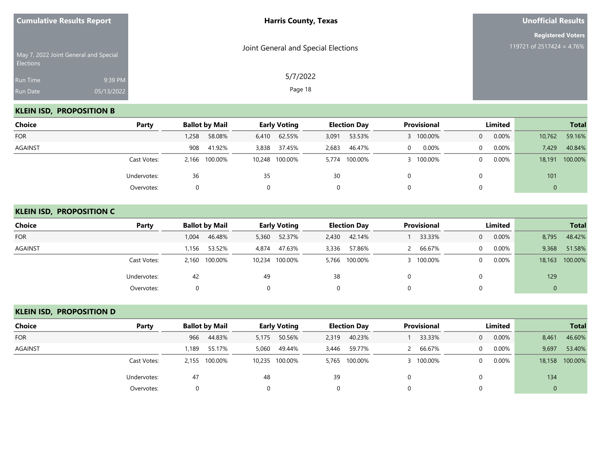| <b>Cumulative Results Report</b>                   |                       | <b>Harris County, Texas</b>         | <b>Unofficial Results</b>                             |  |  |
|----------------------------------------------------|-----------------------|-------------------------------------|-------------------------------------------------------|--|--|
| May 7, 2022 Joint General and Special<br>Elections |                       | Joint General and Special Elections | <b>Registered Voters</b><br>119721 of 2517424 = 4.76% |  |  |
| <b>Run Time</b><br>Run Date                        | 9:39 PM<br>05/13/2022 | 5/7/2022<br>Page 18                 |                                                       |  |  |

## **KLEIN ISD, PROPOSITION B**

| Choice         | Party       | <b>Ballot by Mail</b> |                 | <b>Early Voting</b> |       | <b>Provisional</b><br>Limited<br><b>Election Day</b> |  |         |          |       |        | <b>Total</b> |
|----------------|-------------|-----------------------|-----------------|---------------------|-------|------------------------------------------------------|--|---------|----------|-------|--------|--------------|
| <b>FOR</b>     |             | 258,                  | 58.08%<br>6,410 | 62.55%              | 3,091 | 53.53%                                               |  | 100.00% | $\Omega$ | 0.00% | 10,762 | 59.16%       |
| <b>AGAINST</b> |             | 908                   | 41.92%<br>3,838 | 37.45%              | 2,683 | 46.47%                                               |  | 0.00%   | $\Omega$ | 0.00% | 7,429  | 40.84%       |
|                | Cast Votes: | 2,166 100.00%         |                 | 10,248 100.00%      |       | 5,774 100.00%                                        |  | 100.00% | $\Omega$ | 0.00% | 18,191 | 100.00%      |
|                | Undervotes: | 36                    |                 | 35                  | 30    |                                                      |  |         |          |       | 101    |              |
|                | Overvotes:  |                       |                 | $\Omega$            |       | 0                                                    |  |         |          |       |        |              |

#### **KLEIN ISD, PROPOSITION C**

| <b>Choice</b> | Party       | <b>Ballot by Mail</b> | <b>Early Voting</b> | <b>Election Day</b> | Provisional | Limited              | <b>Total</b>    |
|---------------|-------------|-----------------------|---------------------|---------------------|-------------|----------------------|-----------------|
| <b>FOR</b>    |             | 46.48%<br>1,004       | 52.37%<br>5,360     | 42.14%<br>2,430     | 33.33%      | 0.00%<br>$\Omega$    | 8,795<br>48.42% |
| AGAINST       |             | 53.52%<br>1.156       | 4.874<br>47.63%     | 57.86%<br>3,336     | 66.67%      | $0.00\%$<br>$\Omega$ | 9,368<br>51.58% |
|               | Cast Votes: | 2,160 100.00%         | 10,234 100.00%      | 5,766 100.00%       | 100.00%     | $0.00\%$<br>$\Omega$ | 18,163 100.00%  |
|               | Undervotes: | 42                    | 49                  | 38                  |             |                      | 129             |
|               | Overvotes:  |                       |                     | 0                   |             |                      | 0               |

## **KLEIN ISD, PROPOSITION D**

| Choice         | Party       | <b>Ballot by Mail</b> |               | <b>Early Voting</b> |                |       | <b>Election Day</b> | <b>Provisional</b> |           | Limited        |          |       | <b>Total</b>   |
|----------------|-------------|-----------------------|---------------|---------------------|----------------|-------|---------------------|--------------------|-----------|----------------|----------|-------|----------------|
| <b>FOR</b>     |             | 966                   | 44.83%        | 5,175               | 50.56%         | 2,319 | 40.23%              |                    | 33.33%    | $\overline{0}$ | $0.00\%$ | 8,461 | 46.60%         |
| <b>AGAINST</b> |             | ,189                  | 55.17%        | 5,060               | 49.44%         | 3,446 | 59.77%              |                    | 66.67%    | $\Omega$       | $0.00\%$ | 9,697 | 53.40%         |
|                | Cast Votes: |                       | 2,155 100.00% |                     | 10,235 100.00% |       | 5,765 100.00%       |                    | 3 100.00% | $\Omega$       | 0.00%    |       | 18,158 100.00% |
|                | Undervotes: | 47                    |               | 48                  |                | 39    |                     |                    |           |                |          | 134   |                |
|                | Overvotes:  |                       |               |                     |                |       |                     |                    |           |                |          | U     |                |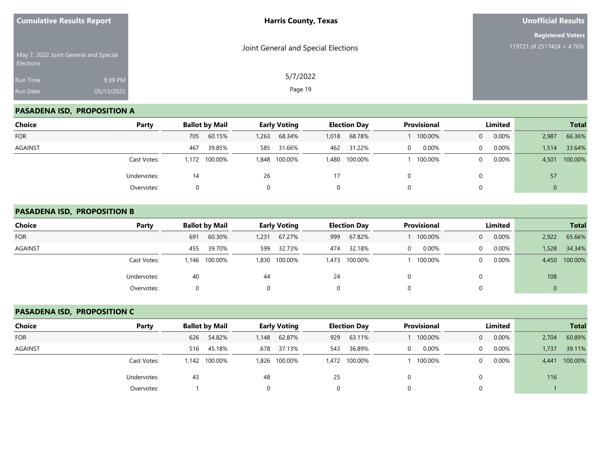| <b>Cumulative Results Report</b> |                                       | <b>Harris County, Texas</b>         | <b>Unofficial Results</b>                             |
|----------------------------------|---------------------------------------|-------------------------------------|-------------------------------------------------------|
|                                  | May 7, 2022 Joint General and Special | Joint General and Special Elections | <b>Registered Voters</b><br>119721 of 2517424 = 4.76% |
| Elections                        |                                       | 5/7/2022                            |                                                       |
| Run Time<br>Run Date             | 9:39 PM<br>05/13/2022                 | Page 19                             |                                                       |
|                                  |                                       |                                     |                                                       |

## **PASADENA ISD, PROPOSITION A**

| Choice     | Party       | <b>Ballot by Mail</b> | <b>Early Voting</b> | <b>Election Day</b> | Provisional | Limited           | <b>Total</b>     |
|------------|-------------|-----------------------|---------------------|---------------------|-------------|-------------------|------------------|
| <b>FOR</b> |             | 60.15%<br>705         | 68.34%<br>1,263     | 68.78%<br>1,018     | 100.00%     | 0.00%<br>$\Omega$ | 66.36%<br>2,987  |
| AGAINST    |             | 39.85%<br>467         | 31.66%<br>585       | 31.22%<br>462       | 0.00%       | 0.00%<br>$\Omega$ | 33.64%<br>1.514  |
|            | Cast Votes: | 1,172 100.00%         | 1,848 100.00%       | 1,480 100.00%       | 100.00%     | 0.00%<br>$\Omega$ | 100.00%<br>4,501 |
|            | Undervotes: | 14                    | 26                  |                     |             |                   | 57               |
|            | Overvotes:  |                       | $\Omega$            | 0                   |             |                   | 0                |

#### **PASADENA ISD, PROPOSITION B**

| <b>Choice</b> | Party       | <b>Ballot by Mail</b> | <b>Early Voting</b> | <b>Election Day</b> | Provisional   | Limited              | <b>Total</b>    |
|---------------|-------------|-----------------------|---------------------|---------------------|---------------|----------------------|-----------------|
| <b>FOR</b>    |             | 60.30%<br>691         | 67.27%<br>1,231     | 67.82%<br>999       | 100.00%       | $0.00\%$<br>$\Omega$ | 65.66%<br>2,922 |
| AGAINST       |             | 39.70%<br>455         | 32.73%<br>599       | 32.18%<br>474       | $0.00\%$<br>0 | $0.00\%$<br>0        | 34.34%<br>1,528 |
|               | Cast Votes: | 1,146 100.00%         | 1,830 100.00%       | 1,473 100.00%       | 100.00%       | $0.00\%$<br>0        | 4,450 100.00%   |
|               | Undervotes: | 40                    | 44                  | 24                  |               |                      | 108             |
|               | Overvotes:  |                       |                     | 0                   |               |                      | 0               |

## **PASADENA ISD, PROPOSITION C**

| Choice         | Party       |       | <b>Ballot by Mail</b> |       | <b>Early Voting</b> |     | <b>Election Day</b> | <b>Provisional</b> |                | Limited |       | <b>Total</b> |
|----------------|-------------|-------|-----------------------|-------|---------------------|-----|---------------------|--------------------|----------------|---------|-------|--------------|
| <b>FOR</b>     |             | 626   | 54.82%                | 1,148 | 62.87%              | 929 | 63.11%              | 100.00%            | $\overline{0}$ | 0.00%   | 2,704 | 60.89%       |
| <b>AGAINST</b> |             | 516   | 45.18%                | 678   | 37.13%              | 543 | 36.89%              | 0.00%              | 0              | 0.00%   | 1,737 | 39.11%       |
|                | Cast Votes: | 1.142 | 100.00%               |       | 1,826 100.00%       |     | 1,472 100.00%       | 100.00%            | 0              | 0.00%   | 4,441 | 100.00%      |
|                | Undervotes: | 43    |                       | 48    |                     | 25  |                     |                    |                |         | 116   |              |
|                | Overvotes:  |       |                       |       |                     |     |                     |                    |                |         |       |              |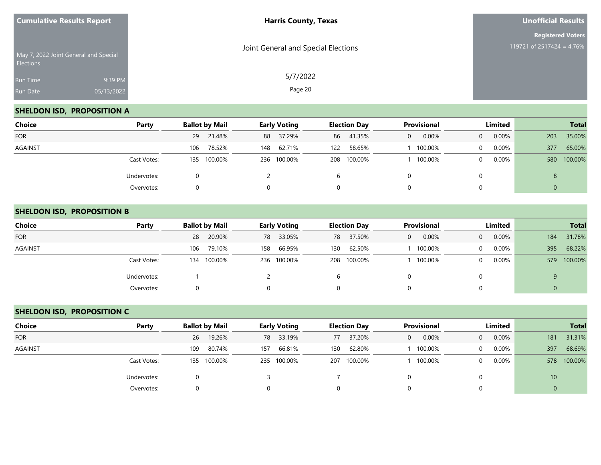| <b>Cumulative Results Report</b>      |                       | <b>Harris County, Texas</b>         | <b>Unofficial Results</b>                             |  |  |
|---------------------------------------|-----------------------|-------------------------------------|-------------------------------------------------------|--|--|
| May 7, 2022 Joint General and Special |                       | Joint General and Special Elections | <b>Registered Voters</b><br>119721 of 2517424 = 4.76% |  |  |
| Elections<br>Run Time<br>Run Date     | 9:39 PM<br>05/13/2022 | 5/7/2022<br>Page 20                 |                                                       |  |  |

## **SHELDON ISD, PROPOSITION A**

| <b>Choice</b>  | Party       | <b>Ballot by Mail</b> | <b>Early Voting</b> | <b>Election Day</b> | <b>Provisional</b> | Limited           | <b>Total</b>   |
|----------------|-------------|-----------------------|---------------------|---------------------|--------------------|-------------------|----------------|
| <b>FOR</b>     |             | 21.48%<br>29          | 88 37.29%           | 41.35%<br>86        | 0.00%<br>0         | 0.00%<br>$\Omega$ | 35.00%<br>203  |
| <b>AGAINST</b> |             | 78.52%<br>106         | 62.71%<br>148       | 58.65%<br>122       | 100.00%            | 0.00%<br>$\Omega$ | 65.00%<br>377  |
|                | Cast Votes: | 135 100.00%           | 236 100.00%         | 208 100.00%         | 100.00%            | 0.00%<br>$\Omega$ | 100.00%<br>580 |
|                | Undervotes: |                       |                     | b                   |                    |                   | 8              |
|                | Overvotes:  |                       | 0                   | 0                   |                    |                   | ν              |

#### **SHELDON ISD, PROPOSITION B**

| <b>Choice</b>  | Party       | <b>Ballot by Mail</b> | <b>Early Voting</b> | <b>Election Day</b> | <b>Provisional</b>    | Limited                  | <b>Total</b>   |
|----------------|-------------|-----------------------|---------------------|---------------------|-----------------------|--------------------------|----------------|
| <b>FOR</b>     |             | 20.90%<br>28          | 33.05%<br>78        | 37.50%<br>78        | 0.00%<br>$\mathbf{0}$ | 0.00%<br>$\overline{0}$  | 31.78%<br>184  |
| <b>AGAINST</b> |             | 79.10%<br>106         | 66.95%<br>158       | 62.50%<br>130       | 100.00%               | 0.00%<br>$\Omega$        | 68.22%<br>395  |
|                | Cast Votes: | 100.00%<br>134        | 236 100.00%         | 100.00%<br>208      | 100.00%               | $0.00\%$<br>$\mathbf{0}$ | 100.00%<br>579 |
|                | Undervotes: |                       |                     |                     |                       | 0                        | 9              |
|                | Overvotes:  |                       |                     | 0                   | 0                     | 0                        | 0              |

## **SHELDON ISD, PROPOSITION C**

| Choice         | Party       | <b>Ballot by Mail</b> | <b>Early Voting</b> | <b>Election Day</b> | <b>Provisional</b> | Limited                 | <b>Total</b>    |
|----------------|-------------|-----------------------|---------------------|---------------------|--------------------|-------------------------|-----------------|
| <b>FOR</b>     |             | 19.26%<br>26          | 78 33.19%           | 37.20%<br>77        | 0.00%<br>$\Omega$  | 0.00%<br>$\overline{0}$ | 31.31%<br>181   |
| <b>AGAINST</b> |             | 80.74%<br>109         | 66.81%<br>157       | 62.80%<br>130       | 100.00%            | 0.00%<br>$\Omega$       | 68.69%<br>397   |
|                | Cast Votes: | 135 100.00%           | 235 100.00%         | 207 100.00%         | 100.00%            | 0.00%<br>0              | 100.00%<br>578  |
|                | Undervotes: |                       |                     |                     |                    |                         | 10 <sup>1</sup> |
|                | Overvotes:  | 0                     |                     |                     |                    |                         | $\mathbf 0$     |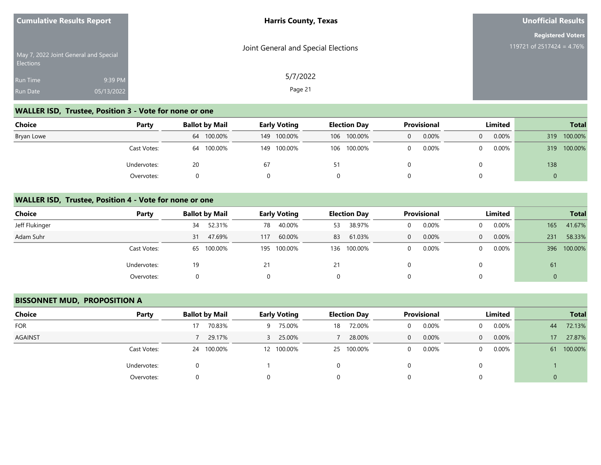| <b>Cumulative Results Report</b>                          |            | <b>Harris County, Texas</b>         | Unofficial Results                                       |
|-----------------------------------------------------------|------------|-------------------------------------|----------------------------------------------------------|
|                                                           |            | Joint General and Special Elections | <b>Registered Voters</b><br>119721 of 2517424 = $4.76\%$ |
| May 7, 2022 Joint General and Special<br><b>Elections</b> |            |                                     |                                                          |
| Run Time                                                  | 9:39 PM    | 5/7/2022                            |                                                          |
| <b>Run Date</b>                                           | 05/13/2022 | Page 21                             |                                                          |

# **WALLER ISD, Trustee, Position 3 - Vote for none or one**

| <b>Choice</b> | Party       |    | <b>Ballot by Mail</b> |    | <b>Early Voting</b> | <b>Election Day</b> | <b>Provisional</b> |   | Limited  |     | <b>Total</b> |
|---------------|-------------|----|-----------------------|----|---------------------|---------------------|--------------------|---|----------|-----|--------------|
| Bryan Lowe    |             |    | 64 100.00%            |    | 149 100.00%         | 106 100.00%         | 0.00%              | 0 | $0.00\%$ | 319 | 100.00%      |
|               | Cast Votes: | 64 | 100.00%               |    | 149 100.00%         | 106 100.00%         | 0.00%              |   | $0.00\%$ | 319 | 100.00%      |
|               | Undervotes: | 20 |                       | 67 |                     |                     |                    |   |          | 138 |              |
|               | Overvotes:  |    |                       |    |                     |                     |                    |   |          | 0   |              |

#### **WALLER ISD, Trustee, Position 4 - Vote for none or one**

| <b>Choice</b>  | Party       |    | <b>Ballot by Mail</b> |     | <b>Early Voting</b> |    | <b>Election Day</b> |   | <b>Provisional</b> |          | Limited  |     | <b>Total</b> |
|----------------|-------------|----|-----------------------|-----|---------------------|----|---------------------|---|--------------------|----------|----------|-----|--------------|
| Jeff Flukinger |             | 34 | 52.31%                | 78  | 40.00%              | 53 | 38.97%              |   | 0.00%              | $\Omega$ | $0.00\%$ | 165 | 41.67%       |
| Adam Suhr      |             | 31 | 47.69%                | 117 | 60.00%              | 83 | 61.03%              | 0 | 0.00%              | $\Omega$ | $0.00\%$ | 231 | 58.33%       |
|                | Cast Votes: |    | 65 100.00%            |     | 195 100.00%         |    | 136 100.00%         |   | 0.00%              | $\Omega$ | $0.00\%$ | 396 | 100.00%      |
|                | Undervotes: | 19 |                       |     |                     | 21 |                     |   |                    | 0        |          | 61  |              |
|                | Overvotes:  | 0  |                       | 0   |                     | 0  |                     | O |                    | $\Omega$ |          |     |              |

#### **BISSONNET MUD, PROPOSITION A**

| <b>Choice</b> | Party       | <b>Ballot by Mail</b> | <b>Early Voting</b> | <b>Election Day</b> | Provisional       | Limited              | <b>Total</b>              |
|---------------|-------------|-----------------------|---------------------|---------------------|-------------------|----------------------|---------------------------|
| <b>FOR</b>    |             | 70.83%                | 75.00%<br>9         | 72.00%<br>18        | 0.00%<br>0        | $0.00\%$<br>$\Omega$ | 72.13%<br>44              |
| AGAINST       |             | 29.17%                | 25.00%<br>3.        | 28.00%              | 0.00%<br>0        | 0.00%<br>$\Omega$    | 27.87%<br>17 <sup>°</sup> |
|               | Cast Votes: | 24 100.00%            | 12 100.00%          | 25 100.00%          | 0.00%<br>$\Omega$ | $0.00\%$<br>0        | 100.00%<br>61             |
|               | Undervotes: |                       |                     | 0                   | 0                 |                      |                           |
|               | Overvotes:  |                       | 0                   | 0                   | 0                 |                      | 0                         |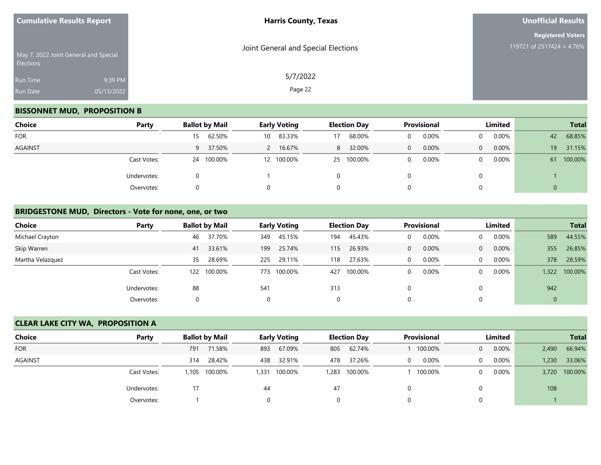| <b>Cumulative Results Report</b> |                                       | <b>Harris County, Texas</b>         | <b>Unofficial Results</b>                             |
|----------------------------------|---------------------------------------|-------------------------------------|-------------------------------------------------------|
| <b>Elections</b>                 | May 7, 2022 Joint General and Special | Joint General and Special Elections | <b>Registered Voters</b><br>119721 of 2517424 = 4.76% |
| Run Time<br>Run Date             | 9:39 PM<br>05/13/2022                 | 5/7/2022<br>Page 22                 |                                                       |

## **BISSONNET MUD, PROPOSITION B**

| Choice     | Party       | <b>Ballot by Mail</b> | <b>Early Voting</b>       | <b>Election Day</b> | <b>Provisional</b> | Limited                  | <b>Total</b>  |
|------------|-------------|-----------------------|---------------------------|---------------------|--------------------|--------------------------|---------------|
| <b>FOR</b> |             | 62.50%<br>15          | 83.33%<br>10 <sup>1</sup> | 68.00%              | 0.00%              | $0.00\%$<br>$\mathbf{0}$ | 68.85%<br>42  |
| AGAINST    |             | 9 37.50%              | 16.67%<br>$\mathbf{2}$    | 32.00%<br>8         | 0.00%<br>0         | 0.00%<br>$\Omega$        | 31.15%<br>19  |
|            | Cast Votes: | 100.00%<br>24         | 12 100.00%                | 25 100.00%          | 0.00%              | 0.00%<br>$\Omega$        | 100.00%<br>61 |
|            | Undervotes: | 0                     |                           | 0                   |                    | 0                        |               |
|            | Overvotes:  | 0                     | 0                         | 0                   |                    | 0                        |               |

#### **BRIDGESTONE MUD, Directors - Vote for none, one, or two**

| Choice           | Party       |    | <b>Ballot by Mail</b> |          | <b>Early Voting</b> |     | <b>Election Day</b> |   | <b>Provisional</b> |                | Limited  |             | <b>Total</b> |
|------------------|-------------|----|-----------------------|----------|---------------------|-----|---------------------|---|--------------------|----------------|----------|-------------|--------------|
| Michael Crayton  |             | 46 | 37.70%                | 349      | 45.15%              | 194 | 45.43%              |   | 0.00%              | $\Omega$       | $0.00\%$ | 589         | 44.55%       |
| Skip Warren      |             | 41 | 33.61%                | 199      | 25.74%              | 115 | 26.93%              | 0 | 0.00%              | $\overline{0}$ | 0.00%    | 355         | 26.85%       |
| Martha Velazquez |             | 35 | 28.69%                | 225      | 29.11%              | 118 | 27.63%              |   | 0.00%              | $\Omega$       | $0.00\%$ | 378         | 28.59%       |
|                  | Cast Votes: |    | 122 100.00%           | 773      | 100.00%             | 427 | 100.00%             |   | 0.00%              | $\Omega$       | $0.00\%$ | 1.322       | 100.00%      |
|                  | Undervotes: | 88 |                       | 541      |                     | 313 |                     |   |                    | 0              |          | 942         |              |
|                  | Overvotes:  | 0  |                       | $\Omega$ |                     | 0   |                     |   |                    | 0              |          | $\mathbf 0$ |              |

## **CLEAR LAKE CITY WA, PROPOSITION A**

| Choice     | Party       |       | <b>Ballot by Mail</b> |       | <b>Early Voting</b> |     | <b>Election Day</b> |          | <b>Provisional</b> | Limited  |       | <b>Total</b>  |
|------------|-------------|-------|-----------------------|-------|---------------------|-----|---------------------|----------|--------------------|----------|-------|---------------|
| <b>FOR</b> |             | 791   | 71.58%                | 893   | 67.09%              | 805 | 62.74%              |          | 100.00%            | 0.00%    | 2,490 | 66.94%        |
| AGAINST    |             | 314   | 28.42%                | 438   | 32.91%              | 478 | 37.26%              | 0        | $0.00\%$           | $0.00\%$ | 1,230 | 33.06%        |
|            | Cast Votes: | 1,105 | 100.00%               | 1,331 | 100.00%             |     | 1,283 100.00%       |          | 100.00%            | $0.00\%$ |       | 3,720 100.00% |
|            | Undervotes: | 17    |                       | 44    |                     | 47  |                     | 0        |                    |          | 108   |               |
|            | Overvotes:  |       |                       |       |                     |     |                     | $\Omega$ |                    |          |       |               |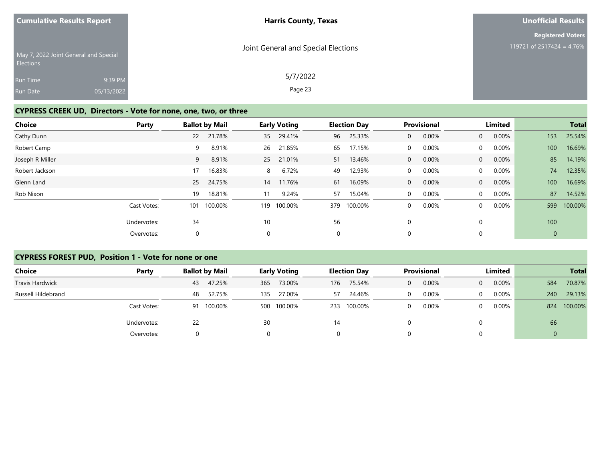| <b>Harris County, Texas</b>         | <b>Unofficial Results</b> |
|-------------------------------------|---------------------------|
|                                     | <b>Registered Voters</b>  |
| Joint General and Special Elections | 119721 of 2517424 = 4.76% |
| 5/7/2022                            |                           |
| Page 23                             |                           |
|                                     |                           |

## **CYPRESS CREEK UD, Directors - Vote for none, one, two, or three**

| <b>Choice</b>   | Party       |     | <b>Ballot by Mail</b> |     | <b>Early Voting</b> |             | <b>Election Day</b> |              | <b>Provisional</b> |                | Limited  |              | <b>Total</b> |
|-----------------|-------------|-----|-----------------------|-----|---------------------|-------------|---------------------|--------------|--------------------|----------------|----------|--------------|--------------|
| Cathy Dunn      |             | 22  | 21.78%                | 35  | 29.41%              | 96          | 25.33%              | $\mathbf{0}$ | 0.00%              | $\overline{0}$ | 0.00%    | 153          | 25.54%       |
| Robert Camp     |             | 9   | 8.91%                 | 26  | 21.85%              | 65          | 17.15%              | $\mathbf 0$  | 0.00%              | $\Omega$       | $0.00\%$ | 100          | 16.69%       |
| Joseph R Miller |             | 9   | 8.91%                 | 25  | 21.01%              | 51          | 13.46%              | 0            | 0.00%              | $\overline{0}$ | $0.00\%$ | 85           | 14.19%       |
| Robert Jackson  |             | 17  | 16.83%                | 8   | 6.72%               | 49          | 12.93%              | $\mathbf 0$  | 0.00%              | $\overline{0}$ | $0.00\%$ | 74           | 12.35%       |
| Glenn Land      |             | 25  | 24.75%                | 14  | 11.76%              | 61          | 16.09%              | 0            | 0.00%              | $\overline{0}$ | 0.00%    | 100          | 16.69%       |
| Rob Nixon       |             | 19  | 18.81%                | 11  | 9.24%               | 57          | 15.04%              | $\mathbf 0$  | 0.00%              | $\Omega$       | $0.00\%$ | 87           | 14.52%       |
|                 | Cast Votes: | 101 | 100.00%               | 119 | 100.00%             | 379         | 100.00%             | 0            | 0.00%              | $\Omega$       | 0.00%    | 599          | 100.00%      |
|                 | Undervotes: | 34  |                       | 10  |                     | 56          |                     | 0            |                    |                |          | 100          |              |
|                 | Overvotes:  | 0   |                       | 0   |                     | $\mathbf 0$ |                     | 0            |                    |                |          | $\mathbf{0}$ |              |

#### **CYPRESS FOREST PUD, Position 1 - Vote for none or one**

| <b>Choice</b>      | Party       | <b>Ballot by Mail</b> | <b>Early Voting</b> | <b>Election Day</b> | <b>Provisional</b> | Limited           | <b>Total</b>   |
|--------------------|-------------|-----------------------|---------------------|---------------------|--------------------|-------------------|----------------|
| Travis Hardwick    |             | 47.25%<br>43          | 73.00%<br>365       | 75.54%<br>176       | 0.00%<br>0         | 0.00%<br>$\Omega$ | 70.87%<br>584  |
| Russell Hildebrand |             | 52.75%<br>48          | 27.00%<br>135       | 24.46%<br>57        | 0.00%              | 0.00%<br>$\Omega$ | 29.13%<br>240  |
|                    | Cast Votes: | 100.00%<br>91         | 100.00%<br>500      | 100.00%<br>233      | 0.00%              | 0.00%<br>0        | 100.00%<br>824 |
|                    | Undervotes: | 22                    | 30                  | 14                  |                    | 0                 | 66             |
|                    | Overvotes:  |                       |                     | 0                   |                    |                   |                |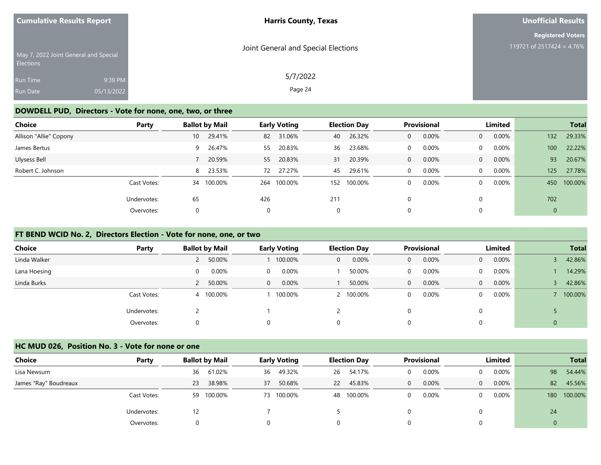| <b>Cumulative Results Report</b>                          |            | <b>Harris County, Texas</b>         | Unofficial Results        |
|-----------------------------------------------------------|------------|-------------------------------------|---------------------------|
|                                                           |            |                                     | <b>Registered Voters</b>  |
| May 7, 2022 Joint General and Special<br><b>Elections</b> |            | Joint General and Special Elections | 119721 of 2517424 = 4.76% |
| <b>Run Time</b>                                           | 9:39 PM    | 5/7/2022                            |                           |
| Run Date                                                  | 05/13/2022 | Page 24                             |                           |

#### **DOWDELL PUD, Directors - Vote for none, one, two, or three**

| Choice                 | Party       |             | <b>Ballot by Mail</b> |     | <b>Early Voting</b> |     | <b>Election Day</b> |              | Provisional |                | Limited  |             | <b>Total</b> |
|------------------------|-------------|-------------|-----------------------|-----|---------------------|-----|---------------------|--------------|-------------|----------------|----------|-------------|--------------|
| Allison "Allie" Copony |             | 10          | 29.41%                | 82  | 31.06%              | 40  | 26.32%              | 0            | 0.00%       | $\overline{0}$ | $0.00\%$ | 132         | 29.33%       |
| James Bertus           |             |             | 9 26.47%              | 55  | 20.83%              | 36  | 23.68%              | 0            | 0.00%       | $\mathbf{0}$   | $0.00\%$ | 100         | 22.22%       |
| Ulysess Bell           |             |             | 20.59%                | 55  | 20.83%              | 31  | 20.39%              | 0            | 0.00%       | $\overline{0}$ | $0.00\%$ | 93          | 20.67%       |
| Robert C. Johnson      |             |             | 8 23.53%              | 72  | 27.27%              | 45  | 29.61%              | $\mathbf{0}$ | 0.00%       | $\overline{0}$ | 0.00%    | 125         | 27.78%       |
|                        | Cast Votes: | 34          | 100.00%               | 264 | 100.00%             | 152 | 100.00%             | 0            | 0.00%       | $\mathbf{0}$   | 0.00%    | 450         | 100.00%      |
|                        | Undervotes: | 65          |                       | 426 |                     | 211 |                     | 0            |             | $\Omega$       |          | 702         |              |
|                        | Overvotes:  | $\mathbf 0$ |                       | 0   |                     | 0   |                     | 0            |             | $\Omega$       |          | $\mathbf 0$ |              |

### **FT BEND WCID No. 2, Directors Election - Vote for none, one, or two**

| <b>Choice</b> | Party       | <b>Ballot by Mail</b> | <b>Early Voting</b> | <b>Election Day</b> | <b>Provisional</b>    | Limited                    | <b>Total</b>   |
|---------------|-------------|-----------------------|---------------------|---------------------|-----------------------|----------------------------|----------------|
| Linda Walker  |             | 50.00%                | 100.00%             | 0.00%<br>0          | 0.00%<br>$\mathbf{0}$ | 0.00%<br>$\overline{0}$    | 42.86%         |
| Lana Hoesing  |             | 0.00%<br>$\Omega$     | 0.00%<br>$\Omega$   | 50.00%              | 0.00%<br>$\Omega$     | $0.00\%$<br>$\mathbf{0}$   | 14.29%         |
| Linda Burks   |             | 2 50.00%              | 0.00%<br>$\Omega$   | 50.00%              | 0.00%<br>$\mathbf{0}$ | $0.00\%$<br>$\overline{0}$ | 42.86%         |
|               | Cast Votes: | 4 100.00%             | 100.00%             | 100.00%             | 0.00%<br>$\mathbf 0$  | $0.00\%$<br>$\Omega$       | 100.00%        |
|               | Undervotes: |                       |                     |                     | 0                     | 0                          |                |
|               | Overvotes:  | 0                     |                     | 0                   | 0                     | 0                          | $\overline{0}$ |

#### **HC MUD 026, Position No. 3 - Vote for none or one**

| Choice                | Party       | <b>Ballot by Mail</b> | <b>Early Voting</b> | <b>Election Day</b> | <b>Provisional</b> | Limited              | <b>Total</b>   |
|-----------------------|-------------|-----------------------|---------------------|---------------------|--------------------|----------------------|----------------|
| Lisa Newsum           |             | 61.02%<br>36          | 49.32%<br>36        | 54.17%<br>26        | 0.00%              | $0.00\%$<br>$\Omega$ | 98<br>54.44%   |
| James "Ray" Boudreaux |             | 38.98%<br>23          | 50.68%<br>37        | 45.83%<br><b>22</b> | 0.00%<br>0         | 0.00%<br>$\Omega$    | 82<br>45.56%   |
|                       | Cast Votes: | 100.00%<br>59         | 73 100.00%          | 48 100.00%          | 0.00%              | $0.00\%$<br>$\Omega$ | 100.00%<br>180 |
|                       | Undervotes: | 12                    |                     |                     |                    | 0                    | 24             |
|                       | Overvotes:  | 0                     | 0                   | $\Omega$            |                    | 0                    |                |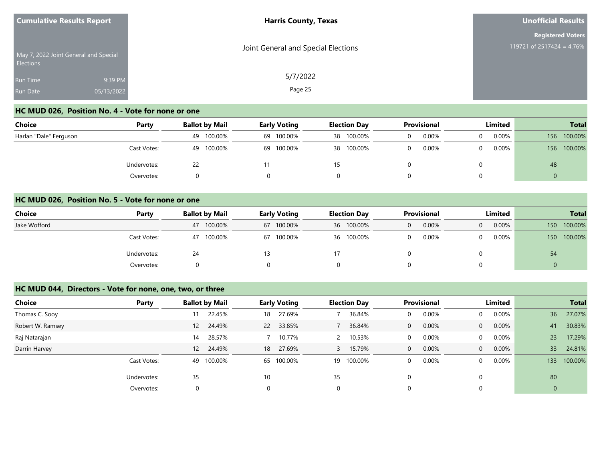| <b>Cumulative Results Report</b> |                                       | <b>Harris County, Texas</b>         | <b>Unofficial Results</b> |  |  |
|----------------------------------|---------------------------------------|-------------------------------------|---------------------------|--|--|
|                                  |                                       |                                     | <b>Registered Voters</b>  |  |  |
| <b>Elections</b>                 | May 7, 2022 Joint General and Special | Joint General and Special Elections | 119721 of 2517424 = 4.76% |  |  |
| <b>Run Time</b>                  | 9:39 PM                               | 5/7/2022                            |                           |  |  |
| <b>Run Date</b>                  | 05/13/2022                            | Page 25                             |                           |  |  |

## **HC MUD 026, Position No. 4 - Vote for none or one**

| <b>Choice</b>          | Party       | <b>Ballot by Mail</b> | <b>Early Voting</b> | <b>Election Day</b> | <b>Provisional</b> | Limited    | <b>Total</b>   |
|------------------------|-------------|-----------------------|---------------------|---------------------|--------------------|------------|----------------|
| Harlan "Dale" Ferguson |             | 100.00%<br>49         | 69 100.00%          | 38 100.00%          | 0.00%              | 0.00%<br>0 | 100.00%<br>156 |
|                        | Cast Votes: | 100.00%<br>49         | 69 100.00%          | 38 100.00%          | 0.00%              | 0.00%<br>0 | 100.00%<br>156 |
|                        | Undervotes: | 22                    |                     |                     |                    |            | 48             |
|                        | Overvotes:  |                       |                     |                     |                    |            |                |

#### **HC MUD 026, Position No. 5 - Vote for none or one**

| Choice       | Party       | <b>Ballot by Mail</b> | <b>Provisional</b><br>Limited<br><b>Early Voting</b><br><b>Election Day</b> |            | <b>Total</b> |                   |                             |
|--------------|-------------|-----------------------|-----------------------------------------------------------------------------|------------|--------------|-------------------|-----------------------------|
| Jake Wofford |             | 100.00%<br>47         | 67 100.00%                                                                  | 36 100.00% | 0.00%        | 0.00%<br>$\Omega$ | 100.00%<br>150 <sup>°</sup> |
|              | Cast Votes: | 100.00%<br>47         | 67 100.00%                                                                  | 36 100.00% | 0.00%        | $0.00\%$<br>0     | 100.00%<br>150 <sup>2</sup> |
|              | Undervotes: | 24                    |                                                                             |            |              |                   | 54                          |
|              | Overvotes:  |                       |                                                                             | 0          |              |                   | v                           |

#### **HC MUD 044, Directors - Vote for none, one, two, or three**

| <b>Choice</b>    | Party       | <b>Ballot by Mail</b> |        |           | <b>Early Voting</b> |    | <b>Election Day</b> |              | <b>Provisional</b> |                | Limited |             | <b>Total</b> |
|------------------|-------------|-----------------------|--------|-----------|---------------------|----|---------------------|--------------|--------------------|----------------|---------|-------------|--------------|
| Thomas C. Sooy   |             | 11                    | 22.45% | 18        | 27.69%              |    | 36.84%              | 0            | 0.00%              | $\mathbf{0}$   | 0.00%   | 36          | 27.07%       |
| Robert W. Ramsey |             | 24.49%<br>12          |        | <b>22</b> | 33.85%              |    | 36.84%              | 0            | 0.00%              | $\overline{0}$ | 0.00%   | 41          | 30.83%       |
| Raj Natarajan    |             | 14                    | 28.57% |           | 10.77%              |    | 10.53%              | 0            | 0.00%              | $\overline{0}$ | 0.00%   | 23          | 17.29%       |
| Darrin Harvey    |             | 12 24.49%             |        | 18        | 27.69%              |    | 15.79%              | $\mathbf{0}$ | 0.00%              | $\overline{0}$ | 0.00%   | 33          | 24.81%       |
|                  | Cast Votes: | 100.00%<br>49         |        |           | 65 100.00%          | 19 | 100.00%             | 0            | 0.00%              | $\Omega$       | 0.00%   | 133         | 100.00%      |
|                  | Undervotes: | 35                    |        | 10        |                     | 35 |                     | 0            |                    | $\Omega$       |         | 80          |              |
|                  | Overvotes:  |                       |        | 0         |                     | 0  |                     | 0            |                    | $\Omega$       |         | $\mathbf 0$ |              |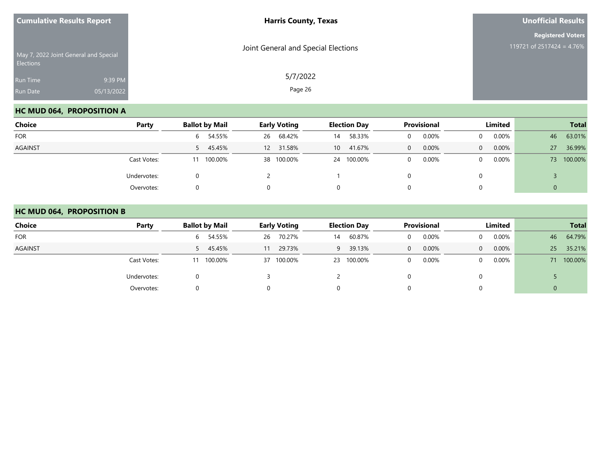| <b>Cumulative Results Report</b> |                                       | <b>Harris County, Texas</b>         | <b>Unofficial Results</b>                             |  |  |
|----------------------------------|---------------------------------------|-------------------------------------|-------------------------------------------------------|--|--|
| Elections                        | May 7, 2022 Joint General and Special | Joint General and Special Elections | <b>Registered Voters</b><br>119721 of 2517424 = 4.76% |  |  |
| Run Time<br>Run Date             | 9:39 PM<br>05/13/2022                 | 5/7/2022<br>Page 26                 |                                                       |  |  |

### **HC MUD 064, PROPOSITION A**

| Choice         | Party       | <b>Ballot by Mail</b> | <b>Early Voting</b> | <b>Election Day</b>       | <b>Provisional</b> | <b>Limited</b>       | <b>Total</b>  |
|----------------|-------------|-----------------------|---------------------|---------------------------|--------------------|----------------------|---------------|
| <b>FOR</b>     |             | 6 54.55%              | 68.42%<br>26        | 58.33%<br>14              | 0.00%              | $0.00\%$<br>$\Omega$ | 63.01%<br>46  |
| <b>AGAINST</b> |             | 5 45.45%              | 12 31.58%           | 41.67%<br>10 <sup>1</sup> | 0.00%<br>0         | 0.00%<br>$\Omega$    | 36.99%<br>27  |
|                | Cast Votes: | 100.00%               | 38 100.00%          | 24 100.00%                | 0.00%              | $0.00\%$<br>$\Omega$ | 100.00%<br>73 |
|                | Undervotes: |                       |                     |                           |                    | 0                    |               |
|                | Overvotes:  |                       |                     | 0                         |                    | 0                    | 0             |

#### **HC MUD 064, PROPOSITION B**

| Choice         | Party       | <b>Ballot by Mail</b> | <b>Early Voting</b> | <b>Election Day</b> | <b>Provisional</b> | <b>Limited</b>       | <b>Total</b> |
|----------------|-------------|-----------------------|---------------------|---------------------|--------------------|----------------------|--------------|
| <b>FOR</b>     |             | 6 54.55%              | 70.27%<br>26        | 60.87%<br>14        | 0.00%              | 0.00%<br>$\Omega$    | 64.79%<br>46 |
| <b>AGAINST</b> |             | 5 45.45%              | 29.73%<br>11        | 39.13%<br>9         | 0.00%<br>0         | $0.00\%$<br>$\Omega$ | 25<br>35.21% |
|                | Cast Votes: | 100.00%<br>11         | 37 100.00%          | 23 100.00%          | 0.00%              | $0.00\%$<br>$\Omega$ | 71 100.00%   |
|                | Undervotes: |                       |                     |                     |                    | 0                    |              |
|                | Overvotes:  |                       |                     | 0                   |                    | 0                    | U            |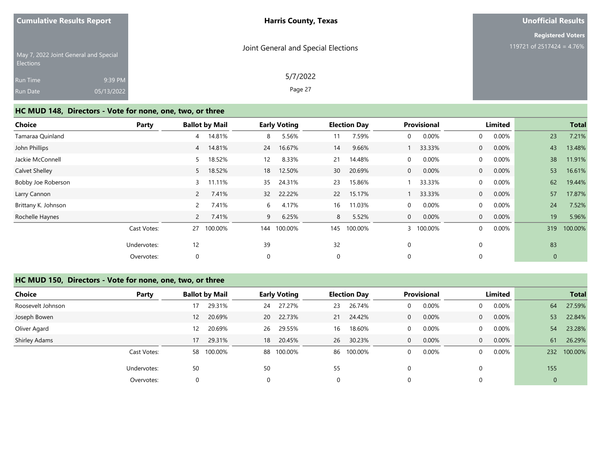| <b>Cumulative Results Report</b> |  |
|----------------------------------|--|
|                                  |  |

#### **Unofficial Results**

**Registered Voters**

| <b>Elections</b> | May 7, 2022 Joint General and Special | Joint General and Special Elections | 119721 of 2517424 = 4.76% |
|------------------|---------------------------------------|-------------------------------------|---------------------------|
| <b>Run Time</b>  | 9:39 PM                               | 5/7/2022                            |                           |
| <b>Run Date</b>  | 05/13/2022                            | Page 27                             |                           |

# **HC MUD 148, Directors - Vote for none, one, two, or three**

| <b>Choice</b>       | Party       |                | <b>Ballot by Mail</b> |                 | <b>Early Voting</b> |                 | <b>Election Day</b> |              | Provisional |                | Limited |             | <b>Total</b> |
|---------------------|-------------|----------------|-----------------------|-----------------|---------------------|-----------------|---------------------|--------------|-------------|----------------|---------|-------------|--------------|
| Tamaraa Quinland    |             | 4              | 14.81%                | 8               | 5.56%               | 11              | 7.59%               | $\mathbf 0$  | 0.00%       | $\mathbf{0}$   | 0.00%   | 23          | 7.21%        |
| John Phillips       |             | $\overline{4}$ | 14.81%                | 24              | 16.67%              | 14              | 9.66%               |              | 33.33%      | $\overline{0}$ | 0.00%   | 43          | 13.48%       |
| Jackie McConnell    |             | 5              | 18.52%                | 12              | 8.33%               | 21              | 14.48%              | $\mathbf 0$  | 0.00%       | $\overline{0}$ | 0.00%   | 38          | 11.91%       |
| Calvet Shelley      |             | 5              | 18.52%                | 18              | 12.50%              | 30 <sup>°</sup> | 20.69%              | $\mathbf{0}$ | 0.00%       | $\overline{0}$ | 0.00%   | 53          | 16.61%       |
| Bobby Joe Roberson  |             | $\mathbf{3}$   | 11.11%                | 35              | 24.31%              | 23              | 15.86%              |              | 33.33%      | $\Omega$       | 0.00%   | 62          | 19.44%       |
| Larry Cannon        |             | $\overline{2}$ | 7.41%                 | 32 <sup>2</sup> | 22.22%              | 22              | 15.17%              |              | 33.33%      | $\overline{0}$ | 0.00%   | 57          | 17.87%       |
| Brittany K. Johnson |             | $\overline{2}$ | 7.41%                 | 6               | 4.17%               | 16              | 11.03%              | $\Omega$     | 0.00%       | $\Omega$       | 0.00%   | 24          | 7.52%        |
| Rochelle Haynes     |             | $\mathbf{2}$   | 7.41%                 | 9               | 6.25%               | 8               | 5.52%               | $\mathbf{0}$ | 0.00%       | $\overline{0}$ | 0.00%   | 19          | 5.96%        |
|                     | Cast Votes: | 27             | 100.00%               | 144             | 100.00%             | 145             | 100.00%             |              | 100.00%     | $\Omega$       | 0.00%   | 319         | 100.00%      |
|                     | Undervotes: | 12             |                       | 39              |                     | 32              |                     | 0            |             |                |         | 83          |              |
|                     | Overvotes:  | 0              |                       | $\mathbf 0$     |                     | 0               |                     | $\mathbf 0$  |             |                |         | $\mathbf 0$ |              |

# **HC MUD 150, Directors - Vote for none, one, two, or three**

| Choice               | Party       | <b>Ballot by Mail</b> |            |    | <b>Early Voting</b> |    | <b>Election Day</b> |   | <b>Provisional</b> |                | Limited  |             | <b>Total</b> |
|----------------------|-------------|-----------------------|------------|----|---------------------|----|---------------------|---|--------------------|----------------|----------|-------------|--------------|
| Roosevelt Johnson    |             | 17                    | 29.31%     | 24 | 27.27%              | 23 | 26.74%              |   | 0.00%              | 0              | 0.00%    | 64          | 27.59%       |
| Joseph Bowen         |             | $12 \overline{ }$     | 20.69%     | 20 | 22.73%              | 21 | 24.42%              | 0 | 0.00%              | $\overline{0}$ | 0.00%    | 53          | 22.84%       |
| Oliver Agard         |             | 12                    | 20.69%     | 26 | 29.55%              | 16 | 18.60%              | 0 | 0.00%              | 0              | $0.00\%$ | 54          | 23.28%       |
| <b>Shirley Adams</b> |             | 17                    | 29.31%     | 18 | 20.45%              | 26 | 30.23%              | 0 | 0.00%              | $\overline{0}$ | $0.00\%$ | 61          | 26.29%       |
|                      | Cast Votes: |                       | 58 100.00% |    | 88 100.00%          | 86 | 100.00%             | 0 | 0.00%              | $\Omega$       | 0.00%    | 232         | 100.00%      |
|                      | Undervotes: | 50                    |            | 50 |                     | 55 |                     |   |                    |                |          | 155         |              |
|                      | Overvotes:  | 0                     |            |    |                     | 0  |                     |   |                    |                |          | $\mathbf 0$ |              |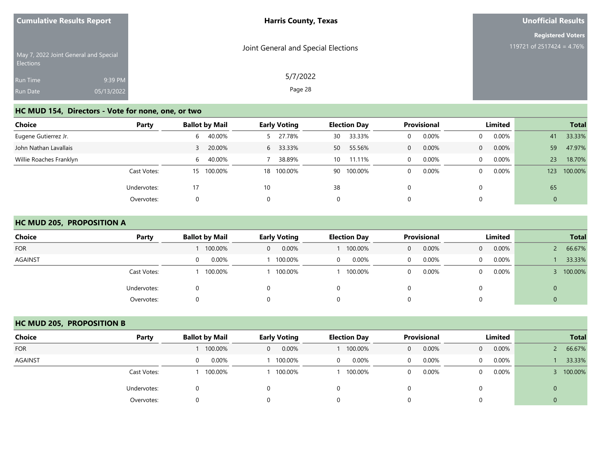| <b>Cumulative Results Report</b>                   |            | <b>Harris County, Texas</b>         | <b>Unofficial Results</b> |  |  |
|----------------------------------------------------|------------|-------------------------------------|---------------------------|--|--|
|                                                    |            |                                     | <b>Registered Voters</b>  |  |  |
| May 7, 2022 Joint General and Special<br>Elections |            | Joint General and Special Elections | 119721 of 2517424 = 4.76% |  |  |
| Run Time                                           | 9:39 PM    | 5/7/2022                            |                           |  |  |
| Run Date                                           | 05/13/2022 | Page 28                             |                           |  |  |

## **HC MUD 154, Directors - Vote for none, one, or two**

| <b>Choice</b>           | Party       | <b>Ballot by Mail</b>  | <b>Early Voting</b> | <b>Election Day</b> | Provisional       | <b>Limited</b>    | <b>Total</b>   |
|-------------------------|-------------|------------------------|---------------------|---------------------|-------------------|-------------------|----------------|
| Eugene Gutierrez Jr.    |             | 40.00%<br>6            | 27.78%              | 33.33%<br>30        | 0.00%<br>0        | 0.00%<br>$\Omega$ | 33.33%<br>41   |
| John Nathan Lavallais   |             | 20.00%                 | 33.33%<br>6         | 55.56%<br>50        | 0.00%<br>$\Omega$ | 0.00%<br>$\Omega$ | 59<br>47.97%   |
| Willie Roaches Franklyn |             | 40.00%<br>$\mathsf{h}$ | 38.89%              | 11.11%<br>10        | 0.00%<br>$\Omega$ | 0.00%<br>$\Omega$ | 18.70%<br>23   |
|                         | Cast Votes: | 100.00%<br>15          | 18 100.00%          | 90 100.00%          | 0.00%<br>$\Omega$ | 0.00%<br>$\Omega$ | 100.00%<br>123 |
|                         | Undervotes: |                        | 10                  | 38                  | $\Omega$          |                   | 65             |
|                         | Overvotes:  | 0                      | 0                   | $\Omega$            | 0                 |                   | 0              |

#### **HC MUD 205, PROPOSITION A**

| <b>Choice</b>  | Party       |         | <b>Early Voting</b>   | <b>Election Day</b> | Provisional | Limited           | <b>Total</b> |
|----------------|-------------|---------|-----------------------|---------------------|-------------|-------------------|--------------|
| <b>FOR</b>     |             | 100.00% | 0.00%<br>$\mathbf{0}$ | 100.00%             | 0.00%<br>0  | 0.00%<br>$\Omega$ | 66.67%       |
| <b>AGAINST</b> |             | 0.00%   | 100.00%               | 0.00%<br>0          | 0.00%<br>0  | 0.00%<br>0        | 33.33%       |
|                | Cast Votes: | 100.00% | 100.00%               | 100.00%             | 0.00%<br>0  | $0.00\%$<br>0     | 100.00%      |
|                | Undervotes: |         |                       | 0                   |             |                   | $\mathbf{0}$ |
|                | Overvotes:  |         |                       | 0                   | 0           |                   | 0            |

## **HC MUD 205, PROPOSITION B**

| <b>Choice</b>  | Party       | <b>Ballot by Mail</b> | <b>Early Voting</b> | <b>Election Day</b> | <b>Provisional</b>    | Limited                    | <b>Total</b> |
|----------------|-------------|-----------------------|---------------------|---------------------|-----------------------|----------------------------|--------------|
| <b>FOR</b>     |             | 100.00%               | 0.00%<br>0          | 100.00%             | 0.00%<br>$\mathbf{0}$ | 0.00%<br>$\overline{0}$    | 66.67%       |
| <b>AGAINST</b> |             | 0.00%<br>0            | 100.00%             | 0.00%               | 0.00%<br>0            | $0.00\%$<br>$\overline{0}$ | 33.33%       |
|                | Cast Votes: | 100.00%               | 100.00%             | 100.00%             | 0.00%<br>0            | $0.00\%$<br>$\Omega$       | 100.00%      |
|                | Undervotes: |                       |                     |                     |                       |                            | $\mathbf{0}$ |
|                | Overvotes:  |                       |                     |                     |                       |                            | 0            |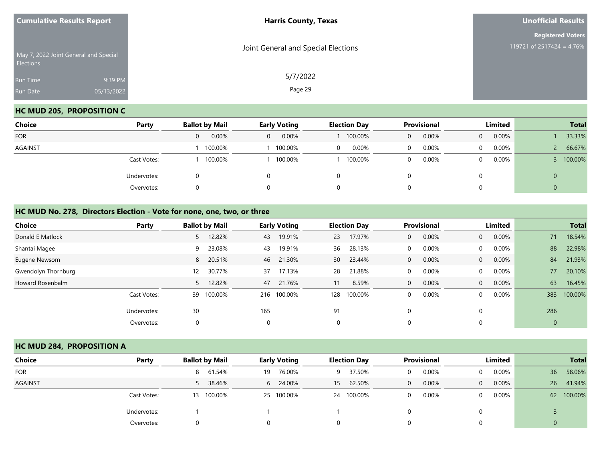| <b>Cumulative Results Report</b> |                                       | <b>Harris County, Texas</b>         | <b>Unofficial Results</b>                             |  |  |
|----------------------------------|---------------------------------------|-------------------------------------|-------------------------------------------------------|--|--|
| <b>Elections</b>                 | May 7, 2022 Joint General and Special | Joint General and Special Elections | <b>Registered Voters</b><br>119721 of 2517424 = 4.76% |  |  |
| Run Time<br>Run Date             | 9:39 PM<br>05/13/2022                 | 5/7/2022<br>Page 29                 |                                                       |  |  |

## **HC MUD 205, PROPOSITION C**

| <b>Choice</b>  | Party       | <b>Ballot by Mail</b> | <b>Early Voting</b>     | <b>Election Day</b> | Provisional | Limited              | <b>Total</b> |
|----------------|-------------|-----------------------|-------------------------|---------------------|-------------|----------------------|--------------|
| <b>FOR</b>     |             | 0.00%<br>0            | 0.00%<br>$\overline{0}$ | 100.00%             | 0.00%<br>0  | 0.00%<br>$\Omega$    | 33.33%       |
| <b>AGAINST</b> |             | 100.00%               | 100.00%                 | 0.00%<br>0          | 0.00%<br>0  | $0.00\%$<br>$\Omega$ | 66.67%       |
|                | Cast Votes: | 100.00%               | 100.00%                 | 100.00%             | 0.00%<br>0  | 0.00%<br>$\Omega$    | 100.00%      |
|                | Undervotes: |                       | $\Omega$                | 0                   |             |                      | U            |
|                | Overvotes:  |                       | 0                       | 0                   |             |                      | ν            |

#### **HC MUD No. 278, Directors Election - Vote for none, one, two, or three**

| <b>Choice</b>       | Party       |                   | <b>Ballot by Mail</b> |     | <b>Early Voting</b> |          | <b>Election Day</b> |              | Provisional |                | Limited  |             | <b>Total</b> |
|---------------------|-------------|-------------------|-----------------------|-----|---------------------|----------|---------------------|--------------|-------------|----------------|----------|-------------|--------------|
| Donald E Matlock    |             | 5                 | 12.82%                | 43  | 19.91%              | 23       | 17.97%              | $\Omega$     | 0.00%       | $\overline{0}$ | $0.00\%$ | 71          | 18.54%       |
| Shantai Magee       |             | 9                 | 23.08%                | 43  | 19.91%              | 36       | 28.13%              | $\mathbf 0$  | 0.00%       | $\Omega$       | 0.00%    | 88          | 22.98%       |
| Eugene Newsom       |             |                   | 8 20.51%              | 46  | 21.30%              | 30       | 23.44%              | $\mathbf{0}$ | 0.00%       | $\overline{0}$ | 0.00%    | 84          | 21.93%       |
| Gwendolyn Thornburg |             | $12 \overline{ }$ | 30.77%                | 37  | 17.13%              | 28       | 21.88%              | $\Omega$     | 0.00%       | $\Omega$       | 0.00%    | 77          | 20.10%       |
| Howard Rosenbalm    |             | 5.                | 12.82%                | 47  | 21.76%              |          | 8.59%               | $\mathbf{0}$ | 0.00%       | $\overline{0}$ | 0.00%    | 63          | 16.45%       |
|                     | Cast Votes: | 39                | 100.00%               | 216 | 100.00%             | 128      | 100.00%             | $\Omega$     | 0.00%       | $\Omega$       | 0.00%    | 383         | 100.00%      |
|                     | Undervotes: | 30                |                       | 165 |                     | 91       |                     | 0            |             |                |          | 286         |              |
|                     | Overvotes:  | 0                 |                       | 0   |                     | $\Omega$ |                     | 0            |             |                |          | $\mathbf 0$ |              |

#### **HC MUD 284, PROPOSITION A**

| Choice     | Party       | <b>Ballot by Mail</b> | <b>Early Voting</b> | <b>Election Day</b> | <b>Provisional</b>   | Limited                  | <b>Total</b>            |
|------------|-------------|-----------------------|---------------------|---------------------|----------------------|--------------------------|-------------------------|
| <b>FOR</b> |             | 61.54%<br>8           | 76.00%<br>19        | 37.50%<br>9         | $0.00\%$<br>$\Omega$ | $0.00\%$<br>$\mathbf{0}$ | 58.06%<br>36            |
| AGAINST    |             | 5 38.46%              | 24.00%<br>6         | 62.50%<br>15        | 0.00%<br>$\Omega$    | $0.00\%$<br>$\Omega$     | 41.94%<br>26            |
|            | Cast Votes: | 13 100.00%            | 25 100.00%          | 24 100.00%          | 0.00%<br>0           | $0.00\%$<br>$\Omega$     | 100.00%<br>$62^{\circ}$ |
|            | Undervotes: |                       |                     |                     |                      |                          |                         |
|            | Overvotes:  |                       | 0                   |                     |                      |                          |                         |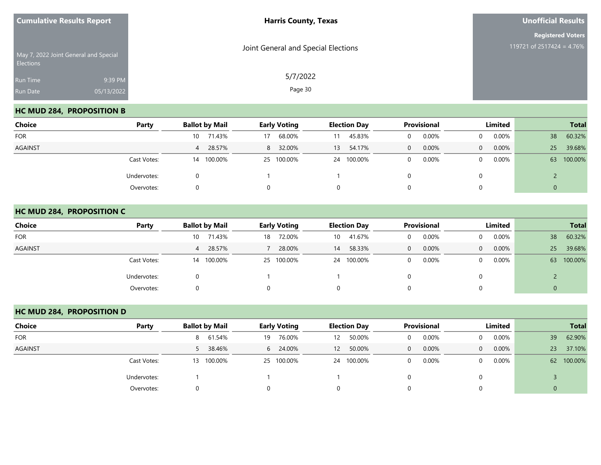| <b>Cumulative Results Report</b> |                                       | <b>Harris County, Texas</b>         | <b>Unofficial Results</b>                             |  |  |
|----------------------------------|---------------------------------------|-------------------------------------|-------------------------------------------------------|--|--|
| <b>Elections</b>                 | May 7, 2022 Joint General and Special | Joint General and Special Elections | <b>Registered Voters</b><br>119721 of 2517424 = 4.76% |  |  |
| Run Time<br>Run Date             | 9:39 PM<br>05/13/2022                 | 5/7/2022<br>Page 30                 |                                                       |  |  |

## **HC MUD 284, PROPOSITION B**

| Choice         | Party       | <b>Ballot by Mail</b> | <b>Early Voting</b> | <b>Election Day</b> | Provisional       | Limited              | <b>Total</b>  |
|----------------|-------------|-----------------------|---------------------|---------------------|-------------------|----------------------|---------------|
| <b>FOR</b>     |             | 71.43%<br>10          | 68.00%<br>17        | 45.83%<br>11        | 0.00%             | $0.00\%$<br>$\Omega$ | 60.32%<br>38  |
| <b>AGAINST</b> |             | 4 28.57%              | 32.00%<br>8         | 54.17%<br>13        | 0.00%<br>$\Omega$ | $0.00\%$<br>$\Omega$ | 39.68%<br>25  |
|                | Cast Votes: | 14 100.00%            | 25 100.00%          | 24 100.00%          | 0.00%             | $0.00\%$<br>$\Omega$ | 100.00%<br>63 |
|                | Undervotes: |                       |                     |                     |                   | 0                    |               |
|                | Overvotes:  |                       |                     | 0                   |                   | 0                    | 0             |

#### **HC MUD 284, PROPOSITION C**

| <b>Choice</b>  | Party       | <b>Ballot by Mail</b> | <b>Early Voting</b> | <b>Election Day</b> | <b>Provisional</b>    | Limited                    | <b>Total</b>  |
|----------------|-------------|-----------------------|---------------------|---------------------|-----------------------|----------------------------|---------------|
| <b>FOR</b>     |             | 71.43%<br>10          | 72.00%<br>18        | 41.67%<br>10        | 0.00%<br>$\Omega$     | $0.00\%$<br>$\Omega$       | 60.32%<br>38  |
| <b>AGAINST</b> |             | 28.57%<br>4           | 28.00%              | 58.33%<br>14        | 0.00%<br>$\mathbf{0}$ | $0.00\%$<br>$\overline{0}$ | 39.68%<br>25  |
|                | Cast Votes: | 100.00%<br>14         | 25 100.00%          | 24 100.00%          | 0.00%<br>$\mathbf 0$  | $0.00\%$<br>$\overline{0}$ | 100.00%<br>63 |
|                | Undervotes: |                       |                     |                     |                       | 0                          |               |
|                | Overvotes:  |                       |                     | O.                  | 0                     | 0                          | U             |

## **HC MUD 284, PROPOSITION D**

| Choice         | Party       | <b>Ballot by Mail</b> | <b>Early Voting</b> | <b>Election Day</b>         | Provisional           | Limited                    | <b>Total</b>  |
|----------------|-------------|-----------------------|---------------------|-----------------------------|-----------------------|----------------------------|---------------|
| <b>FOR</b>     |             | 8 61.54%              | 76.00%<br>19        | 50.00%<br>$12 \overline{ }$ | 0.00%<br>$\Omega$     | $0.00\%$<br>$\Omega$       | 62.90%<br>39  |
| <b>AGAINST</b> |             | 38.46%                | 24.00%<br>6         | 50.00%<br>12                | 0.00%<br>$\mathbf{0}$ | $0.00\%$<br>$\overline{0}$ | 37.10%<br>23  |
|                | Cast Votes: | 100.00%<br>13         | 25 100.00%          | 24 100.00%                  | 0.00%<br>$\Omega$     | $0.00\%$<br>0              | 100.00%<br>62 |
|                | Undervotes: |                       |                     |                             |                       |                            |               |
|                | Overvotes:  |                       |                     |                             |                       |                            |               |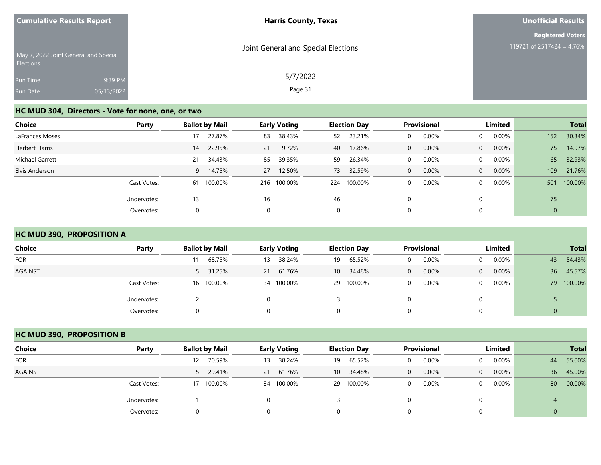| <b>Cumulative Results Report</b> |                                       | <b>Harris County, Texas</b>         | <b>Unofficial Results</b>                             |  |  |
|----------------------------------|---------------------------------------|-------------------------------------|-------------------------------------------------------|--|--|
| Elections                        | May 7, 2022 Joint General and Special | Joint General and Special Elections | <b>Registered Voters</b><br>119721 of 2517424 = 4.76% |  |  |
| Run Time<br>Run Date             | 9:39 PM<br>05/13/2022                 | 5/7/2022<br>Page 31                 |                                                       |  |  |

## **HC MUD 304, Directors - Vote for none, one, or two**

| <b>Choice</b>   | Party       |    | <b>Ballot by Mail</b> |    | <b>Early Voting</b> |     | <b>Election Day</b> |              | <b>Provisional</b> |                | Limited  |     | <b>Total</b> |
|-----------------|-------------|----|-----------------------|----|---------------------|-----|---------------------|--------------|--------------------|----------------|----------|-----|--------------|
| LaFrances Moses |             | 17 | 27.87%                | 83 | 38.43%              | 52  | 23.21%              | 0            | 0.00%              | $\mathbf{0}$   | $0.00\%$ | 152 | 30.34%       |
| Herbert Harris  |             | 14 | 22.95%                | 21 | 9.72%               | 40  | 17.86%              | $\mathbf{0}$ | 0.00%              | $\overline{0}$ | 0.00%    | 75  | 14.97%       |
| Michael Garrett |             | 21 | 34.43%                | 85 | 39.35%              | 59  | 26.34%              | 0            | 0.00%              | $\Omega$       | $0.00\%$ | 165 | 32.93%       |
| Elvis Anderson  |             | 9  | 14.75%                | 27 | 12.50%              | 73  | 32.59%              | $\mathbf{0}$ | 0.00%              | $\Omega$       | 0.00%    | 109 | 21.76%       |
|                 | Cast Votes: | 61 | 100.00%               |    | 216 100.00%         | 224 | 100.00%             | 0            | 0.00%              | $\Omega$       | $0.00\%$ | 501 | 100.00%      |
|                 | Undervotes: | 13 |                       | 16 |                     | 46  |                     | 0            |                    | 0              |          | 75  |              |
|                 | Overvotes:  |    |                       |    |                     | 0   |                     | 0            |                    | 0              |          | 0   |              |

## **HC MUD 390, PROPOSITION A**

| <b>Choice</b>  | Party       | <b>Ballot by Mail</b> | <b>Early Voting</b> | <b>Election Day</b>       | <b>Provisional</b> | Limited                    | <b>Total</b>  |
|----------------|-------------|-----------------------|---------------------|---------------------------|--------------------|----------------------------|---------------|
| <b>FOR</b>     |             | 68.75%                | 38.24%<br>13        | 65.52%<br>19              | 0.00%<br>0         | $0.00\%$<br>$\mathbf{0}$   | 54.43%<br>43  |
| <b>AGAINST</b> |             | 5 31.25%              | 21 61.76%           | 34.48%<br>10 <sup>1</sup> | 0.00%<br>$\Omega$  | $0.00\%$<br>$\overline{0}$ | 45.57%<br>36  |
|                | Cast Votes: | 16 100.00%            | 34 100.00%          | 100.00%<br>29             | 0.00%<br>0         | $0.00\%$<br>$\Omega$       | 100.00%<br>79 |
|                | Undervotes: |                       |                     |                           |                    |                            |               |
|                | Overvotes:  | $\Omega$              |                     | 0                         |                    |                            |               |

#### **HC MUD 390, PROPOSITION B**

| Choice         | Party       | <b>Ballot by Mail</b> | <b>Early Voting</b> | <b>Election Day</b> | <b>Provisional</b> | Limited                    | <b>Total</b>  |
|----------------|-------------|-----------------------|---------------------|---------------------|--------------------|----------------------------|---------------|
| <b>FOR</b>     |             | 70.59%<br>12          | 38.24%<br>13        | 65.52%<br>19        | 0.00%              | $0.00\%$<br>0              | 55.00%<br>44  |
| <b>AGAINST</b> |             | 5 29.41%              | 21 61.76%           | 34.48%<br>10        | 0.00%<br>0         | $0.00\%$<br>$\overline{0}$ | 36<br>45.00%  |
|                | Cast Votes: | 17 100.00%            | 34 100.00%          | 29 100.00%          | 0.00%              | $0.00\%$<br>0              | 100.00%<br>80 |
|                | Undervotes: |                       |                     |                     |                    |                            |               |
|                | Overvotes:  |                       |                     |                     |                    |                            |               |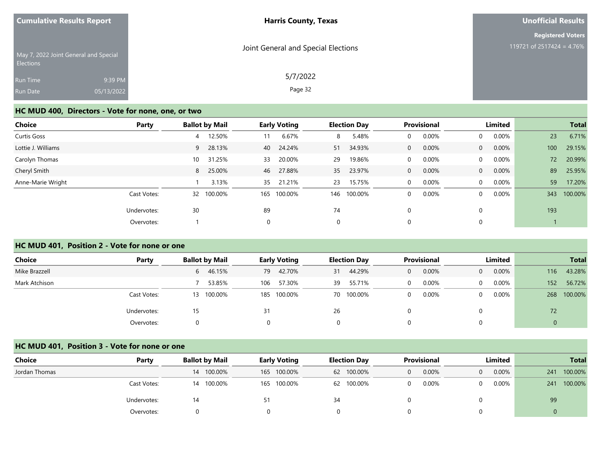| <b>Cumulative Results Report</b> |                                       | <b>Harris County, Texas</b>         | <b>Unofficial Results</b> |
|----------------------------------|---------------------------------------|-------------------------------------|---------------------------|
|                                  |                                       |                                     | <b>Registered Voters</b>  |
| <b>Elections</b>                 | May 7, 2022 Joint General and Special | Joint General and Special Elections | 119721 of 2517424 = 4.76% |
| Run Time                         | 9:39 PM                               | 5/7/2022                            |                           |
| Run Date                         | 05/13/2022                            | Page 32                             |                           |

#### **HC MUD 400, Directors - Vote for none, one, or two**

| <b>Choice</b>      | Party       | <b>Ballot by Mail</b> | <b>Early Voting</b> | <b>Election Day</b> | Provisional           | Limited                 | <b>Total</b>   |
|--------------------|-------------|-----------------------|---------------------|---------------------|-----------------------|-------------------------|----------------|
| Curtis Goss        |             | 12.50%<br>4           | 6.67%<br>11         | 5.48%<br>8          | 0.00%<br>0            | 0.00%<br>$\Omega$       | 23<br>6.71%    |
| Lottie J. Williams |             | 28.13%<br>9           | 24.24%<br>40        | 34.93%<br>51        | 0.00%<br>$\mathbf{0}$ | 0.00%<br>$\Omega$       | 29.15%<br>100  |
| Carolyn Thomas     |             | 31.25%<br>10          | 20.00%<br>33        | 19.86%<br>29        | 0.00%<br>$\mathbf 0$  | $0.00\%$<br>$\Omega$    | 20.99%<br>72   |
| Cheryl Smith       |             | 25.00%<br>8           | 27.88%<br>46        | 23.97%<br>35        | 0.00%<br>$\mathbf{0}$ | 0.00%<br>$\overline{0}$ | 89<br>25.95%   |
| Anne-Marie Wright  |             | 3.13%                 | 21.21%<br>35        | 15.75%<br>23        | 0.00%<br>$\mathbf 0$  | 0.00%<br>$\Omega$       | 59<br>17.20%   |
|                    | Cast Votes: | 100.00%<br>32         | 100.00%<br>165      | 146<br>100.00%      | 0.00%<br>0            | 0.00%<br>$\Omega$       | 100.00%<br>343 |
|                    | Undervotes: | 30                    | 89                  | 74                  | 0                     |                         | 193            |
|                    | Overvotes:  |                       | 0                   | $\mathbf 0$         | 0                     |                         |                |

#### **HC MUD 401, Position 2 - Vote for none or one**

| Choice<br>Party | <b>Ballot by Mail</b> | <b>Early Voting</b> | <b>Election Day</b> | <b>Provisional</b> | Limited                    | <b>Total</b>   |
|-----------------|-----------------------|---------------------|---------------------|--------------------|----------------------------|----------------|
| Mike Brazzell   | 6 46.15%              | 42.70%<br>79        | 44.29%<br>31        | 0.00%<br>0         | $0.00\%$<br>$\overline{0}$ | 43.28%<br>116  |
| Mark Atchison   | 53.85%                | 57.30%<br>106       | 55.71%<br>39        | 0.00%<br>0         | $0.00\%$<br>0              | 56.72%<br>152  |
| Cast Votes:     | 13 100.00%            | 185 100.00%         | 70 100.00%          | 0.00%              | $0.00\%$<br>0              | 100.00%<br>268 |
| Undervotes:     |                       | 31                  | 26                  |                    |                            | 72             |
| Overvotes:      |                       |                     |                     |                    |                            |                |

#### **HC MUD 401, Position 3 - Vote for none or one**

| Choice        | Party       | <b>Ballot by Mail</b> | <b>Early Voting</b> | <b>Election Day</b> | <b>Provisional</b> | Limited              | <b>Total</b>   |
|---------------|-------------|-----------------------|---------------------|---------------------|--------------------|----------------------|----------------|
| Jordan Thomas |             | 14 100.00%            | 165 100.00%         | 62 100.00%          | 0.00%<br>$\Omega$  | $0.00\%$<br>$\Omega$ | 100.00%<br>241 |
|               | Cast Votes: | 14 100.00%            | 165 100.00%         | 62 100.00%          | 0.00%<br>$\Omega$  | $0.00\%$             | 100.00%<br>241 |
|               | Undervotes: | 14                    |                     | 34                  |                    |                      | 99             |
|               | Overvotes:  |                       |                     |                     |                    |                      |                |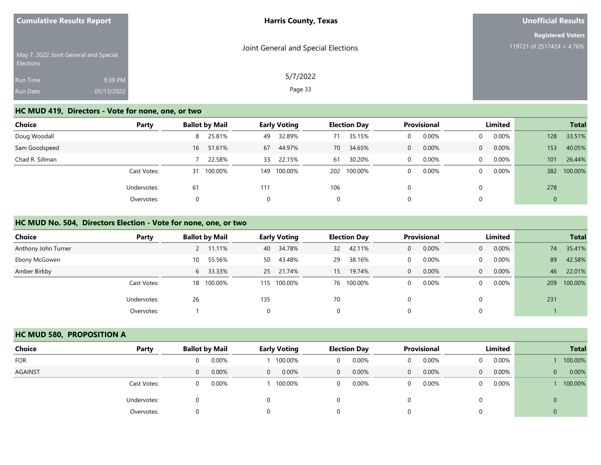| <b>Cumulative Results Report</b> |                                       | <b>Harris County, Texas</b>         | <b>Unofficial Results</b>                             |
|----------------------------------|---------------------------------------|-------------------------------------|-------------------------------------------------------|
| Elections                        | May 7, 2022 Joint General and Special | Joint General and Special Elections | <b>Registered Voters</b><br>119721 of 2517424 = 4.76% |
| Run Time<br>Run Date             | 9:39 PM<br>05/13/2022                 | 5/7/2022<br>Page 33                 |                                                       |

# **HC MUD 419, Directors - Vote for none, one, or two**

| <b>Choice</b>   | Party       | <b>Ballot by Mail</b> | <b>Early Voting</b> | <b>Election Day</b> | Provisional       | <b>Limited</b>       | <b>Total</b>   |
|-----------------|-------------|-----------------------|---------------------|---------------------|-------------------|----------------------|----------------|
| Doug Woodall    |             | 25.81%<br>8           | 32.89%<br>49        | 35.15%<br>71        | 0.00%<br>0        | $0.00\%$<br>$\Omega$ | 33.51%<br>128  |
| Sam Goodspeed   |             | 51.61%<br>16          | 44.97%<br>67        | 34.65%<br>70        | 0.00%<br>$\Omega$ | $0.00\%$<br>$\Omega$ | 40.05%<br>153  |
| Chad R. Sillman |             | 22.58%                | 33 22.15%           | 30.20%<br>61        | 0.00%<br>$\Omega$ | $0.00\%$<br>$\Omega$ | 101<br>26.44%  |
|                 | Cast Votes: | 100.00%<br>31         | 100.00%<br>149      | 202 100.00%         | 0.00%<br>$\Omega$ | $0.00\%$<br>$\Omega$ | 100.00%<br>382 |
|                 | Undervotes: | 61                    | 111                 | 106                 | 0                 |                      | 278            |
|                 | Overvotes:  | O                     | 0                   | $\Omega$            | 0                 |                      | $\mathbf 0$    |

### **HC MUD No. 504, Directors Election - Vote for none, one, or two**

| <b>Choice</b>       | Party       | <b>Ballot by Mail</b> |     | <b>Early Voting</b> |    | <b>Election Day</b> |          | Provisional |          | Limited  |     | <b>Total</b> |
|---------------------|-------------|-----------------------|-----|---------------------|----|---------------------|----------|-------------|----------|----------|-----|--------------|
| Anthony John Turner |             | 11.11%                | 40  | 34.78%              | 32 | 42.11%              | $\Omega$ | 0.00%       | $\Omega$ | 0.00%    | 74  | 35.41%       |
| Ebony McGowen       |             | 55.56%<br>10          | 50  | 43.48%              | 29 | 38.16%              | $\Omega$ | 0.00%       |          | $0.00\%$ | 89  | 42.58%       |
| Amber Birkby        |             | 6 33.33%              |     | 25 21.74%           | 15 | 19.74%              | $\Omega$ | 0.00%       | $\Omega$ | 0.00%    | 46  | 22.01%       |
|                     | Cast Votes: | 18 100.00%            |     | 115 100.00%         |    | 76 100.00%          | $\Omega$ | $0.00\%$    |          | $0.00\%$ | 209 | 100.00%      |
|                     | Undervotes: | 26                    | 135 |                     | 70 |                     |          |             |          |          | 231 |              |
|                     | Overvotes:  |                       | 0   |                     |    |                     |          |             |          |          |     |              |

#### **HC MUD 580, PROPOSITION A**

| <b>Choice</b>  | Party       |   | <b>Ballot by Mail</b> |          | <b>Early Voting</b> |                | <b>Election Day</b> |   | <b>Provisional</b> |                | Limited  | <b>Total</b> |         |
|----------------|-------------|---|-----------------------|----------|---------------------|----------------|---------------------|---|--------------------|----------------|----------|--------------|---------|
| <b>FOR</b>     |             |   | 0.00%                 |          | 100.00%             | 0              | 0.00%               |   | 0.00%              | $\overline{0}$ | $0.00\%$ |              | 100.00% |
| <b>AGAINST</b> |             | 0 | 0.00%                 | $\Omega$ | 0.00%               | $\overline{0}$ | 0.00%               | 0 | 0.00%              | $\overline{0}$ | $0.00\%$ | $\mathbf{0}$ | 0.00%   |
|                | Cast Votes: |   | 0.00%                 |          | 100.00%             | 0              | 0.00%               |   | 0.00%              | $\Omega$       | $0.00\%$ |              | 100.00% |
|                | Undervotes: |   |                       |          |                     |                |                     |   |                    |                |          | 0            |         |
|                | Overvotes:  |   |                       |          |                     |                |                     |   |                    |                |          |              |         |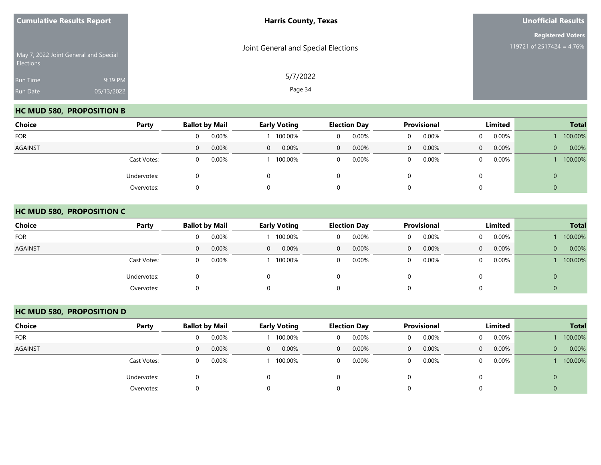| <b>Cumulative Results Report</b> |                                       | <b>Harris County, Texas</b>         | <b>Unofficial Results</b>                             |
|----------------------------------|---------------------------------------|-------------------------------------|-------------------------------------------------------|
| <b>Elections</b>                 | May 7, 2022 Joint General and Special | Joint General and Special Elections | <b>Registered Voters</b><br>119721 of 2517424 = 4.76% |
| Run Time<br>Run Date             | 9:39 PM<br>05/13/2022                 | 5/7/2022<br>Page 34                 |                                                       |

## **HC MUD 580, PROPOSITION B**

| <b>Choice</b>  | Party       |   | <b>Ballot by Mail</b> |          | <b>Early Voting</b> | <b>Election Day</b> |       | Provisional |       | Limited  |          | <b>Total</b> |         |
|----------------|-------------|---|-----------------------|----------|---------------------|---------------------|-------|-------------|-------|----------|----------|--------------|---------|
| <b>FOR</b>     |             |   | 0.00%                 |          | 100.00%             | 0                   | 0.00% |             | 0.00% | $\Omega$ | $0.00\%$ |              | 100.00% |
| <b>AGAINST</b> |             | 0 | 0.00%                 | $\Omega$ | 0.00%               | $\mathbf{0}$        | 0.00% | $\Omega$    | 0.00% | $\Omega$ | 0.00%    | $\mathbf{0}$ | 0.00%   |
|                | Cast Votes: |   | 0.00%                 |          | 100.00%             | 0                   | 0.00% |             | 0.00% | $\Omega$ | 0.00%    |              | 100.00% |
|                | Undervotes: |   |                       |          |                     | 0                   |       |             |       | 0        |          | U            |         |
|                | Overvotes:  |   |                       |          |                     | 0                   |       |             |       | 0        |          | ν            |         |

#### **HC MUD 580, PROPOSITION C**

| <b>Choice</b>  | Party       |   | <b>Ballot by Mail</b> |          | <b>Early Voting</b> |              | <b>Election Day</b> |              | <b>Provisional</b> |          | <b>Limited</b> |              | <b>Total</b> |
|----------------|-------------|---|-----------------------|----------|---------------------|--------------|---------------------|--------------|--------------------|----------|----------------|--------------|--------------|
| <b>FOR</b>     |             |   | 0.00%                 |          | 100.00%             | 0            | 0.00%               | 0            | 0.00%              | $\Omega$ | 0.00%          |              | 100.00%      |
| <b>AGAINST</b> |             | 0 | 0.00%                 | $\Omega$ | 0.00%               | $\mathbf{0}$ | 0.00%               | $\mathbf{0}$ | 0.00%              | $\Omega$ | $0.00\%$       | $\mathbf{0}$ | 0.00%        |
|                | Cast Votes: | 0 | 0.00%                 |          | 100.00%             | 0            | 0.00%               | 0            | 0.00%              | $\Omega$ | $0.00\%$       |              | 100.00%      |
|                | Undervotes: |   |                       |          |                     | 0            |                     |              |                    |          |                | $\mathbf{0}$ |              |
|                | Overvotes:  |   |                       |          |                     | 0            |                     |              |                    |          |                | $\mathbf{0}$ |              |

## **HC MUD 580, PROPOSITION D**

| Choice         | Party       | <b>Ballot by Mail</b> |          |          | <b>Early Voting</b> |          | <b>Election Day</b> |              | <b>Provisional</b> |          | Limited  |              | <b>Total</b> |
|----------------|-------------|-----------------------|----------|----------|---------------------|----------|---------------------|--------------|--------------------|----------|----------|--------------|--------------|
| <b>FOR</b>     |             |                       | 0.00%    |          | 100.00%             |          | 0.00%               | $\mathbf 0$  | 0.00%              | 0        | 0.00%    |              | 100.00%      |
| <b>AGAINST</b> |             | 0                     | 0.00%    | $\Omega$ | 0.00%               | $\Omega$ | $0.00\%$            | $\mathbf{0}$ | 0.00%              | $\Omega$ | $0.00\%$ | $\mathbf{0}$ | 0.00%        |
|                | Cast Votes: |                       | $0.00\%$ |          | 100.00%             | $\Omega$ | $0.00\%$            | $\Omega$     | 0.00%              | $\Omega$ | $0.00\%$ |              | 100.00%      |
|                | Undervotes: |                       |          |          |                     |          |                     |              |                    |          |          |              |              |
|                | Overvotes:  |                       |          |          |                     |          |                     |              |                    |          |          |              |              |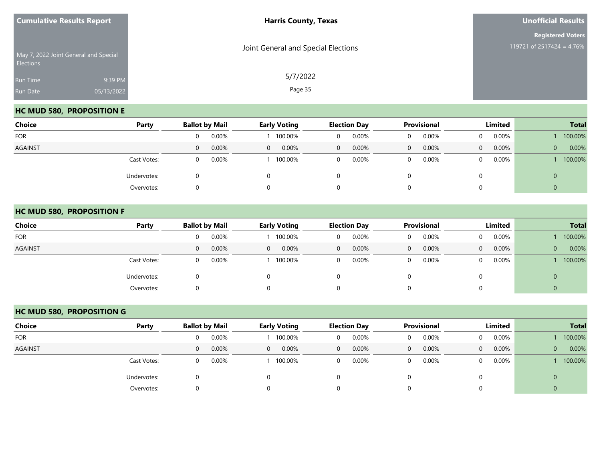| <b>Cumulative Results Report</b>                          |                       | <b>Harris County, Texas</b>         | <b>Unofficial Results</b>                             |
|-----------------------------------------------------------|-----------------------|-------------------------------------|-------------------------------------------------------|
| May 7, 2022 Joint General and Special<br><b>Elections</b> |                       | Joint General and Special Elections | <b>Registered Voters</b><br>119721 of 2517424 = 4.76% |
| Run Time<br>Run Date                                      | 9:39 PM<br>05/13/2022 | 5/7/2022<br>Page 35                 |                                                       |

## **HC MUD 580, PROPOSITION E**

| <b>Choice</b>  | Party       |   | <b>Ballot by Mail</b> |                | <b>Early Voting</b> |                | <b>Election Day</b> |              | <b>Provisional</b> | Limited  |          |              | <b>Total</b> |
|----------------|-------------|---|-----------------------|----------------|---------------------|----------------|---------------------|--------------|--------------------|----------|----------|--------------|--------------|
| <b>FOR</b>     |             | 0 | 0.00%                 |                | 100.00%             | $\mathbf{0}$   | 0.00%               | 0            | 0.00%              | $\Omega$ | 0.00%    |              | 100.00%      |
| <b>AGAINST</b> |             | 0 | 0.00%                 | $\overline{0}$ | 0.00%               | $\overline{0}$ | 0.00%               | $\mathbf{0}$ | 0.00%              | $\Omega$ | $0.00\%$ | $\mathbf{0}$ | 0.00%        |
|                | Cast Votes: | 0 | 0.00%                 |                | 100.00%             | 0              | 0.00%               | 0            | 0.00%              | $\Omega$ | 0.00%    |              | 100.00%      |
|                | Undervotes: |   |                       | $\Omega$       |                     | 0              |                     |              |                    |          |          | 0            |              |
|                | Overvotes:  |   |                       | 0              |                     | 0              |                     |              |                    |          |          | ν            |              |

#### **HC MUD 580, PROPOSITION F**

| <b>Choice</b>  | Party       |          | <b>Ballot by Mail</b> |          | <b>Early Voting</b> |                | <b>Election Day</b> |             | <b>Provisional</b> |              | <b>Limited</b> |                | <b>Total</b> |
|----------------|-------------|----------|-----------------------|----------|---------------------|----------------|---------------------|-------------|--------------------|--------------|----------------|----------------|--------------|
| <b>FOR</b>     |             |          | 0.00%                 |          | 100.00%             | 0              | 0.00%               | 0           | 0.00%              | $\mathbf{0}$ | $0.00\%$       |                | 100.00%      |
| <b>AGAINST</b> |             | $\Omega$ | 0.00%                 | $\Omega$ | $0.00\%$            | $\overline{0}$ | $0.00\%$            | $\Omega$    | 0.00%              | $\Omega$     | $0.00\%$       | $\overline{0}$ | 0.00%        |
|                | Cast Votes: |          | 0.00%                 |          | 100.00%             | $\overline{0}$ | 0.00%               | $\mathbf 0$ | 0.00%              | $\mathbf{0}$ | $0.00\%$       |                | 100.00%      |
|                | Undervotes: |          |                       |          |                     | O              |                     |             |                    | 0            |                | U              |              |
|                | Overvotes:  |          |                       |          |                     | 0              |                     | U           |                    | 0            |                | v              |              |

## **HC MUD 580, PROPOSITION G**

| Choice         | Party       |                  | <b>Ballot by Mail</b> |              | <b>Early Voting</b> |   | <b>Election Day</b> | Provisional  |       | Limited        |          |                | <b>Total</b> |
|----------------|-------------|------------------|-----------------------|--------------|---------------------|---|---------------------|--------------|-------|----------------|----------|----------------|--------------|
| <b>FOR</b>     |             |                  | 0.00%                 |              | 100.00%             |   | 0.00%               | $\Omega$     | 0.00% | $\Omega$       | 0.00%    |                | 100.00%      |
| <b>AGAINST</b> |             | $\left( \right)$ | 0.00%                 | $\mathbf{0}$ | 0.00%               | 0 | $0.00\%$            | $\mathbf{0}$ | 0.00% | $\overline{0}$ | $0.00\%$ | $\overline{0}$ | 0.00%        |
|                | Cast Votes: |                  | 0.00%                 |              | 100.00%             | 0 | 0.00%               | 0            | 0.00% | 0              | 0.00%    |                | 100.00%      |
|                | Undervotes: |                  |                       |              |                     |   |                     |              |       |                |          |                |              |
|                | Overvotes:  |                  |                       |              |                     |   |                     |              |       |                |          |                |              |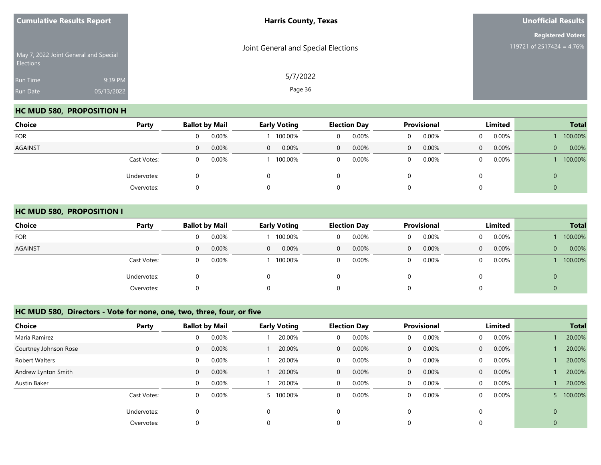| <b>Cumulative Results Report</b> |                                       | <b>Harris County, Texas</b>         | <b>Unofficial Results</b>                             |
|----------------------------------|---------------------------------------|-------------------------------------|-------------------------------------------------------|
| <b>Elections</b>                 | May 7, 2022 Joint General and Special | Joint General and Special Elections | <b>Registered Voters</b><br>119721 of 2517424 = 4.76% |
| Run Time<br>Run Date             | 9:39 PM<br>05/13/2022                 | 5/7/2022<br>Page 36                 |                                                       |

## **HC MUD 580, PROPOSITION H**

| <b>Choice</b>  | Party       |   | <b>Ballot by Mail</b> |          | <b>Early Voting</b> |              | <b>Election Day</b> |   | <b>Provisional</b> | Limited  |          | <b>Total</b> |         |
|----------------|-------------|---|-----------------------|----------|---------------------|--------------|---------------------|---|--------------------|----------|----------|--------------|---------|
| <b>FOR</b>     |             |   | 0.00%                 |          | 100.00%             | 0            | 0.00%               |   | 0.00%              | $\Omega$ | $0.00\%$ |              | 100.00% |
| <b>AGAINST</b> |             | 0 | 0.00%                 | $\Omega$ | $0.00\%$            | $\mathbf{0}$ | 0.00%               | 0 | 0.00%              | $\Omega$ | 0.00%    | $\mathbf{0}$ | 0.00%   |
|                | Cast Votes: |   | 0.00%                 |          | 100.00%             | 0            | 0.00%               |   | 0.00%              | $\Omega$ | 0.00%    |              | 100.00% |
|                | Undervotes: |   |                       |          |                     | 0            |                     |   |                    | 0        |          | U            |         |
|                | Overvotes:  |   |                       |          |                     | 0            |                     |   |                    | 0        |          | ν            |         |

#### **HC MUD 580, PROPOSITION I**

|                | Party       |   |                       |              |                     |              |                     |   |                    |                |          |              |              |
|----------------|-------------|---|-----------------------|--------------|---------------------|--------------|---------------------|---|--------------------|----------------|----------|--------------|--------------|
| <b>Choice</b>  |             |   | <b>Ballot by Mail</b> |              | <b>Early Voting</b> |              | <b>Election Day</b> |   | <b>Provisional</b> | Limited        |          |              | <b>Total</b> |
| <b>FOR</b>     |             |   | 0.00%                 |              | 100.00%             | 0            | 0.00%               | 0 | 0.00%              | $\Omega$       | $0.00\%$ |              | 100.00%      |
| <b>AGAINST</b> |             | 0 | 0.00%                 | $\mathbf{0}$ | 0.00%               | $\mathbf{0}$ | 0.00%               | 0 | 0.00%              | $\overline{0}$ | $0.00\%$ | $\mathbf{0}$ | 0.00%        |
|                | Cast Votes: |   | 0.00%                 |              | 100.00%             | 0            | 0.00%               |   | 0.00%              | $\Omega$       | 0.00%    |              | 100.00%      |
|                | Undervotes: |   |                       |              |                     | 0            |                     |   |                    | 0              |          | 0            |              |
|                | Overvotes:  |   |                       |              |                     | 0            |                     |   |                    | 0              |          | ν            |              |

#### **HC MUD 580, Directors - Vote for none, one, two, three, four, or five**

| <b>Choice</b>         | Party       |                | <b>Ballot by Mail</b> |          | <b>Early Voting</b> |              | <b>Election Day</b> |              | <b>Provisional</b> |                | Limited  |                | <b>Total</b> |
|-----------------------|-------------|----------------|-----------------------|----------|---------------------|--------------|---------------------|--------------|--------------------|----------------|----------|----------------|--------------|
| Maria Ramirez         |             | 0              | 0.00%                 |          | 20.00%              | 0            | 0.00%               | 0            | 0.00%              | $\mathbf{0}$   | 0.00%    |                | 20.00%       |
| Courtney Johnson Rose |             | $\overline{0}$ | 0.00%                 |          | 20.00%              | $\mathbf{0}$ | $0.00\%$            | $\mathbf{0}$ | 0.00%              | $\overline{0}$ | $0.00\%$ |                | 20.00%       |
| Robert Walters        |             | $\Omega$       | 0.00%                 |          | 20.00%              | 0            | $0.00\%$            | $\mathbf 0$  | 0.00%              | $\overline{0}$ | 0.00%    |                | 20.00%       |
| Andrew Lynton Smith   |             | $\Omega$       | 0.00%                 |          | 20.00%              | $\mathbf{0}$ | $0.00\%$            | $\mathbf{0}$ | 0.00%              | $\overline{0}$ | $0.00\%$ |                | 20.00%       |
| Austin Baker          |             | $\Omega$       | 0.00%                 |          | 20.00%              | $\mathbf{0}$ | $0.00\%$            | 0            | 0.00%              | $\overline{0}$ | 0.00%    |                | 20.00%       |
|                       | Cast Votes: | $\Omega$       | 0.00%                 |          | 5 100.00%           | 0            | 0.00%               | 0            | 0.00%              | $\Omega$       | 0.00%    |                | 100.00%      |
|                       | Undervotes: | 0              |                       | $\Omega$ |                     | $\mathbf 0$  |                     | $\Omega$     |                    | $\Omega$       |          | $\overline{0}$ |              |
|                       | Overvotes:  |                |                       |          |                     | 0            |                     | 0            |                    |                |          | $\mathbf 0$    |              |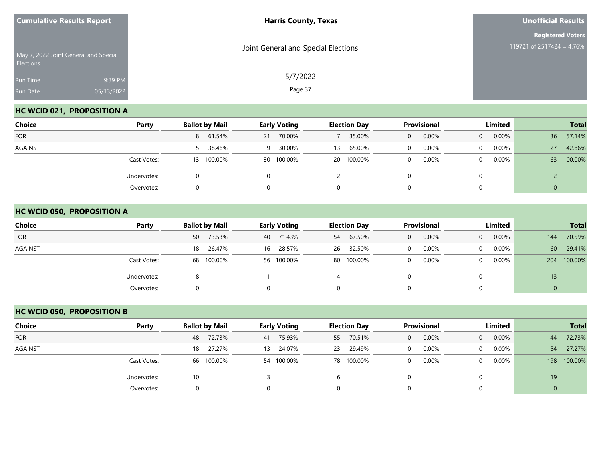| <b>Cumulative Results Report</b> |                                       | <b>Harris County, Texas</b>         | <b>Unofficial Results</b>                             |
|----------------------------------|---------------------------------------|-------------------------------------|-------------------------------------------------------|
| <b>Elections</b>                 | May 7, 2022 Joint General and Special | Joint General and Special Elections | <b>Registered Voters</b><br>119721 of 2517424 = 4.76% |
| Run Time<br>Run Date             | 9:39 PM<br>05/13/2022                 | 5/7/2022<br>Page 37                 |                                                       |

## **HC WCID 021, PROPOSITION A**

| Choice         | Party       | <b>Ballot by Mail</b> | <b>Early Voting</b> | <b>Election Day</b> | Provisional | Limited              | <b>Total</b>              |
|----------------|-------------|-----------------------|---------------------|---------------------|-------------|----------------------|---------------------------|
| <b>FOR</b>     |             | 8 61.54%              | 70.00%<br>21        | 35.00%              | 0.00%<br>0  | $0.00\%$<br>$\Omega$ | 57.14%<br>36              |
| <b>AGAINST</b> |             | 5 38.46%              | 30.00%<br>-9        | 65.00%<br>13        | 0.00%       | $0.00\%$<br>$\Omega$ | 42.86%<br>27 <sup>°</sup> |
|                | Cast Votes: | 13 100.00%            | 30 100.00%          | 20 100.00%          | 0.00%       | 0.00%<br>$\Omega$    | 100.00%<br>63             |
|                | Undervotes: |                       |                     |                     |             | 0                    |                           |
|                | Overvotes:  |                       |                     | 0                   |             | 0                    | 0                         |

#### **HC WCID 050, PROPOSITION A**

| <b>Choice</b>  | Party       | <b>Ballot by Mail</b> | <b>Early Voting</b> | <b>Election Day</b> | <b>Provisional</b>    | Limited                  | <b>Total</b>   |  |
|----------------|-------------|-----------------------|---------------------|---------------------|-----------------------|--------------------------|----------------|--|
| <b>FOR</b>     |             | 73.53%<br>50          | 40 71.43%           | 67.50%<br>54        | 0.00%<br>$\mathbf{0}$ | $0.00\%$<br>$\Omega$     | 70.59%<br>144  |  |
| <b>AGAINST</b> |             | 26.47%<br>18          | 28.57%<br>16        | 32.50%<br>26        | 0.00%<br>$\Omega$     | 0.00%<br>$\Omega$        | 60<br>29.41%   |  |
|                | Cast Votes: | 68 100.00%            | 56 100.00%          | 80 100.00%          | 0.00%<br>$\Omega$     | $0.00\%$<br>$\mathbf{0}$ | 100.00%<br>204 |  |
|                | Undervotes: |                       |                     | 4                   |                       | 0                        | 13             |  |
|                | Overvotes:  |                       |                     | 0                   | 0                     | 0                        | υ              |  |

## **HC WCID 050, PROPOSITION B**

| Choice         | Party       | <b>Ballot by Mail</b> | <b>Early Voting</b> | <b>Election Day</b> | <b>Provisional</b> | Limited                    | <b>Total</b>   |  |
|----------------|-------------|-----------------------|---------------------|---------------------|--------------------|----------------------------|----------------|--|
| <b>FOR</b>     |             | 48 72.73%             | 41 75.93%           | 55 70.51%           | 0.00%<br>$\Omega$  | $0.00\%$<br>$\overline{0}$ | 72.73%<br>144  |  |
| <b>AGAINST</b> |             | 27.27%<br>18          | 13 24.07%           | 29.49%<br>23        | 0.00%<br>$\Omega$  | $0.00\%$<br>$\Omega$       | 27.27%<br>54   |  |
|                | Cast Votes: | 66 100.00%            | 54 100.00%          | 78 100.00%          | 0.00%<br>$\Omega$  | 0.00%<br>$\Omega$          | 100.00%<br>198 |  |
|                | Undervotes: | 10                    |                     | b                   |                    |                            | 19             |  |
|                | Overvotes:  |                       |                     |                     |                    |                            |                |  |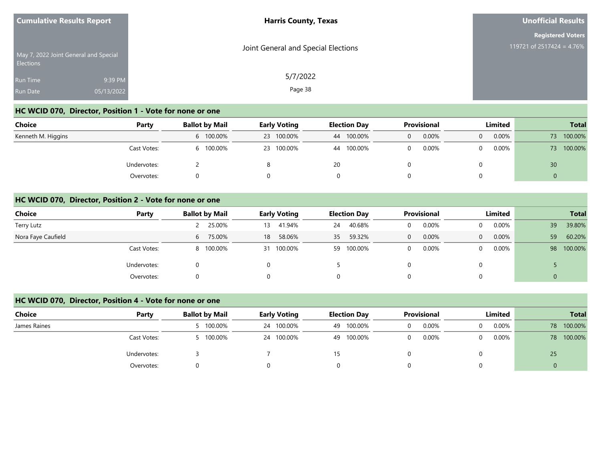| <b>Cumulative Results Report</b>                          |                       | <b>Harris County, Texas</b>         | <b>Unofficial Results</b>                             |  |  |
|-----------------------------------------------------------|-----------------------|-------------------------------------|-------------------------------------------------------|--|--|
| May 7, 2022 Joint General and Special<br><b>Elections</b> |                       | Joint General and Special Elections | <b>Registered Voters</b><br>119721 of 2517424 = 4.76% |  |  |
| Run Time<br><b>Run Date</b>                               | 9:39 PM<br>05/13/2022 | 5/7/2022<br>Page 38                 |                                                       |  |  |

# **HC WCID 070, Director, Position 1 - Vote for none or one**

| <b>Choice</b>      | Party       | <b>Ballot by Mail</b> | <b>Early Voting</b> | <b>Election Day</b> | <b>Provisional</b> | Limited       | <b>Total</b>    |
|--------------------|-------------|-----------------------|---------------------|---------------------|--------------------|---------------|-----------------|
| Kenneth M. Higgins |             | 6 100.00%             | 23 100.00%          | 44 100.00%          | 0.00%              | $0.00\%$<br>0 | 100.00%<br>73   |
|                    | Cast Votes: | 100.00%               | 23 100.00%          | 100.00%<br>44       | 0.00%              | $0.00\%$      | 100.00%<br>73   |
|                    | Undervotes: |                       |                     | 20                  |                    |               | 30 <sup>°</sup> |
|                    | Overvotes:  |                       |                     |                     |                    |               |                 |

#### **HC WCID 070, Director, Position 2 - Vote for none or one**

| <b>Choice</b>      | Party       | <b>Ballot by Mail</b> | <b>Early Voting</b> | <b>Election Day</b> | <b>Provisional</b><br>Limited |                          | <b>Total</b>  |  |
|--------------------|-------------|-----------------------|---------------------|---------------------|-------------------------------|--------------------------|---------------|--|
| Terry Lutz         |             | 25.00%                | 41.94%<br>13        | 40.68%<br>24        | 0.00%                         | $0.00\%$<br>$\Omega$     | 39.80%<br>39  |  |
| Nora Faye Caufield |             | 75.00%<br>6           | 58.06%<br>18        | 59.32%<br>35        | 0.00%<br>0                    | $0.00\%$<br>$\mathbf{0}$ | 60.20%<br>59  |  |
|                    | Cast Votes: | 8 100.00%             | 31 100.00%          | 59 100.00%          | 0.00%                         | $0.00\%$<br>$\Omega$     | 100.00%<br>98 |  |
|                    | Undervotes: | 0                     |                     |                     |                               | $\Omega$                 |               |  |
|                    | Overvotes:  |                       |                     | 0                   |                               | $\overline{0}$           |               |  |

#### **HC WCID 070, Director, Position 4 - Vote for none or one**

| <b>Choice</b> | Party       | <b>Ballot by Mail</b> | <b>Early Voting</b> | <b>Election Day</b> | Provisional       | Limited | <b>Total</b>  |  |
|---------------|-------------|-----------------------|---------------------|---------------------|-------------------|---------|---------------|--|
| James Raines  |             | 5 100.00%             | 24 100.00%          | 49 100.00%          | 0.00%<br>0        | 0.00%   | 100.00%<br>78 |  |
|               | Cast Votes: | 5 100.00%             | 24 100.00%          | 49 100.00%          | 0.00%<br>$\Omega$ | 0.00%   | 100.00%<br>78 |  |
|               | Undervotes: |                       |                     | 15                  |                   |         | 25            |  |
|               | Overvotes:  |                       |                     |                     |                   |         | 0             |  |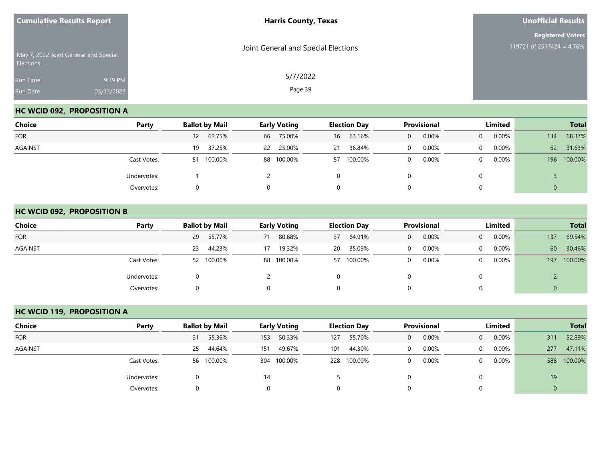| <b>Cumulative Results Report</b> |                                       | <b>Harris County, Texas</b>         | <b>Unofficial Results</b>                             |  |  |
|----------------------------------|---------------------------------------|-------------------------------------|-------------------------------------------------------|--|--|
| Elections                        | May 7, 2022 Joint General and Special | Joint General and Special Elections | <b>Registered Voters</b><br>119721 of 2517424 = 4.76% |  |  |
| Run Time<br>Run Date             | 9:39 PM<br>05/13/2022                 | 5/7/2022<br>Page 39                 |                                                       |  |  |

## **HC WCID 092, PROPOSITION A**

| Choice         | Party       |               | <b>Early Voting</b> | <b>Election Day</b> | Provisional | Limited              | <b>Total</b>   |  |
|----------------|-------------|---------------|---------------------|---------------------|-------------|----------------------|----------------|--|
| <b>FOR</b>     |             | 32 62.75%     | 75.00%<br>66        | 63.16%<br>36        | 0.00%<br>0  | 0.00%<br>$\Omega$    | 68.37%<br>134  |  |
| <b>AGAINST</b> |             | 37.25%<br>19  | 25.00%<br>22        | 36.84%<br>21        | 0.00%       | $0.00\%$<br>$\Omega$ | 62<br>31.63%   |  |
|                | Cast Votes: | 100.00%<br>51 | 88 100.00%          | 57 100.00%          | 0.00%       | 0.00%<br>$\Omega$    | 100.00%<br>196 |  |
|                | Undervotes: |               |                     | 0                   |             | 0                    |                |  |
|                | Overvotes:  |               |                     | 0                   |             | 0                    | 0              |  |

#### **HC WCID 092, PROPOSITION B**

| <b>Choice</b>  | Party       | <b>Ballot by Mail</b> | <b>Early Voting</b> | <b>Election Day</b> | <b>Provisional</b>    | Limited                    | <b>Total</b>   |  |
|----------------|-------------|-----------------------|---------------------|---------------------|-----------------------|----------------------------|----------------|--|
| <b>FOR</b>     |             | 55.77%<br>29          | 80.68%<br>71        | 64.91%<br>37        | 0.00%<br>$\mathbf{0}$ | 0.00%<br>$\overline{0}$    | 69.54%<br>137  |  |
| <b>AGAINST</b> |             | 44.23%<br>23          | 19.32%<br>17        | 35.09%<br>20        | 0.00%<br>$\Omega$     | 0.00%<br>$\Omega$          | 60<br>30.46%   |  |
|                | Cast Votes: | 52 100.00%            | 88 100.00%          | 57 100.00%          | 0.00%<br>$\mathbf 0$  | $0.00\%$<br>$\overline{0}$ | 100.00%<br>197 |  |
|                | Undervotes: |                       |                     | 0                   |                       | 0                          |                |  |
|                | Overvotes:  |                       |                     | 0                   | 0                     | 0                          | 0              |  |

## **HC WCID 119, PROPOSITION A**

| Choice         | Party       | <b>Ballot by Mail</b> | <b>Early Voting</b> | <b>Election Day</b> | <b>Provisional</b> | Limited                 | <b>Total</b>   |  |
|----------------|-------------|-----------------------|---------------------|---------------------|--------------------|-------------------------|----------------|--|
| <b>FOR</b>     |             | 55.36%<br>31          | 50.33%<br>153       | 55.70%<br>127       | 0.00%<br>$\Omega$  | 0.00%<br>$\overline{0}$ | 52.89%<br>311  |  |
| <b>AGAINST</b> |             | 44.64%<br>25          | 49.67%<br>151       | 44.30%<br>101       | 0.00%              | 0.00%<br>$\Omega$       | 47.11%<br>277  |  |
|                | Cast Votes: | 56 100.00%            | 304 100.00%         | 228 100.00%         | 0.00%              | 0.00%<br>0              | 100.00%<br>588 |  |
|                | Undervotes: |                       | 14                  |                     |                    |                         | 19             |  |
|                | Overvotes:  | 0                     |                     |                     |                    |                         | $\mathbf 0$    |  |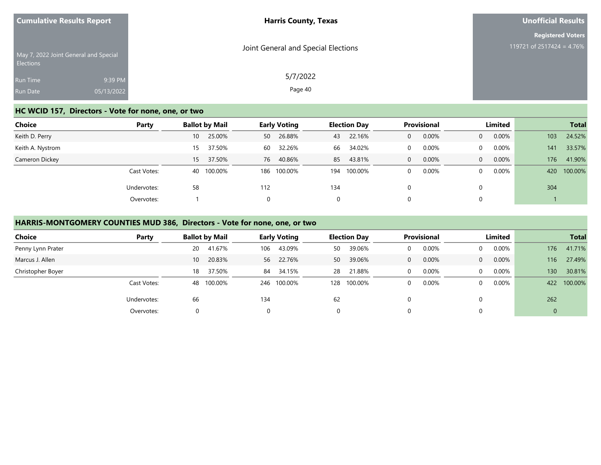| <b>Cumulative Results Report</b>                          | <b>Harris County, Texas</b>         | <b>Unofficial Results</b> |
|-----------------------------------------------------------|-------------------------------------|---------------------------|
|                                                           |                                     | <b>Registered Voters</b>  |
| May 7, 2022 Joint General and Special<br><b>Elections</b> | Joint General and Special Elections | 119721 of 2517424 = 4.76% |
| 9:39 PM<br>Run Time                                       | 5/7/2022                            |                           |
| Run Date<br>05/13/2022                                    | Page 40                             |                           |

## **HC WCID 157, Directors - Vote for none, one, or two**

| <b>Choice</b>    | Party       | <b>Ballot by Mail</b> |     | <b>Early Voting</b> | <b>Election Day</b> |             | Provisional  |       | Limited        |       | <b>Total</b> |         |
|------------------|-------------|-----------------------|-----|---------------------|---------------------|-------------|--------------|-------|----------------|-------|--------------|---------|
| Keith D. Perry   |             | 25.00%<br>10          | 50  | 26.88%              | 43                  | 22.16%      | $\mathbf{0}$ | 0.00% | $\overline{0}$ | 0.00% | 103          | 24.52%  |
| Keith A. Nystrom |             | 37.50%<br>15          | 60  | 32.26%              | 66                  | 34.02%      | $\Omega$     | 0.00% | $\Omega$       | 0.00% | 141          | 33.57%  |
| Cameron Dickey   |             | 37.50%<br>15          | 76  | 40.86%              | 85                  | 43.81%      | $\mathbf{0}$ | 0.00% | $\Omega$       | 0.00% | 176          | 41.90%  |
|                  | Cast Votes: | 100.00%<br>40         | 186 | 100.00%             |                     | 194 100.00% | $\Omega$     | 0.00% | $\Omega$       | 0.00% | 420          | 100.00% |
|                  | Undervotes: | 58                    | 112 |                     | 134                 |             | 0            |       |                |       | 304          |         |
|                  | Overvotes:  |                       | 0   |                     | $\Omega$            |             | 0            |       |                |       |              |         |

## **HARRIS-MONTGOMERY COUNTIES MUD 386, Directors - Vote for none, one, or two**

| <b>Choice</b>     | Party       | <b>Ballot by Mail</b> |              | <b>Early Voting</b> |     | <b>Election Day</b> |  | <b>Provisional</b> |          | Limited |          | <b>Total</b> |
|-------------------|-------------|-----------------------|--------------|---------------------|-----|---------------------|--|--------------------|----------|---------|----------|--------------|
| Penny Lynn Prater |             | 41.67%<br>20          | 106          | 43.09%              | 50  | 39.06%              |  | 0.00%              | 0        | 0.00%   | 176      | 41.71%       |
| Marcus J. Allen   |             | 10 <sup>°</sup>       | 20.83%<br>56 | 22.76%              | 50  | 39.06%              |  | 0.00%              | $\Omega$ | 0.00%   | 116      | 27.49%       |
| Christopher Boyer |             | 18                    | 37.50%<br>84 | 34.15%              | 28  | 21.88%              |  | 0.00%              | $\Omega$ | 0.00%   | 130      | 30.81%       |
|                   | Cast Votes: | 100.00%<br>48         | 246          | 100.00%             | 128 | 100.00%             |  | $0.00\%$           | $\Omega$ | 0.00%   | 422      | 100.00%      |
|                   | Undervotes: | 66                    | 134          |                     | 62  |                     |  |                    |          |         | 262      |              |
|                   | Overvotes:  |                       |              |                     |     |                     |  |                    |          |         | $\Omega$ |              |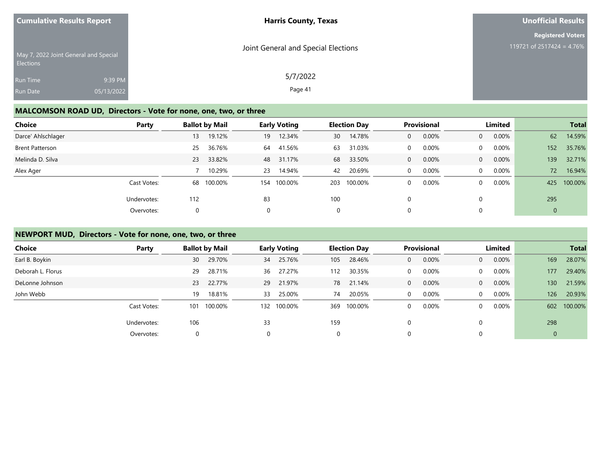| <b>Cumulative Results Report</b>                   |            | <b>Harris County, Texas</b>         | <b>Unofficial Results</b> |
|----------------------------------------------------|------------|-------------------------------------|---------------------------|
|                                                    |            |                                     | <b>Registered Voters</b>  |
| May 7, 2022 Joint General and Special<br>Elections |            | Joint General and Special Elections | 119721 of 2517424 = 4.76% |
| Run Time                                           | 9:39 PM    | 5/7/2022                            |                           |
| Run Date                                           | 05/13/2022 | Page 41                             |                           |
|                                                    |            |                                     |                           |

# **MALCOMSON ROAD UD, Directors - Vote for none, one, two, or three**

| Choice                 | Party       |     | <b>Ballot by Mail</b> |     | <b>Early Voting</b> |     | <b>Election Day</b> |   | Provisional |                | Limited  |     | <b>Total</b> |
|------------------------|-------------|-----|-----------------------|-----|---------------------|-----|---------------------|---|-------------|----------------|----------|-----|--------------|
| Darce' Ahlschlager     |             | 13  | 19.12%                | 19  | 12.34%              | 30  | 14.78%              | 0 | 0.00%       | $\overline{0}$ | $0.00\%$ | 62  | 14.59%       |
| <b>Brent Patterson</b> |             | 25  | 36.76%                | 64  | 41.56%              | 63  | 31.03%              | 0 | 0.00%       | $\Omega$       | 0.00%    | 152 | 35.76%       |
| Melinda D. Silva       |             | 23  | 33.82%                |     | 48 31.17%           | 68  | 33.50%              | 0 | 0.00%       | $\overline{0}$ | $0.00\%$ | 139 | 32.71%       |
| Alex Ager              |             |     | 10.29%                | 23  | 14.94%              | 42  | 20.69%              | 0 | 0.00%       | $\Omega$       | 0.00%    | 72  | 16.94%       |
|                        | Cast Votes: |     | 68 100.00%            | 154 | 100.00%             | 203 | 100.00%             | 0 | 0.00%       | $\Omega$       | $0.00\%$ | 425 | 100.00%      |
|                        | Undervotes: | 112 |                       | 83  |                     | 100 |                     | 0 |             | $\Omega$       |          | 295 |              |
|                        | Overvotes:  | 0   |                       | 0   |                     | 0   |                     | 0 |             | 0              |          | 0   |              |

## **NEWPORT MUD, Directors - Vote for none, one, two, or three**

| <b>Choice</b>     | Party       |     | <b>Ballot by Mail</b> |          | <b>Early Voting</b> |     | <b>Election Day</b> |              | <b>Provisional</b> |                | Limited  |     | <b>Total</b> |
|-------------------|-------------|-----|-----------------------|----------|---------------------|-----|---------------------|--------------|--------------------|----------------|----------|-----|--------------|
| Earl B. Boykin    |             | 30  | 29.70%                | 34       | 25.76%              | 105 | 28.46%              | $\mathbf{0}$ | 0.00%              | $\overline{0}$ | $0.00\%$ | 169 | 28.07%       |
| Deborah L. Florus |             | 29  | 28.71%                | 36       | 27.27%              | 112 | 30.35%              | 0            | 0.00%              | $\overline{0}$ | $0.00\%$ | 177 | 29.40%       |
| DeLonne Johnson   |             | 23  | 22.77%                |          | 29 21.97%           | 78  | 21.14%              | 0            | 0.00%              | $\overline{0}$ | $0.00\%$ | 130 | 21.59%       |
| John Webb         |             | 19  | 18.81%                | 33       | 25.00%              | 74  | 20.05%              | $\mathbf 0$  | 0.00%              | $\overline{0}$ | 0.00%    | 126 | 20.93%       |
|                   | Cast Votes: | 101 | 100.00%               |          | 132 100.00%         | 369 | 100.00%             | 0            | 0.00%              | $\Omega$       | $0.00\%$ | 602 | 100.00%      |
|                   | Undervotes: | 106 |                       | 33       |                     | 159 |                     | 0            |                    | $\Omega$       |          | 298 |              |
|                   | Overvotes:  | 0   |                       | $\Omega$ |                     | 0   |                     | 0            |                    | 0              |          | 0   |              |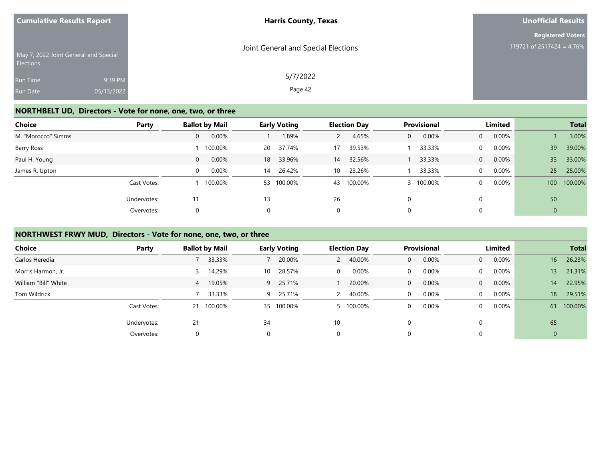| <b>Cumulative Results Report</b>                       |                       | <b>Harris County, Texas</b>         | <b>Unofficial Results</b>                             |
|--------------------------------------------------------|-----------------------|-------------------------------------|-------------------------------------------------------|
| May 7, 2022 Joint General and Special                  |                       | Joint General and Special Elections | <b>Registered Voters</b><br>119721 of 2517424 = 4.76% |
| <b>Elections</b><br><b>Run Time</b><br><b>Run Date</b> | 9:39 PM<br>05/13/2022 | 5/7/2022<br>Page 42                 |                                                       |

## **NORTHBELT UD, Directors - Vote for none, one, two, or three**

| Choice             | Party       |                | <b>Ballot by Mail</b> |           | <b>Early Voting</b> |    | <b>Election Day</b> |   | Provisional |                | Limited  |     | <b>Total</b> |
|--------------------|-------------|----------------|-----------------------|-----------|---------------------|----|---------------------|---|-------------|----------------|----------|-----|--------------|
| M. "Morocco" Simms |             | 0              | 0.00%                 |           | 1.89%               |    | 4.65%               | 0 | 0.00%       | $\overline{0}$ | $0.00\%$ |     | 3.00%        |
| Barry Ross         |             |                | 100.00%               | <b>20</b> | 37.74%              | 17 | 39.53%              |   | 33.33%      | $\mathbf{0}$   | 0.00%    | 39  | 39.00%       |
| Paul H. Young      |             | $\overline{0}$ | 0.00%                 | 18        | 33.96%              | 14 | 32.56%              |   | 33.33%      | $\overline{0}$ | $0.00\%$ | 33  | 33.00%       |
| James R. Upton     |             | $\Omega$       | 0.00%                 | 14        | 26.42%              | 10 | 23.26%              |   | 33.33%      | $\Omega$       | 0.00%    | 25  | 25.00%       |
|                    | Cast Votes: |                | 100.00%               |           | 53 100.00%          | 43 | 100.00%             |   | 100.00%     | $\mathbf{0}$   | $0.00\%$ | 100 | 100.00%      |
|                    | Undervotes: | 11             |                       | 13        |                     | 26 |                     | 0 |             | $\Omega$       |          | 50  |              |
|                    | Overvotes:  | 0              |                       | 0         |                     | 0  |                     | 0 |             | 0              |          | 0   |              |

## **NORTHWEST FRWY MUD, Directors - Vote for none, one, two, or three**

| <b>Choice</b>        | Party       | <b>Ballot by Mail</b>    | <b>Early Voting</b> | <b>Election Day</b>    | Provisional           | Limited                 | <b>Total</b>              |
|----------------------|-------------|--------------------------|---------------------|------------------------|-----------------------|-------------------------|---------------------------|
| Carlos Heredia       |             | 33.33%                   | 20.00%              | 40.00%<br>$\mathbf{2}$ | 0.00%<br>$\mathbf{0}$ | 0.00%<br>$\overline{0}$ | 16 <sup>°</sup><br>26.23% |
| Morris Harmon, Jr.   |             | 14.29%                   | 28.57%<br>10        | 0.00%<br>$\mathbf{0}$  | 0.00%<br>0            | 0.00%<br>$\Omega$       | 21.31%<br>13              |
| William "Bill" White |             | 19.05%<br>$\overline{4}$ | 25.71%<br>9         | 20.00%                 | 0.00%<br>$\mathbf{0}$ | 0.00%<br>$\overline{0}$ | 22.95%<br>14              |
| Tom Wildrick         |             | 33.33%                   | 25.71%<br>9         | 40.00%                 | 0.00%<br>0            | 0.00%<br>$\Omega$       | 29.51%<br>18              |
|                      | Cast Votes: | 21 100.00%               | 35 100.00%          | 5 100.00%              | 0.00%<br>0            | $0.00\%$<br>$\Omega$    | 100.00%<br>61             |
|                      | Undervotes: | 21                       | 34                  | 10                     | 0                     |                         | 65                        |
|                      | Overvotes:  | 0                        | $\Omega$            | $\mathbf 0$            | 0                     |                         | $\mathbf 0$               |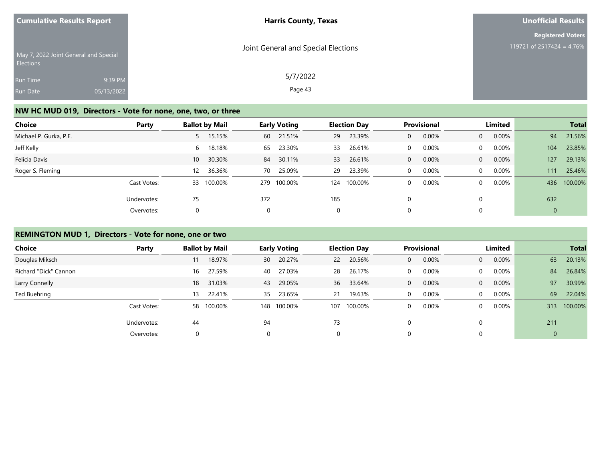| <b>Cumulative Results Report</b>                   |            | <b>Harris County, Texas</b>         | Unofficial Results        |  |  |
|----------------------------------------------------|------------|-------------------------------------|---------------------------|--|--|
|                                                    |            |                                     | <b>Registered Voters</b>  |  |  |
| May 7, 2022 Joint General and Special<br>Elections |            | Joint General and Special Elections | 119721 of 2517424 = 4.76% |  |  |
| Run Time                                           | 9:39 PM    | 5/7/2022                            |                           |  |  |
| Run Date                                           | 05/13/2022 | Page 43                             |                           |  |  |

## **NW HC MUD 019, Directors - Vote for none, one, two, or three**

| Choice                 | Party       |                 | <b>Ballot by Mail</b> |          | <b>Early Voting</b> |      | <b>Election Day</b> |              | Provisional |                | Limited  |     | <b>Total</b> |
|------------------------|-------------|-----------------|-----------------------|----------|---------------------|------|---------------------|--------------|-------------|----------------|----------|-----|--------------|
| Michael P. Gurka, P.E. |             | $5 -$           | 15.15%                |          | 60 21.51%           | 29   | 23.39%              | $\mathbf{0}$ | 0.00%       | $\overline{0}$ | $0.00\%$ | 94  | 21.56%       |
| Jeff Kelly             |             | 6               | 18.18%                | 65       | 23.30%              | 33   | 26.61%              | $\Omega$     | 0.00%       | $\Omega$       | 0.00%    | 104 | 23.85%       |
| Felicia Davis          |             | 10 <sup>°</sup> | 30.30%                | 84       | 30.11%              | 33 · | 26.61%              | $\mathbf{0}$ | 0.00%       | $\overline{0}$ | $0.00\%$ | 127 | 29.13%       |
| Roger S. Fleming       |             | 12 <sup>2</sup> | 36.36%                | 70       | 25.09%              | 29   | 23.39%              | $\Omega$     | 0.00%       | $\Omega$       | $0.00\%$ | 111 | 25.46%       |
|                        | Cast Votes: |                 | 33 100.00%            | 279      | 100.00%             | 124  | 100.00%             | 0            | 0.00%       | $\mathbf{0}$   | $0.00\%$ | 436 | 100.00%      |
|                        | Undervotes: | 75              |                       | 372      |                     | 185  |                     | $\Omega$     |             | $\Omega$       |          | 632 |              |
|                        | Overvotes:  |                 |                       | $\Omega$ |                     | 0    |                     | 0            |             | 0              |          | 0   |              |

## **REMINGTON MUD 1, Directors - Vote for none, one or two**

| Choice                | Party       |    | <b>Ballot by Mail</b> |     | <b>Early Voting</b> |             | <b>Election Day</b> |          | <b>Provisional</b> |                | Limited  |             | <b>Total</b> |
|-----------------------|-------------|----|-----------------------|-----|---------------------|-------------|---------------------|----------|--------------------|----------------|----------|-------------|--------------|
| Douglas Miksch        |             |    | 18.97%                | 30  | 20.27%              | <b>22</b>   | 20.56%              | 0        | 0.00%              | $\overline{0}$ | 0.00%    | 63          | 20.13%       |
| Richard "Dick" Cannon |             | 16 | 27.59%                | 40  | 27.03%              | 28          | 26.17%              | 0        | $0.00\%$           | $\mathbf{0}$   | $0.00\%$ | 84          | 26.84%       |
| Larry Connelly        |             | 18 | 31.03%                | 43  | 29.05%              | 36          | 33.64%              | $\Omega$ | 0.00%              | $\overline{0}$ | $0.00\%$ | 97          | 30.99%       |
| Ted Buehring          |             | 13 | 22.41%                | 35  | 23.65%              | 21          | 19.63%              | 0        | 0.00%              | $\overline{0}$ | $0.00\%$ | 69          | 22.04%       |
|                       | Cast Votes: | 58 | 100.00%               | 148 | 100.00%             | 107         | 100.00%             | 0        | 0.00%              | $\Omega$       | $0.00\%$ | 313         | 100.00%      |
|                       | Undervotes: | 44 |                       | 94  |                     | 73          |                     | $\Omega$ |                    |                |          | 211         |              |
|                       | Overvotes:  |    |                       |     |                     | $\mathbf 0$ |                     | 0        |                    |                |          | $\mathbf 0$ |              |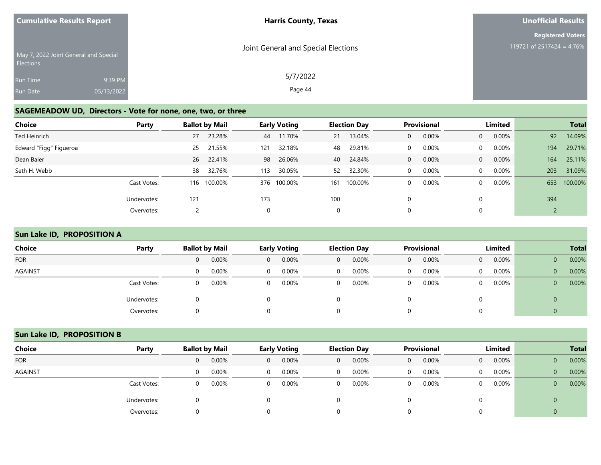| <b>Cumulative Results Report</b>                   |                       | <b>Harris County, Texas</b>         | Unofficial Results                                    |
|----------------------------------------------------|-----------------------|-------------------------------------|-------------------------------------------------------|
| May 7, 2022 Joint General and Special<br>Elections |                       | Joint General and Special Elections | <b>Registered Voters</b><br>119721 of 2517424 = 4.76% |
| Run Time<br>Run Date                               | 9:39 PM<br>05/13/2022 | 5/7/2022<br>Page 44                 |                                                       |

# **SAGEMEADOW UD, Directors - Vote for none, one, two, or three**

| Choice                 | Party       |     | <b>Ballot by Mail</b> |          | <b>Early Voting</b> |     | <b>Election Day</b> |              | Provisional |                | Limited  |     | <b>Total</b> |
|------------------------|-------------|-----|-----------------------|----------|---------------------|-----|---------------------|--------------|-------------|----------------|----------|-----|--------------|
| Ted Heinrich           |             | 27  | 23.28%                | 44       | 11.70%              | 21  | 13.04%              | $\mathbf{0}$ | 0.00%       | $\overline{0}$ | 0.00%    | 92  | 14.09%       |
| Edward "Figg" Figueroa |             | 25  | 21.55%                | 121      | 32.18%              | 48  | 29.81%              | $\Omega$     | 0.00%       | $\mathbf{0}$   | $0.00\%$ | 194 | 29.71%       |
| Dean Baier             |             | 26  | 22.41%                | 98       | 26.06%              | 40  | 24.84%              | $\mathbf{0}$ | 0.00%       | $\overline{0}$ | 0.00%    | 164 | 25.11%       |
| Seth H. Webb           |             | 38  | 32.76%                | 113      | 30.05%              | 52  | 32.30%              | $\Omega$     | 0.00%       | $\Omega$       | $0.00\%$ | 203 | 31.09%       |
|                        | Cast Votes: | 116 | 100.00%               | 376      | 100.00%             | 161 | 100.00%             | 0            | 0.00%       | $\overline{0}$ | $0.00\%$ | 653 | 100.00%      |
|                        | Undervotes: | 121 |                       | 173      |                     | 100 |                     | $\Omega$     |             | $\Omega$       |          | 394 |              |
|                        | Overvotes:  |     |                       | $\Omega$ |                     | 0   |                     | 0            |             | 0              |          |     |              |

## **Sun Lake ID, PROPOSITION A**

| <b>Choice</b>  | Party       |                | <b>Ballot by Mail</b> |              | <b>Early Voting</b> |                | <b>Election Day</b> | <b>Provisional</b> |       | Limited        |          |                | <b>Total</b> |
|----------------|-------------|----------------|-----------------------|--------------|---------------------|----------------|---------------------|--------------------|-------|----------------|----------|----------------|--------------|
| <b>FOR</b>     |             | $\overline{0}$ | 0.00%                 | $\mathbf{0}$ | 0.00%               | $\mathbf{0}$   | 0.00%               | $\mathbf{0}$       | 0.00% | $\overline{0}$ | $0.00\%$ | $\mathbf{0}$   | 0.00%        |
| <b>AGAINST</b> |             | $\Omega$       | 0.00%                 | $\Omega$     | 0.00%               | $\overline{0}$ | 0.00%               | $\Omega$           | 0.00% | $\overline{0}$ | $0.00\%$ | $\mathbf{0}$   | 0.00%        |
|                | Cast Votes: | $\Omega$       | 0.00%                 | $\Omega$     | 0.00%               | $\overline{0}$ | 0.00%               | $\mathbf 0$        | 0.00% | 0              | 0.00%    | $\overline{0}$ | 0.00%        |
|                | Undervotes: | $\Omega$       |                       |              |                     | 0              |                     |                    |       |                |          | 0              |              |
|                | Overvotes:  | $\Omega$       |                       | 0            |                     | 0              |                     | 0                  |       |                |          |                |              |

## **Sun Lake ID, PROPOSITION B**

| Choice         | Party       | <b>Ballot by Mail</b> |          | <b>Early Voting</b> |   | <b>Election Day</b> |   | <b>Provisional</b> |              | Limited  |              | <b>Total</b> |
|----------------|-------------|-----------------------|----------|---------------------|---|---------------------|---|--------------------|--------------|----------|--------------|--------------|
| <b>FOR</b>     |             | 0.00%                 | 0        | $0.00\%$            | 0 | 0.00%               | 0 | 0.00%              | $\Omega$     | $0.00\%$ | 0            | 0.00%        |
| <b>AGAINST</b> |             | 0.00%                 | $\Omega$ | $0.00\%$            | 0 | 0.00%               |   | 0.00%              | $\mathbf{0}$ | $0.00\%$ | $\mathbf{0}$ | 0.00%        |
|                | Cast Votes: | 0.00%                 | 0        | 0.00%               | 0 | 0.00%               |   | 0.00%              | $\Omega$     | $0.00\%$ | 0            | 0.00%        |
|                | Undervotes: |                       |          |                     |   |                     |   |                    |              |          | 0            |              |
|                | Overvotes:  |                       |          |                     |   |                     |   |                    |              |          |              |              |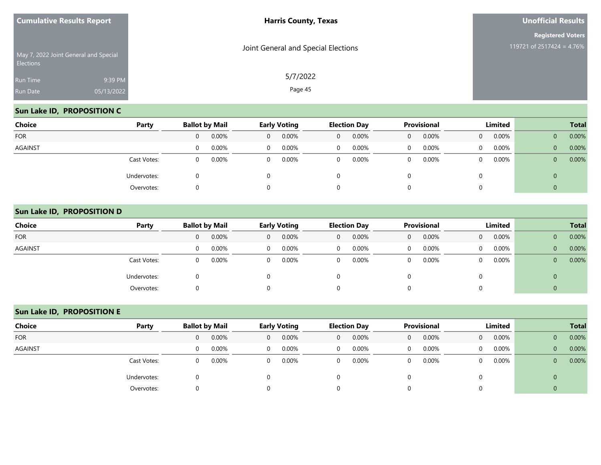|                      | <b>Cumulative Results Report</b>      | <b>Harris County, Texas</b>         | <b>Unofficial Results</b>                             |  |  |  |
|----------------------|---------------------------------------|-------------------------------------|-------------------------------------------------------|--|--|--|
| <b>Elections</b>     | May 7, 2022 Joint General and Special | Joint General and Special Elections | <b>Registered Voters</b><br>119721 of 2517424 = 4.76% |  |  |  |
| Run Time<br>Run Date | 9:39 PM<br>05/13/2022                 | 5/7/2022<br>Page 45                 |                                                       |  |  |  |

## **Sun Lake ID, PROPOSITION C**

R<sub>R</sub>

| Choice     | Party       |          | <b>Ballot by Mail</b> |              | <b>Early Voting</b> |                | <b>Election Day</b> |              | Provisional |          | Limited |              | <b>Total</b> |
|------------|-------------|----------|-----------------------|--------------|---------------------|----------------|---------------------|--------------|-------------|----------|---------|--------------|--------------|
| <b>FOR</b> |             | 0        | 0.00%                 | $\mathbf{0}$ | 0.00%               | $\overline{0}$ | 0.00%               | $\mathbf{0}$ | 0.00%       | $\Omega$ | 0.00%   | $\mathbf 0$  | 0.00%        |
| AGAINST    |             | $\Omega$ | 0.00%                 | $\mathbf 0$  | $0.00\%$            | $\overline{0}$ | 0.00%               | 0            | 0.00%       | $\Omega$ | 0.00%   | $\mathbf{0}$ | 0.00%        |
|            | Cast Votes: | $\Omega$ | 0.00%                 | 0            | 0.00%               | $\overline{0}$ | 0.00%               | 0            | 0.00%       | $\Omega$ | 0.00%   | $\mathbf 0$  | 0.00%        |
|            | Undervotes: |          |                       |              |                     | 0              |                     |              |             |          |         | 0            |              |
|            | Overvotes:  |          |                       |              |                     | 0              |                     |              |             |          |         | ν            |              |

#### **Sun Lake ID, PROPOSITION D**

| <b>Choice</b> | Party       |          | <b>Ballot by Mail</b> |          | <b>Early Voting</b> |             | <b>Election Day</b> |   | <b>Provisional</b> |                | Limited  |              | <b>Total</b> |
|---------------|-------------|----------|-----------------------|----------|---------------------|-------------|---------------------|---|--------------------|----------------|----------|--------------|--------------|
| <b>FOR</b>    |             | $\Omega$ | 0.00%                 | 0        | 0.00%               | $\mathbf 0$ | 0.00%               | 0 | 0.00%              | $\overline{0}$ | $0.00\%$ | 0            | 0.00%        |
| AGAINST       |             | $\Omega$ | 0.00%                 | $\Omega$ | $0.00\%$            | 0           | 0.00%               | 0 | 0.00%              | $\Omega$       | 0.00%    | $\mathbf{0}$ | 0.00%        |
|               | Cast Votes: | $\Omega$ | 0.00%                 | $\Omega$ | 0.00%               | 0           | 0.00%               | 0 | 0.00%              | $\overline{0}$ | $0.00\%$ | $\mathbf{0}$ | 0.00%        |
|               | Undervotes: |          |                       |          |                     |             |                     |   |                    | 0              |          | U            |              |
|               | Overvotes:  |          |                       |          |                     |             |                     |   |                    | 0              |          | U            |              |

## **Sun Lake ID, PROPOSITION E**

| Choice         | Party       |                | <b>Ballot by Mail</b> |                | <b>Early Voting</b> |   | <b>Election Day</b> |          | <b>Provisional</b> |                | Limited  |                | <b>Total</b> |
|----------------|-------------|----------------|-----------------------|----------------|---------------------|---|---------------------|----------|--------------------|----------------|----------|----------------|--------------|
| <b>FOR</b>     |             | $\overline{0}$ | 0.00%                 | $\overline{0}$ | 0.00%               | 0 | 0.00%               | $\Omega$ | 0.00%              | $\overline{0}$ | $0.00\%$ | $\mathbf{0}$   | 0.00%        |
| <b>AGAINST</b> |             | $\Omega$       | 0.00%                 | $\Omega$       | 0.00%               | 0 | 0.00%               |          | 0.00%              | $\Omega$       | 0.00%    | $\mathbf{0}$   | 0.00%        |
|                | Cast Votes: | 0              | $0.00\%$              | $\Omega$       | 0.00%               | 0 | 0.00%               | $\Omega$ | 0.00%              | $\Omega$       | 0.00%    | $\overline{0}$ | 0.00%        |
|                | Undervotes: |                |                       |                |                     |   |                     |          |                    |                |          | $\mathbf 0$    |              |
|                | Overvotes:  |                |                       |                |                     |   |                     |          |                    |                |          |                |              |